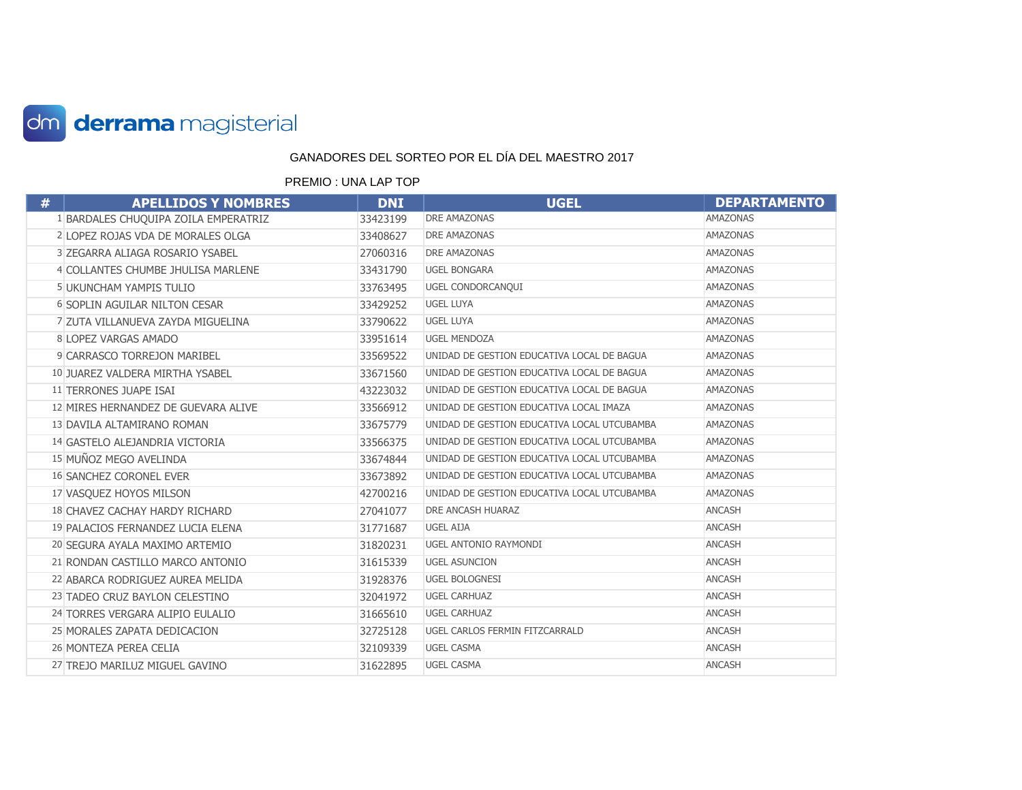

| # | <b>APELLIDOS Y NOMBRES</b>           | <b>DNI</b> | <b>UGEL</b>                                 | <b>DEPARTAMENTO</b> |
|---|--------------------------------------|------------|---------------------------------------------|---------------------|
|   | 1 BARDALES CHUQUIPA ZOILA EMPERATRIZ | 33423199   | DRE AMAZONAS                                | <b>AMAZONAS</b>     |
|   | 2 LOPEZ ROJAS VDA DE MORALES OLGA    | 33408627   | <b>DRE AMAZONAS</b>                         | <b>AMAZONAS</b>     |
|   | 3 ZEGARRA ALIAGA ROSARIO YSABEL      | 27060316   | <b>DRE AMAZONAS</b>                         | <b>AMAZONAS</b>     |
|   | 4 COLLANTES CHUMBE JHULISA MARLENE   | 33431790   | <b>UGEL BONGARA</b>                         | <b>AMAZONAS</b>     |
|   | 5 UKUNCHAM YAMPIS TULIO              | 33763495   | UGEL CONDORCANQUI                           | <b>AMAZONAS</b>     |
|   | <b>6 SOPLIN AGUILAR NILTON CESAR</b> | 33429252   | <b>UGEL LUYA</b>                            | <b>AMAZONAS</b>     |
|   | 7 ZUTA VILLANUEVA ZAYDA MIGUELINA    | 33790622   | <b>UGEL LUYA</b>                            | <b>AMAZONAS</b>     |
|   | 8 LOPEZ VARGAS AMADO                 | 33951614   | <b>UGEL MENDOZA</b>                         | <b>AMAZONAS</b>     |
|   | 9 CARRASCO TORREJON MARIBEL          | 33569522   | UNIDAD DE GESTION EDUCATIVA LOCAL DE BAGUA  | <b>AMAZONAS</b>     |
|   | 10 JUAREZ VALDERA MIRTHA YSABEL      | 33671560   | UNIDAD DE GESTION EDUCATIVA LOCAL DE BAGUA  | <b>AMAZONAS</b>     |
|   | 11 TERRONES JUAPE ISAI               | 43223032   | UNIDAD DE GESTION EDUCATIVA LOCAL DE BAGUA  | <b>AMAZONAS</b>     |
|   | 12 MIRES HERNANDEZ DE GUEVARA ALIVE  | 33566912   | UNIDAD DE GESTION EDUCATIVA LOCAL IMAZA     | <b>AMAZONAS</b>     |
|   | 13 DAVILA ALTAMIRANO ROMAN           | 33675779   | UNIDAD DE GESTION EDUCATIVA LOCAL UTCUBAMBA | <b>AMAZONAS</b>     |
|   | 14 GASTELO ALEJANDRIA VICTORIA       | 33566375   | UNIDAD DE GESTION EDUCATIVA LOCAL UTCUBAMBA | <b>AMAZONAS</b>     |
|   | 15 MUÑOZ MEGO AVELINDA               | 33674844   | UNIDAD DE GESTION EDUCATIVA LOCAL UTCUBAMBA | <b>AMAZONAS</b>     |
|   | <b>16 SANCHEZ CORONEL EVER</b>       | 33673892   | UNIDAD DE GESTION EDUCATIVA LOCAL UTCUBAMBA | <b>AMAZONAS</b>     |
|   | 17 VASQUEZ HOYOS MILSON              | 42700216   | UNIDAD DE GESTION EDUCATIVA LOCAL UTCUBAMBA | <b>AMAZONAS</b>     |
|   | 18 CHAVEZ CACHAY HARDY RICHARD       | 27041077   | DRE ANCASH HUARAZ                           | <b>ANCASH</b>       |
|   | 19 PALACIOS FERNANDEZ LUCIA ELENA    | 31771687   | <b>UGEL AIJA</b>                            | <b>ANCASH</b>       |
|   | 20 SEGURA AYALA MAXIMO ARTEMIO       | 31820231   | UGEL ANTONIO RAYMONDI                       | <b>ANCASH</b>       |
|   | 21 RONDAN CASTILLO MARCO ANTONIO     | 31615339   | <b>UGEL ASUNCION</b>                        | <b>ANCASH</b>       |
|   | 22 ABARCA RODRIGUEZ AUREA MELIDA     | 31928376   | <b>UGEL BOLOGNESI</b>                       | <b>ANCASH</b>       |
|   | 23 TADEO CRUZ BAYLON CELESTINO       | 32041972   | <b>UGEL CARHUAZ</b>                         | <b>ANCASH</b>       |
|   | 24 TORRES VERGARA ALIPIO EULALIO     | 31665610   | <b>UGEL CARHUAZ</b>                         | <b>ANCASH</b>       |
|   | 25 MORALES ZAPATA DEDICACION         | 32725128   | UGEL CARLOS FERMIN FITZCARRALD              | <b>ANCASH</b>       |
|   | 26 MONTEZA PEREA CELIA               | 32109339   | <b>UGEL CASMA</b>                           | <b>ANCASH</b>       |
|   | 27 TREJO MARILUZ MIGUEL GAVINO       | 31622895   | <b>UGEL CASMA</b>                           | <b>ANCASH</b>       |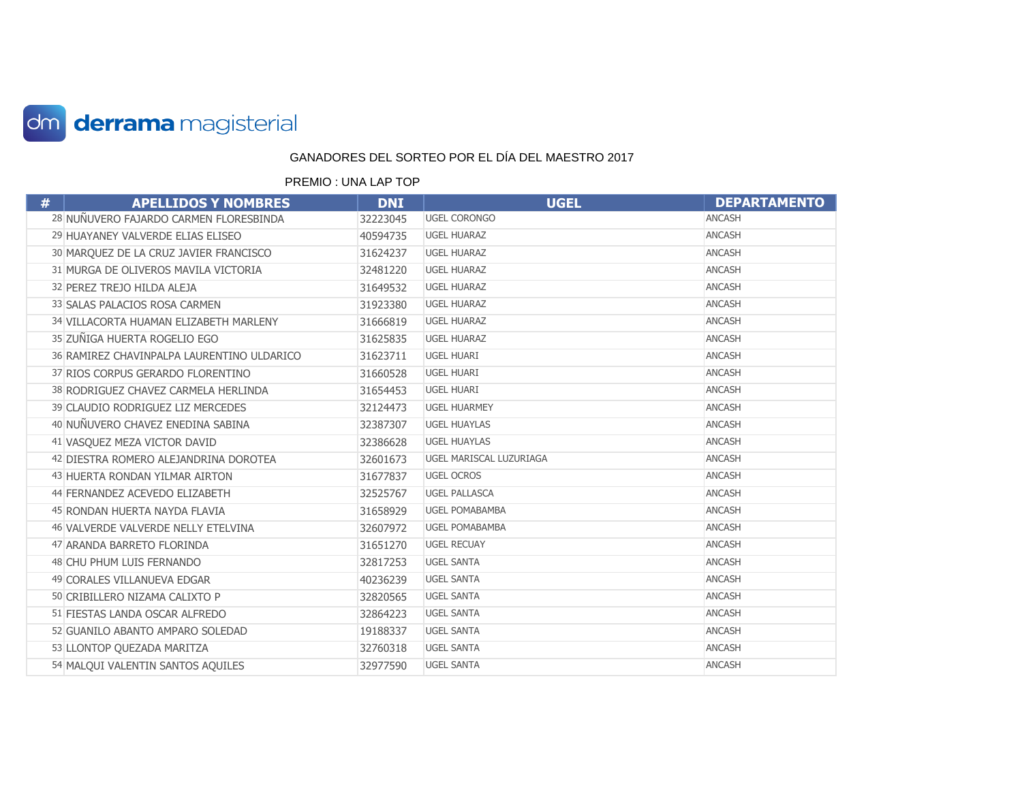

| # | <b>APELLIDOS Y NOMBRES</b>                 | <b>DNI</b> | <b>UGEL</b>             | <b>DEPARTAMENTO</b> |
|---|--------------------------------------------|------------|-------------------------|---------------------|
|   | 28 NUÑUVERO FAJARDO CARMEN FLORESBINDA     | 32223045   | <b>UGEL CORONGO</b>     | <b>ANCASH</b>       |
|   | 29 HUAYANEY VALVERDE ELIAS ELISEO          | 40594735   | <b>UGEL HUARAZ</b>      | <b>ANCASH</b>       |
|   | 30 MARQUEZ DE LA CRUZ JAVIER FRANCISCO     | 31624237   | <b>UGEL HUARAZ</b>      | <b>ANCASH</b>       |
|   | 31 MURGA DE OLIVEROS MAVILA VICTORIA       | 32481220   | <b>UGEL HUARAZ</b>      | <b>ANCASH</b>       |
|   | 32 PEREZ TREJO HILDA ALEJA                 | 31649532   | <b>UGEL HUARAZ</b>      | <b>ANCASH</b>       |
|   | 33 SALAS PALACIOS ROSA CARMEN              | 31923380   | <b>UGEL HUARAZ</b>      | <b>ANCASH</b>       |
|   | 34 VILLACORTA HUAMAN ELIZABETH MARLENY     | 31666819   | <b>UGEL HUARAZ</b>      | <b>ANCASH</b>       |
|   | 35 ZUÑIGA HUERTA ROGELIO EGO               | 31625835   | <b>UGEL HUARAZ</b>      | <b>ANCASH</b>       |
|   | 36 RAMIREZ CHAVINPALPA LAURENTINO ULDARICO | 31623711   | <b>UGEL HUARI</b>       | <b>ANCASH</b>       |
|   | 37 RIOS CORPUS GERARDO FLORENTINO          | 31660528   | <b>UGEL HUARI</b>       | <b>ANCASH</b>       |
|   | 38 RODRIGUEZ CHAVEZ CARMELA HERLINDA       | 31654453   | UGEL HUARI              | <b>ANCASH</b>       |
|   | 39 CLAUDIO RODRIGUEZ LIZ MERCEDES          | 32124473   | <b>UGEL HUARMEY</b>     | <b>ANCASH</b>       |
|   | 40 NUÑUVERO CHAVEZ ENEDINA SABINA          | 32387307   | <b>UGEL HUAYLAS</b>     | <b>ANCASH</b>       |
|   | 41 VASQUEZ MEZA VICTOR DAVID               | 32386628   | <b>UGEL HUAYLAS</b>     | ANCASH              |
|   | 42 DIESTRA ROMERO ALEJANDRINA DOROTEA      | 32601673   | UGEL MARISCAL LUZURIAGA | <b>ANCASH</b>       |
|   | 43 HUERTA RONDAN YILMAR AIRTON             | 31677837   | <b>UGEL OCROS</b>       | ANCASH              |
|   | 44 FERNANDEZ ACEVEDO ELIZABETH             | 32525767   | <b>UGEL PALLASCA</b>    | <b>ANCASH</b>       |
|   | 45 RONDAN HUERTA NAYDA FLAVIA              | 31658929   | UGEL POMABAMBA          | <b>ANCASH</b>       |
|   | 46 VALVERDE VALVERDE NELLY ETELVINA        | 32607972   | <b>UGEL POMABAMBA</b>   | <b>ANCASH</b>       |
|   | 47 ARANDA BARRETO FLORINDA                 | 31651270   | <b>UGEL RECUAY</b>      | <b>ANCASH</b>       |
|   | 48 CHU PHUM LUIS FERNANDO                  | 32817253   | <b>UGEL SANTA</b>       | <b>ANCASH</b>       |
|   | 49 CORALES VILLANUEVA EDGAR                | 40236239   | <b>UGEL SANTA</b>       | <b>ANCASH</b>       |
|   | 50 CRIBILLERO NIZAMA CALIXTO P             | 32820565   | <b>UGEL SANTA</b>       | <b>ANCASH</b>       |
|   | 51 FIESTAS LANDA OSCAR ALFREDO             | 32864223   | <b>UGEL SANTA</b>       | <b>ANCASH</b>       |
|   | 52 GUANILO ABANTO AMPARO SOLEDAD           | 19188337   | <b>UGEL SANTA</b>       | <b>ANCASH</b>       |
|   | 53 LLONTOP QUEZADA MARITZA                 | 32760318   | <b>UGEL SANTA</b>       | <b>ANCASH</b>       |
|   | 54 MALQUI VALENTIN SANTOS AQUILES          | 32977590   | <b>UGEL SANTA</b>       | <b>ANCASH</b>       |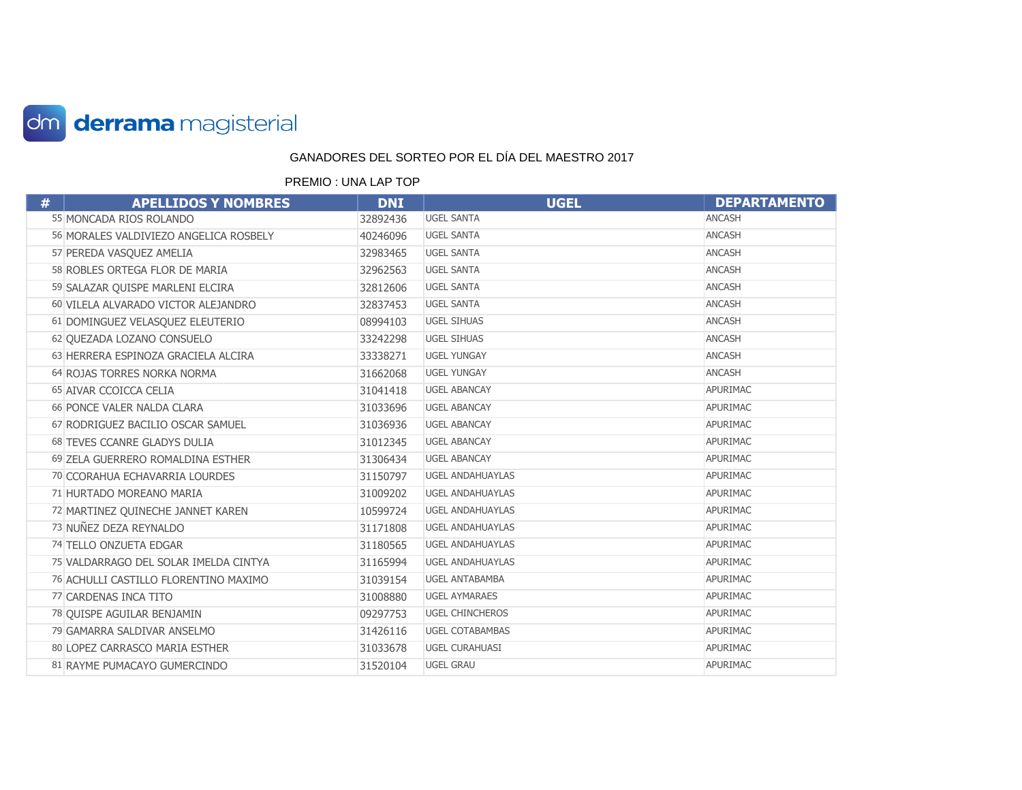

| # | <b>APELLIDOS Y NOMBRES</b>             | <b>DNI</b> | <b>UGEL</b>             | <b>DEPARTAMENTO</b> |
|---|----------------------------------------|------------|-------------------------|---------------------|
|   | 55 MONCADA RIOS ROLANDO                | 32892436   | <b>UGEL SANTA</b>       | <b>ANCASH</b>       |
|   | 56 MORALES VALDIVIEZO ANGELICA ROSBELY | 40246096   | <b>UGEL SANTA</b>       | <b>ANCASH</b>       |
|   | 57 PEREDA VASQUEZ AMELIA               | 32983465   | <b>UGEL SANTA</b>       | <b>ANCASH</b>       |
|   | 58 ROBLES ORTEGA FLOR DE MARIA         | 32962563   | <b>UGEL SANTA</b>       | <b>ANCASH</b>       |
|   | 59 SALAZAR QUISPE MARLENI ELCIRA       | 32812606   | <b>UGEL SANTA</b>       | <b>ANCASH</b>       |
|   | 60 VILELA ALVARADO VICTOR ALEJANDRO    | 32837453   | <b>UGEL SANTA</b>       | <b>ANCASH</b>       |
|   | 61 DOMINGUEZ VELASQUEZ ELEUTERIO       | 08994103   | <b>UGEL SIHUAS</b>      | <b>ANCASH</b>       |
|   | 62 QUEZADA LOZANO CONSUELO             | 33242298   | <b>UGEL SIHUAS</b>      | ANCASH              |
|   | 63 HERRERA ESPINOZA GRACIELA ALCIRA    | 33338271   | <b>UGEL YUNGAY</b>      | <b>ANCASH</b>       |
|   | 64 ROJAS TORRES NORKA NORMA            | 31662068   | <b>UGEL YUNGAY</b>      | ANCASH              |
|   | 65 AIVAR CCOICCA CELIA                 | 31041418   | <b>UGEL ABANCAY</b>     | APURIMAC            |
|   | 66 PONCE VALER NALDA CLARA             | 31033696   | <b>UGEL ABANCAY</b>     | APURIMAC            |
|   | 67 RODRIGUEZ BACILIO OSCAR SAMUEL      | 31036936   | <b>UGEL ABANCAY</b>     | APURIMAC            |
|   | 68 TEVES CCANRE GLADYS DULIA           | 31012345   | <b>UGEL ABANCAY</b>     | APURIMAC            |
|   | 69 ZELA GUERRERO ROMALDINA ESTHER      | 31306434   | <b>UGEL ABANCAY</b>     | APURIMAC            |
|   | 70 CCORAHUA ECHAVARRIA LOURDES         | 31150797   | <b>UGEL ANDAHUAYLAS</b> | APURIMAC            |
|   | 71 HURTADO MOREANO MARIA               | 31009202   | <b>UGEL ANDAHUAYLAS</b> | APURIMAC            |
|   | 72 MARTINEZ QUINECHE JANNET KAREN      | 10599724   | <b>UGEL ANDAHUAYLAS</b> | APURIMAC            |
|   | 73 NUÑEZ DEZA REYNALDO                 | 31171808   | <b>UGEL ANDAHUAYLAS</b> | APURIMAC            |
|   | 74 TELLO ONZUETA EDGAR                 | 31180565   | <b>UGEL ANDAHUAYLAS</b> | APURIMAC            |
|   | 75 VALDARRAGO DEL SOLAR IMELDA CINTYA  | 31165994   | <b>UGEL ANDAHUAYLAS</b> | APURIMAC            |
|   | 76 ACHULLI CASTILLO FLORENTINO MAXIMO  | 31039154   | <b>UGEL ANTABAMBA</b>   | APURIMAC            |
|   | 77 CARDENAS INCA TITO                  | 31008880   | <b>UGEL AYMARAES</b>    | APURIMAC            |
|   | 78 QUISPE AGUILAR BENJAMIN             | 09297753   | <b>UGEL CHINCHEROS</b>  | APURIMAC            |
|   | 79 GAMARRA SALDIVAR ANSELMO            | 31426116   | <b>UGEL COTABAMBAS</b>  | APURIMAC            |
|   | 80 LOPEZ CARRASCO MARIA ESTHER         | 31033678   | <b>UGEL CURAHUASI</b>   | APURIMAC            |
|   | 81 RAYME PUMACAYO GUMERCINDO           | 31520104   | <b>UGEL GRAU</b>        | APURIMAC            |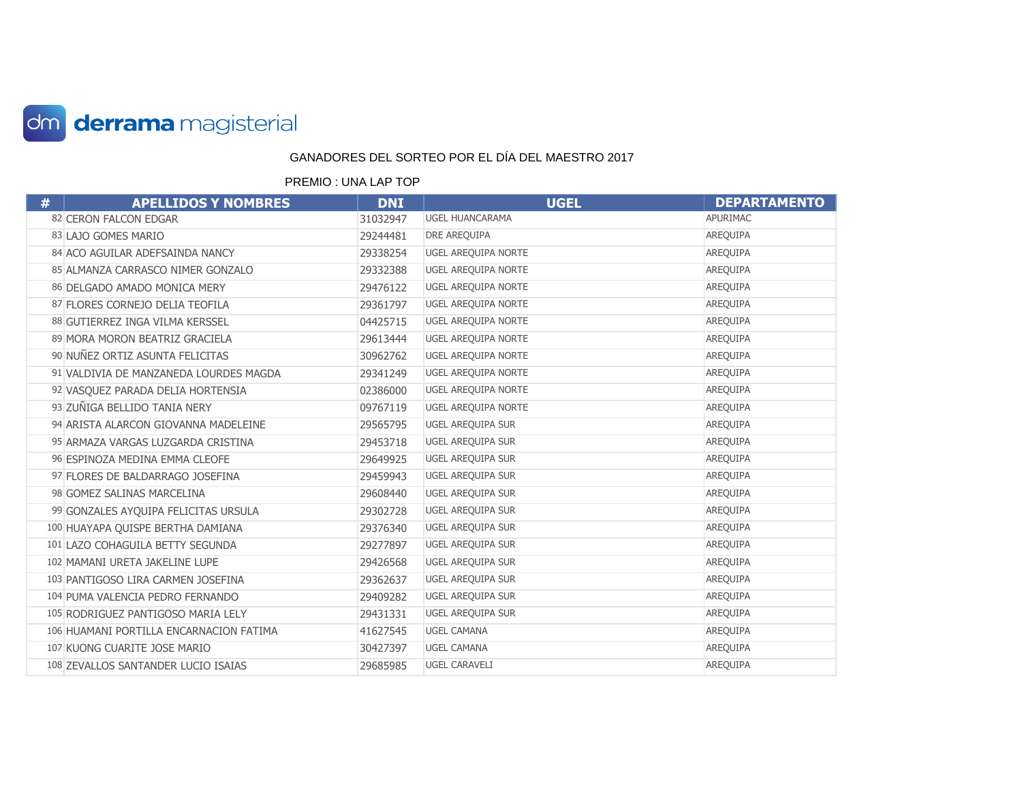

| # | <b>APELLIDOS Y NOMBRES</b>              | <b>DNI</b> | <b>UGEL</b>                | <b>DEPARTAMENTO</b> |
|---|-----------------------------------------|------------|----------------------------|---------------------|
|   | 82 CERON FALCON EDGAR                   | 31032947   | <b>UGEL HUANCARAMA</b>     | APURIMAC            |
|   | 83 LAJO GOMES MARIO                     | 29244481   | DRE AREQUIPA               | AREQUIPA            |
|   | 84 ACO AGUILAR ADEFSAINDA NANCY         | 29338254   | UGEL AREQUIPA NORTE        | AREQUIPA            |
|   | 85 ALMANZA CARRASCO NIMER GONZALO       | 29332388   | <b>UGEL AREQUIPA NORTE</b> | AREQUIPA            |
|   | 86 DELGADO AMADO MONICA MERY            | 29476122   | UGEL AREQUIPA NORTE        | AREQUIPA            |
|   | 87 FLORES CORNEJO DELIA TEOFILA         | 29361797   | UGEL AREQUIPA NORTE        | AREQUIPA            |
|   | 88 GUTIERREZ INGA VILMA KERSSEL         | 04425715   | UGEL AREQUIPA NORTE        | <b>AREQUIPA</b>     |
|   | 89 MORA MORON BEATRIZ GRACIELA          | 29613444   | UGEL AREQUIPA NORTE        | AREQUIPA            |
|   | 90 NUÑEZ ORTIZ ASUNTA FELICITAS         | 30962762   | UGEL AREQUIPA NORTE        | AREQUIPA            |
|   | 91 VALDIVIA DE MANZANEDA LOURDES MAGDA  | 29341249   | UGEL AREQUIPA NORTE        | AREQUIPA            |
|   | 92 VASQUEZ PARADA DELIA HORTENSIA       | 02386000   | UGEL AREQUIPA NORTE        | AREQUIPA            |
|   | 93 ZUÑIGA BELLIDO TANIA NERY            | 09767119   | UGEL AREQUIPA NORTE        | AREQUIPA            |
|   | 94 ARISTA ALARCON GIOVANNA MADELEINE    | 29565795   | UGEL AREQUIPA SUR          | AREQUIPA            |
|   | 95 ARMAZA VARGAS LUZGARDA CRISTINA      | 29453718   | UGEL AREQUIPA SUR          | AREQUIPA            |
|   | 96 ESPINOZA MEDINA EMMA CLEOFE          | 29649925   | UGEL AREQUIPA SUR          | AREQUIPA            |
|   | 97 FLORES DE BALDARRAGO JOSEFINA        | 29459943   | UGEL AREQUIPA SUR          | AREQUIPA            |
|   | 98 GOMEZ SALINAS MARCELINA              | 29608440   | <b>UGEL AREQUIPA SUR</b>   | AREQUIPA            |
|   | 99 GONZALES AYQUIPA FELICITAS URSULA    | 29302728   | <b>UGEL AREQUIPA SUR</b>   | AREQUIPA            |
|   | 100 HUAYAPA QUISPE BERTHA DAMIANA       | 29376340   | UGEL AREQUIPA SUR          | AREQUIPA            |
|   | 101 LAZO COHAGUILA BETTY SEGUNDA        | 29277897   | <b>UGEL AREQUIPA SUR</b>   | AREQUIPA            |
|   | 102 MAMANI URETA JAKELINE LUPE          | 29426568   | <b>UGEL AREQUIPA SUR</b>   | AREQUIPA            |
|   | 103 PANTIGOSO LIRA CARMEN JOSEFINA      | 29362637   | UGEL AREQUIPA SUR          | AREQUIPA            |
|   | 104 PUMA VALENCIA PEDRO FERNANDO        | 29409282   | <b>UGEL AREQUIPA SUR</b>   | AREQUIPA            |
|   | 105 RODRIGUEZ PANTIGOSO MARIA LELY      | 29431331   | UGEL AREQUIPA SUR          | AREQUIPA            |
|   | 106 HUAMANI PORTILLA ENCARNACION FATIMA | 41627545   | <b>UGEL CAMANA</b>         | AREQUIPA            |
|   | 107 KUONG CUARITE JOSE MARIO            | 30427397   | <b>UGEL CAMANA</b>         | AREQUIPA            |
|   | 108 ZEVALLOS SANTANDER LUCIO ISAIAS     | 29685985   | <b>UGEL CARAVELI</b>       | AREQUIPA            |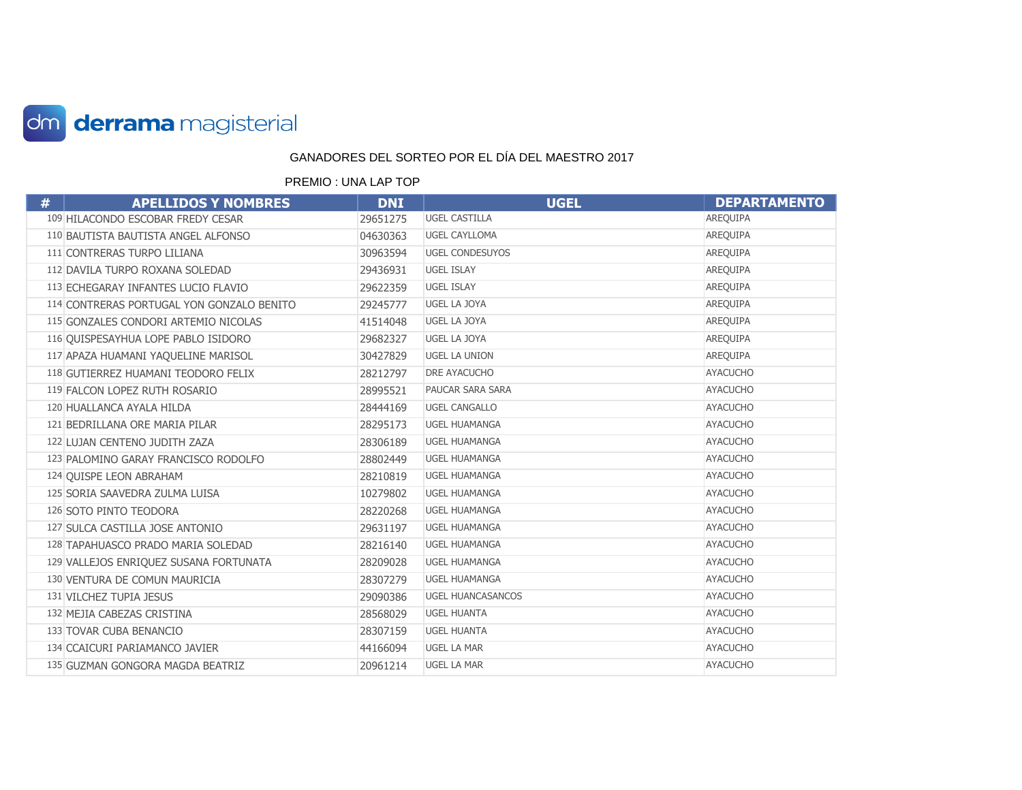

| # | <b>APELLIDOS Y NOMBRES</b>                | <b>DNI</b> | <b>UGEL</b>              | <b>DEPARTAMENTO</b> |
|---|-------------------------------------------|------------|--------------------------|---------------------|
|   | 109 HILACONDO ESCOBAR FREDY CESAR         | 29651275   | <b>UGEL CASTILLA</b>     | AREQUIPA            |
|   | 110 BAUTISTA BAUTISTA ANGEL ALFONSO       | 04630363   | <b>UGEL CAYLLOMA</b>     | AREQUIPA            |
|   | 111 CONTRERAS TURPO LILIANA               | 30963594   | <b>UGEL CONDESUYOS</b>   | AREQUIPA            |
|   | 112 DAVILA TURPO ROXANA SOLEDAD           | 29436931   | <b>UGEL ISLAY</b>        | AREQUIPA            |
|   | 113 ECHEGARAY INFANTES LUCIO FLAVIO       | 29622359   | <b>UGEL ISLAY</b>        | AREQUIPA            |
|   | 114 CONTRERAS PORTUGAL YON GONZALO BENITO | 29245777   | UGEL LA JOYA             | AREQUIPA            |
|   | 115 GONZALES CONDORI ARTEMIO NICOLAS      | 41514048   | UGEL LA JOYA             | AREQUIPA            |
|   | 116 QUISPESAYHUA LOPE PABLO ISIDORO       | 29682327   | UGEL LA JOYA             | AREQUIPA            |
|   | 117 APAZA HUAMANI YAQUELINE MARISOL       | 30427829   | <b>UGEL LA UNION</b>     | AREQUIPA            |
|   | 118 GUTIERREZ HUAMANI TEODORO FELIX       | 28212797   | DRE AYACUCHO             | <b>AYACUCHO</b>     |
|   | 119 FALCON LOPEZ RUTH ROSARIO             | 28995521   | PAUCAR SARA SARA         | <b>AYACUCHO</b>     |
|   | 120 HUALLANCA AYALA HILDA                 | 28444169   | <b>UGEL CANGALLO</b>     | <b>AYACUCHO</b>     |
|   | 121 BEDRILLANA ORE MARIA PILAR            | 28295173   | <b>UGEL HUAMANGA</b>     | <b>AYACUCHO</b>     |
|   | 122 LUJAN CENTENO JUDITH ZAZA             | 28306189   | <b>UGEL HUAMANGA</b>     | <b>AYACUCHO</b>     |
|   | 123 PALOMINO GARAY FRANCISCO RODOLFO      | 28802449   | <b>UGEL HUAMANGA</b>     | <b>AYACUCHO</b>     |
|   | 124 QUISPE LEON ABRAHAM                   | 28210819   | <b>UGEL HUAMANGA</b>     | <b>AYACUCHO</b>     |
|   | 125 SORIA SAAVEDRA ZULMA LUISA            | 10279802   | <b>UGEL HUAMANGA</b>     | <b>AYACUCHO</b>     |
|   | 126 SOTO PINTO TEODORA                    | 28220268   | <b>UGEL HUAMANGA</b>     | <b>AYACUCHO</b>     |
|   | 127 SULCA CASTILLA JOSE ANTONIO           | 29631197   | <b>UGEL HUAMANGA</b>     | <b>AYACUCHO</b>     |
|   | 128 TAPAHUASCO PRADO MARIA SOLEDAD        | 28216140   | <b>UGEL HUAMANGA</b>     | <b>AYACUCHO</b>     |
|   | 129 VALLEJOS ENRIQUEZ SUSANA FORTUNATA    | 28209028   | <b>UGEL HUAMANGA</b>     | <b>AYACUCHO</b>     |
|   | 130 VENTURA DE COMUN MAURICIA             | 28307279   | <b>UGEL HUAMANGA</b>     | <b>AYACUCHO</b>     |
|   | 131 VILCHEZ TUPIA JESUS                   | 29090386   | <b>UGEL HUANCASANCOS</b> | <b>AYACUCHO</b>     |
|   | 132 MEJIA CABEZAS CRISTINA                | 28568029   | <b>UGEL HUANTA</b>       | <b>AYACUCHO</b>     |
|   | 133 TOVAR CUBA BENANCIO                   | 28307159   | <b>UGEL HUANTA</b>       | <b>AYACUCHO</b>     |
|   | 134 CCAICURI PARIAMANCO JAVIER            | 44166094   | <b>UGEL LA MAR</b>       | <b>AYACUCHO</b>     |
|   | 135 GUZMAN GONGORA MAGDA BEATRIZ          | 20961214   | <b>UGEL LA MAR</b>       | <b>AYACUCHO</b>     |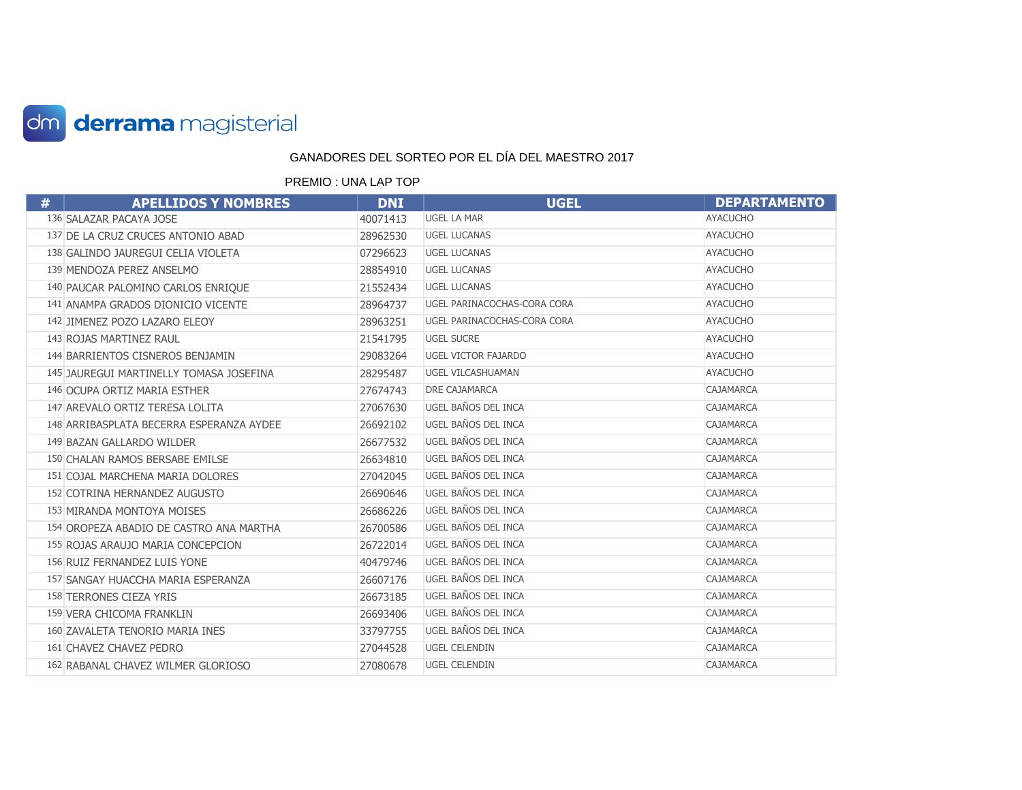

| # | <b>APELLIDOS Y NOMBRES</b>               | <b>DNI</b> | <b>UGEL</b>                 | <b>DEPARTAMENTO</b> |
|---|------------------------------------------|------------|-----------------------------|---------------------|
|   | 136 SALAZAR PACAYA JOSE                  | 40071413   | <b>UGEL LA MAR</b>          | <b>AYACUCHO</b>     |
|   | 137 DE LA CRUZ CRUCES ANTONIO ABAD       | 28962530   | <b>UGEL LUCANAS</b>         | <b>AYACUCHO</b>     |
|   | 138 GALINDO JAUREGUI CELIA VIOLETA       | 07296623   | <b>UGEL LUCANAS</b>         | <b>AYACUCHO</b>     |
|   | 139 MENDOZA PEREZ ANSELMO                | 28854910   | <b>UGEL LUCANAS</b>         | <b>AYACUCHO</b>     |
|   | 140 PAUCAR PALOMINO CARLOS ENRIQUE       | 21552434   | <b>UGEL LUCANAS</b>         | <b>AYACUCHO</b>     |
|   | 141 ANAMPA GRADOS DIONICIO VICENTE       | 28964737   | UGEL PARINACOCHAS-CORA CORA | <b>AYACUCHO</b>     |
|   | 142 JIMENEZ POZO LAZARO ELEOY            | 28963251   | UGEL PARINACOCHAS-CORA CORA | <b>AYACUCHO</b>     |
|   | 143 ROJAS MARTINEZ RAUL                  | 21541795   | <b>UGEL SUCRE</b>           | <b>AYACUCHO</b>     |
|   | 144 BARRIENTOS CISNEROS BENJAMIN         | 29083264   | <b>UGEL VICTOR FAJARDO</b>  | <b>AYACUCHO</b>     |
|   | 145 JAUREGUI MARTINELLY TOMASA JOSEFINA  | 28295487   | UGEL VILCASHUAMAN           | <b>AYACUCHO</b>     |
|   | 146 OCUPA ORTIZ MARIA ESTHER             | 27674743   | <b>DRE CAJAMARCA</b>        | <b>CAJAMARCA</b>    |
|   | 147 AREVALO ORTIZ TERESA LOLITA          | 27067630   | UGEL BAÑOS DEL INCA         | CAJAMARCA           |
|   | 148 ARRIBASPLATA BECERRA ESPERANZA AYDEE | 26692102   | UGEL BAÑOS DEL INCA         | CAJAMARCA           |
|   | 149 BAZAN GALLARDO WILDER                | 26677532   | UGEL BAÑOS DEL INCA         | CAJAMARCA           |
|   | 150 CHALAN RAMOS BERSABE EMILSE          | 26634810   | UGEL BAÑOS DEL INCA         | <b>CAJAMARCA</b>    |
|   | 151 COJAL MARCHENA MARIA DOLORES         | 27042045   | UGEL BAÑOS DEL INCA         | CAJAMARCA           |
|   | 152 COTRINA HERNANDEZ AUGUSTO            | 26690646   | UGEL BAÑOS DEL INCA         | <b>CAJAMARCA</b>    |
|   | 153 MIRANDA MONTOYA MOISES               | 26686226   | UGEL BAÑOS DEL INCA         | CAJAMARCA           |
|   | 154 OROPEZA ABADIO DE CASTRO ANA MARTHA  | 26700586   | UGEL BAÑOS DEL INCA         | CAJAMARCA           |
|   | 155 ROJAS ARAUJO MARIA CONCEPCION        | 26722014   | UGEL BAÑOS DEL INCA         | CAJAMARCA           |
|   | 156 RUIZ FERNANDEZ LUIS YONE             | 40479746   | UGEL BAÑOS DEL INCA         | <b>CAJAMARCA</b>    |
|   | 157 SANGAY HUACCHA MARIA ESPERANZA       | 26607176   | UGEL BAÑOS DEL INCA         | CAJAMARCA           |
|   | 158 TERRONES CIEZA YRIS                  | 26673185   | UGEL BAÑOS DEL INCA         | <b>CAJAMARCA</b>    |
|   | 159 VERA CHICOMA FRANKLIN                | 26693406   | UGEL BAÑOS DEL INCA         | CAJAMARCA           |
|   | 160 ZAVALETA TENORIO MARIA INES          | 33797755   | UGEL BAÑOS DEL INCA         | CAJAMARCA           |
|   | 161 CHAVEZ CHAVEZ PEDRO                  | 27044528   | UGEL CELENDIN               | CAJAMARCA           |
|   | 162 RABANAL CHAVEZ WILMER GLORIOSO       | 27080678   | <b>UGEL CELENDIN</b>        | <b>CAJAMARCA</b>    |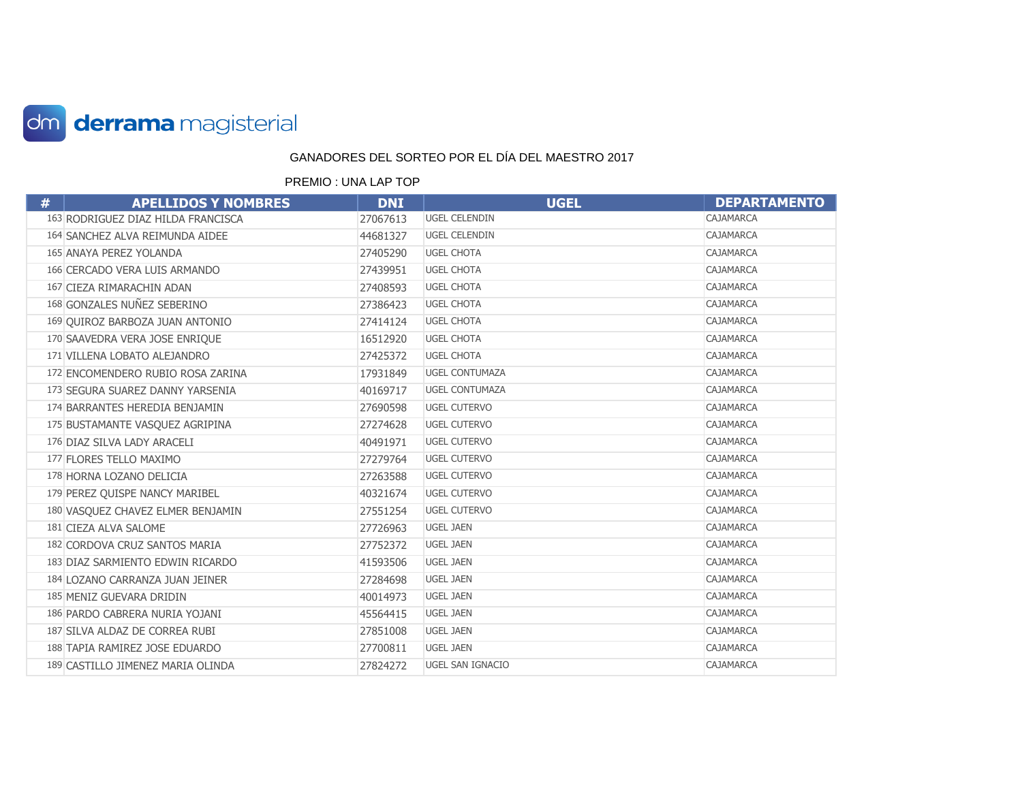

| # | <b>APELLIDOS Y NOMBRES</b>         | <b>DNI</b> | <b>UGEL</b>           | <b>DEPARTAMENTO</b> |
|---|------------------------------------|------------|-----------------------|---------------------|
|   | 163 RODRIGUEZ DIAZ HILDA FRANCISCA | 27067613   | UGEL CELENDIN         | <b>CAJAMARCA</b>    |
|   | 164 SANCHEZ ALVA REIMUNDA AIDEE    | 44681327   | <b>UGEL CELENDIN</b>  | CAJAMARCA           |
|   | 165 ANAYA PEREZ YOLANDA            | 27405290   | <b>UGEL CHOTA</b>     | <b>CAJAMARCA</b>    |
|   | 166 CERCADO VERA LUIS ARMANDO      | 27439951   | <b>UGEL CHOTA</b>     | <b>CAJAMARCA</b>    |
|   | 167 CIEZA RIMARACHIN ADAN          | 27408593   | <b>UGEL CHOTA</b>     | CAJAMARCA           |
|   | 168 GONZALES NUÑEZ SEBERINO        | 27386423   | <b>UGEL CHOTA</b>     | <b>CAJAMARCA</b>    |
|   | 169 QUIROZ BARBOZA JUAN ANTONIO    | 27414124   | <b>UGEL CHOTA</b>     | <b>CAJAMARCA</b>    |
|   | 170 SAAVEDRA VERA JOSE ENRIQUE     | 16512920   | <b>UGEL CHOTA</b>     | CAJAMARCA           |
|   | 171 VILLENA LOBATO ALEJANDRO       | 27425372   | <b>UGEL CHOTA</b>     | <b>CAJAMARCA</b>    |
|   | 172 ENCOMENDERO RUBIO ROSA ZARINA  | 17931849   | <b>UGEL CONTUMAZA</b> | <b>CAJAMARCA</b>    |
|   | 173 SEGURA SUAREZ DANNY YARSENIA   | 40169717   | <b>UGEL CONTUMAZA</b> | CAJAMARCA           |
|   | 174 BARRANTES HEREDIA BENJAMIN     | 27690598   | <b>UGEL CUTERVO</b>   | <b>CAJAMARCA</b>    |
|   | 175 BUSTAMANTE VASQUEZ AGRIPINA    | 27274628   | <b>UGEL CUTERVO</b>   | <b>CAJAMARCA</b>    |
|   | 176 DIAZ SILVA LADY ARACELI        | 40491971   | <b>UGEL CUTERVO</b>   | CAJAMARCA           |
|   | 177 FLORES TELLO MAXIMO            | 27279764   | <b>UGEL CUTERVO</b>   | CAJAMARCA           |
|   | 178 HORNA LOZANO DELICIA           | 27263588   | <b>UGEL CUTERVO</b>   | <b>CAJAMARCA</b>    |
|   | 179 PEREZ QUISPE NANCY MARIBEL     | 40321674   | <b>UGEL CUTERVO</b>   | CAJAMARCA           |
|   | 180 VASQUEZ CHAVEZ ELMER BENJAMIN  | 27551254   | <b>UGEL CUTERVO</b>   | CAJAMARCA           |
|   | 181 CIEZA ALVA SALOME              | 27726963   | <b>UGEL JAEN</b>      | <b>CAJAMARCA</b>    |
|   | 182 CORDOVA CRUZ SANTOS MARIA      | 27752372   | <b>UGEL JAEN</b>      | CAJAMARCA           |
|   | 183 DIAZ SARMIENTO EDWIN RICARDO   | 41593506   | <b>UGEL JAEN</b>      | CAJAMARCA           |
|   | 184 LOZANO CARRANZA JUAN JEINER    | 27284698   | <b>UGEL JAEN</b>      | <b>CAJAMARCA</b>    |
|   | 185 MENIZ GUEVARA DRIDIN           | 40014973   | <b>UGEL JAEN</b>      | CAJAMARCA           |
|   | 186 PARDO CABRERA NURIA YOJANI     | 45564415   | <b>UGEL JAEN</b>      | CAJAMARCA           |
|   | 187 SILVA ALDAZ DE CORREA RUBI     | 27851008   | <b>UGEL JAEN</b>      | CAJAMARCA           |
|   | 188 TAPIA RAMIREZ JOSE EDUARDO     | 27700811   | <b>UGEL JAEN</b>      | <b>CAJAMARCA</b>    |
|   | 189 CASTILLO JIMENEZ MARIA OLINDA  | 27824272   | UGEL SAN IGNACIO      | CAJAMARCA           |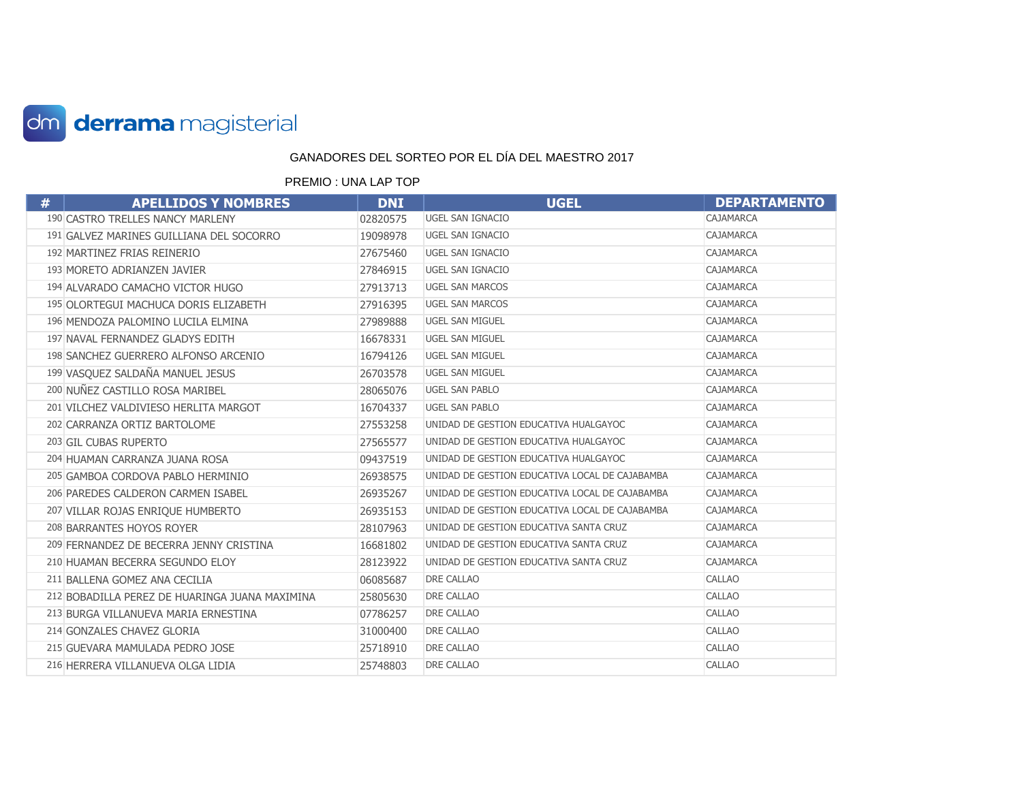

| # | <b>APELLIDOS Y NOMBRES</b>                     | <b>DNI</b> | <b>UGEL</b>                                    | <b>DEPARTAMENTO</b> |
|---|------------------------------------------------|------------|------------------------------------------------|---------------------|
|   | 190 CASTRO TRELLES NANCY MARLENY               | 02820575   | UGEL SAN IGNACIO                               | <b>CAJAMARCA</b>    |
|   | 191 GALVEZ MARINES GUILLIANA DEL SOCORRO       | 19098978   | <b>UGEL SAN IGNACIO</b>                        | <b>CAJAMARCA</b>    |
|   | 192 MARTINEZ FRIAS REINERIO                    | 27675460   | UGEL SAN IGNACIO                               | CAJAMARCA           |
|   | 193 MORETO ADRIANZEN JAVIER                    | 27846915   | UGEL SAN IGNACIO                               | <b>CAJAMARCA</b>    |
|   | 194 ALVARADO CAMACHO VICTOR HUGO               | 27913713   | <b>UGEL SAN MARCOS</b>                         | CAJAMARCA           |
|   | 195 OLORTEGUI MACHUCA DORIS ELIZABETH          | 27916395   | <b>UGEL SAN MARCOS</b>                         | CAJAMARCA           |
|   | 196 MENDOZA PALOMINO LUCILA ELMINA             | 27989888   | UGEL SAN MIGUEL                                | <b>CAJAMARCA</b>    |
|   | 197 NAVAL FERNANDEZ GLADYS EDITH               | 16678331   | <b>UGEL SAN MIGUEL</b>                         | CAJAMARCA           |
|   | 198 SANCHEZ GUERRERO ALFONSO ARCENIO           | 16794126   | UGEL SAN MIGUEL                                | <b>CAJAMARCA</b>    |
|   | 199 VASQUEZ SALDAÑA MANUEL JESUS               | 26703578   | <b>UGEL SAN MIGUEL</b>                         | CAJAMARCA           |
|   | 200 NUÑEZ CASTILLO ROSA MARIBEL                | 28065076   | <b>UGEL SAN PABLO</b>                          | <b>CAJAMARCA</b>    |
|   | 201 VILCHEZ VALDIVIESO HERLITA MARGOT          | 16704337   | <b>UGEL SAN PABLO</b>                          | CAJAMARCA           |
|   | 202 CARRANZA ORTIZ BARTOLOME                   | 27553258   | UNIDAD DE GESTION EDUCATIVA HUALGAYOC          | CAJAMARCA           |
|   | 203 GIL CUBAS RUPERTO                          | 27565577   | UNIDAD DE GESTION EDUCATIVA HUALGAYOC          | CAJAMARCA           |
|   | 204 HUAMAN CARRANZA JUANA ROSA                 | 09437519   | UNIDAD DE GESTION EDUCATIVA HUALGAYOC          | <b>CAJAMARCA</b>    |
|   | 205 GAMBOA CORDOVA PABLO HERMINIO              | 26938575   | UNIDAD DE GESTION EDUCATIVA LOCAL DE CAJABAMBA | CAJAMARCA           |
|   | 206 PAREDES CALDERON CARMEN ISABEL             | 26935267   | UNIDAD DE GESTION EDUCATIVA LOCAL DE CAJABAMBA | CAJAMARCA           |
|   | 207 VILLAR ROJAS ENRIQUE HUMBERTO              | 26935153   | UNIDAD DE GESTION EDUCATIVA LOCAL DE CAJABAMBA | <b>CAJAMARCA</b>    |
|   | 208 BARRANTES HOYOS ROYER                      | 28107963   | UNIDAD DE GESTION EDUCATIVA SANTA CRUZ         | <b>CAJAMARCA</b>    |
|   | 209 FERNANDEZ DE BECERRA JENNY CRISTINA        | 16681802   | UNIDAD DE GESTION EDUCATIVA SANTA CRUZ         | <b>CAJAMARCA</b>    |
|   | 210 HUAMAN BECERRA SEGUNDO ELOY                | 28123922   | UNIDAD DE GESTION EDUCATIVA SANTA CRUZ         | CAJAMARCA           |
|   | 211 BALLENA GOMEZ ANA CECILIA                  | 06085687   | DRE CALLAO                                     | <b>CALLAO</b>       |
|   | 212 BOBADILLA PEREZ DE HUARINGA JUANA MAXIMINA | 25805630   | <b>DRE CALLAO</b>                              | <b>CALLAO</b>       |
|   | 213 BURGA VILLANUEVA MARIA ERNESTINA           | 07786257   | DRE CALLAO                                     | CALLAO              |
|   | 214 GONZALES CHAVEZ GLORIA                     | 31000400   | DRE CALLAO                                     | <b>CALLAO</b>       |
|   | 215 GUEVARA MAMULADA PEDRO JOSE                | 25718910   | <b>DRE CALLAO</b>                              | <b>CALLAO</b>       |
|   | 216 HERRERA VILLANUEVA OLGA LIDIA              | 25748803   | DRE CALLAO                                     | <b>CALLAO</b>       |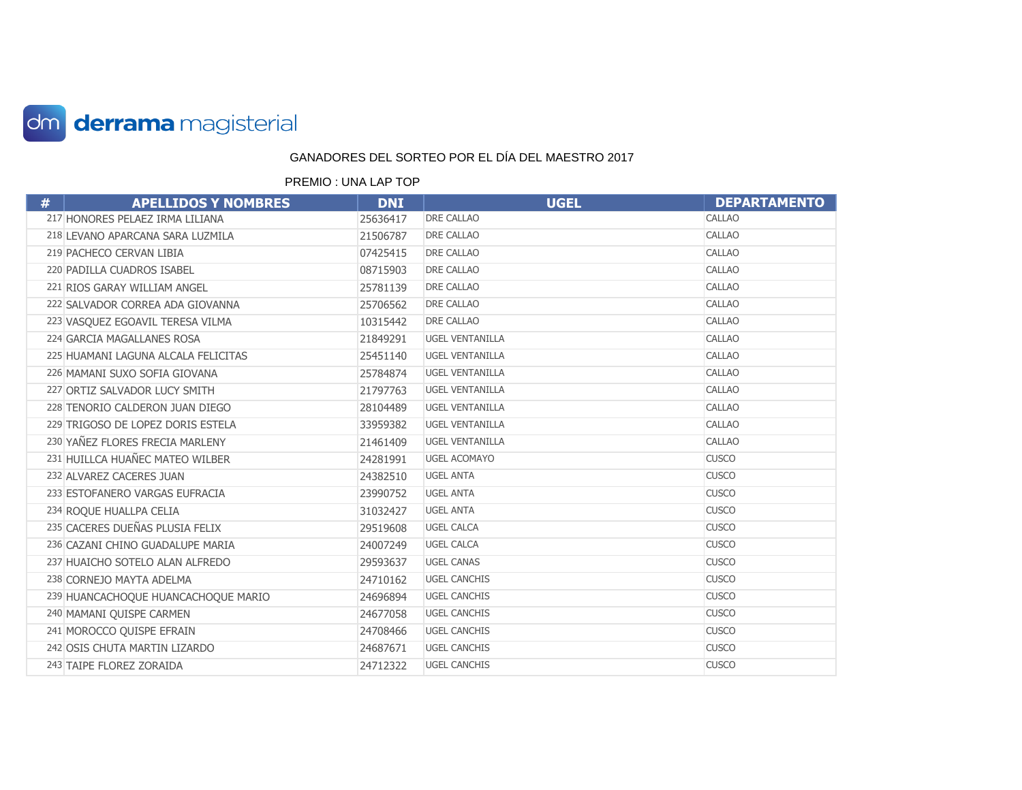

| # | <b>APELLIDOS Y NOMBRES</b>          | <b>DNI</b> | <b>UGEL</b>            | <b>DEPARTAMENTO</b> |
|---|-------------------------------------|------------|------------------------|---------------------|
|   | 217 HONORES PELAEZ IRMA LILIANA     | 25636417   | <b>DRE CALLAO</b>      | <b>CALLAO</b>       |
|   | 218 LEVANO APARCANA SARA LUZMILA    | 21506787   | <b>DRE CALLAO</b>      | <b>CALLAO</b>       |
|   | 219 PACHECO CERVAN LIBIA            | 07425415   | <b>DRE CALLAO</b>      | <b>CALLAO</b>       |
|   | 220 PADILLA CUADROS ISABEL          | 08715903   | <b>DRE CALLAO</b>      | <b>CALLAO</b>       |
|   | 221 RIOS GARAY WILLIAM ANGEL        | 25781139   | DRE CALLAO             | CALLAO              |
|   | 222 SALVADOR CORREA ADA GIOVANNA    | 25706562   | DRE CALLAO             | <b>CALLAO</b>       |
|   | 223 VASQUEZ EGOAVIL TERESA VILMA    | 10315442   | <b>DRE CALLAO</b>      | <b>CALLAO</b>       |
|   | 224 GARCIA MAGALLANES ROSA          | 21849291   | <b>UGEL VENTANILLA</b> | CALLAO              |
|   | 225 HUAMANI LAGUNA ALCALA FELICITAS | 25451140   | <b>UGEL VENTANILLA</b> | <b>CALLAO</b>       |
|   | 226 MAMANI SUXO SOFIA GIOVANA       | 25784874   | <b>UGEL VENTANILLA</b> | <b>CALLAO</b>       |
|   | 227 ORTIZ SALVADOR LUCY SMITH       | 21797763   | <b>UGEL VENTANILLA</b> | <b>CALLAO</b>       |
|   | 228 TENORIO CALDERON JUAN DIEGO     | 28104489   | <b>UGEL VENTANILLA</b> | <b>CALLAO</b>       |
|   | 229 TRIGOSO DE LOPEZ DORIS ESTELA   | 33959382   | <b>UGEL VENTANILLA</b> | <b>CALLAO</b>       |
|   | 230 YAÑEZ FLORES FRECIA MARLENY     | 21461409   | <b>UGEL VENTANILLA</b> | <b>CALLAO</b>       |
|   | 231 HUILLCA HUAÑEC MATEO WILBER     | 24281991   | <b>UGEL ACOMAYO</b>    | <b>CUSCO</b>        |
|   | 232 ALVAREZ CACERES JUAN            | 24382510   | <b>UGEL ANTA</b>       | <b>CUSCO</b>        |
|   | 233 ESTOFANERO VARGAS EUFRACIA      | 23990752   | <b>UGEL ANTA</b>       | <b>CUSCO</b>        |
|   | 234 ROQUE HUALLPA CELIA             | 31032427   | <b>UGEL ANTA</b>       | <b>CUSCO</b>        |
|   | 235 CACERES DUEÑAS PLUSIA FELIX     | 29519608   | <b>UGEL CALCA</b>      | <b>CUSCO</b>        |
|   | 236 CAZANI CHINO GUADALUPE MARIA    | 24007249   | <b>UGEL CALCA</b>      | <b>CUSCO</b>        |
|   | 237 HUAICHO SOTELO ALAN ALFREDO     | 29593637   | <b>UGEL CANAS</b>      | <b>CUSCO</b>        |
|   | 238 CORNEJO MAYTA ADELMA            | 24710162   | <b>UGEL CANCHIS</b>    | <b>CUSCO</b>        |
|   | 239 HUANCACHOQUE HUANCACHOQUE MARIO | 24696894   | <b>UGEL CANCHIS</b>    | <b>CUSCO</b>        |
|   | 240 MAMANI QUISPE CARMEN            | 24677058   | <b>UGEL CANCHIS</b>    | <b>CUSCO</b>        |
|   | 241 MOROCCO QUISPE EFRAIN           | 24708466   | <b>UGEL CANCHIS</b>    | <b>CUSCO</b>        |
|   | 242 OSIS CHUTA MARTIN LIZARDO       | 24687671   | <b>UGEL CANCHIS</b>    | <b>CUSCO</b>        |
|   | 243 TAIPE FLOREZ ZORAIDA            | 24712322   | <b>UGEL CANCHIS</b>    | <b>CUSCO</b>        |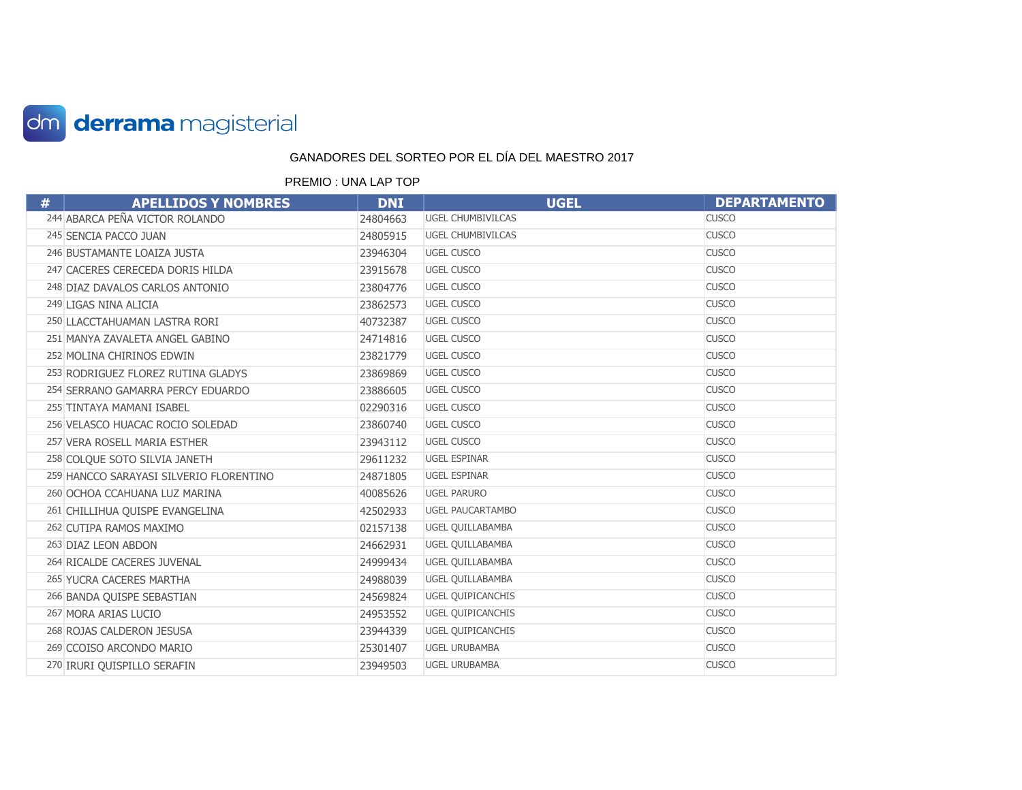

| # | <b>APELLIDOS Y NOMBRES</b>              | <b>DNI</b> | <b>UGEL</b>              | <b>DEPARTAMENTO</b> |
|---|-----------------------------------------|------------|--------------------------|---------------------|
|   | 244 ABARCA PEÑA VICTOR ROLANDO          | 24804663   | <b>UGEL CHUMBIVILCAS</b> | <b>CUSCO</b>        |
|   | 245 SENCIA PACCO JUAN                   | 24805915   | <b>UGEL CHUMBIVILCAS</b> | <b>CUSCO</b>        |
|   | 246 BUSTAMANTE LOAIZA JUSTA             | 23946304   | <b>UGEL CUSCO</b>        | <b>CUSCO</b>        |
|   | 247 CACERES CERECEDA DORIS HILDA        | 23915678   | <b>UGEL CUSCO</b>        | <b>CUSCO</b>        |
|   | 248 DIAZ DAVALOS CARLOS ANTONIO         | 23804776   | <b>UGEL CUSCO</b>        | <b>CUSCO</b>        |
|   | 249 LIGAS NINA ALICIA                   | 23862573   | <b>UGEL CUSCO</b>        | <b>CUSCO</b>        |
|   | 250 LLACCTAHUAMAN LASTRA RORI           | 40732387   | <b>UGEL CUSCO</b>        | <b>CUSCO</b>        |
|   | 251 MANYA ZAVALETA ANGEL GABINO         | 24714816   | <b>UGEL CUSCO</b>        | <b>CUSCO</b>        |
|   | 252 MOLINA CHIRINOS EDWIN               | 23821779   | <b>UGEL CUSCO</b>        | <b>CUSCO</b>        |
|   | 253 RODRIGUEZ FLOREZ RUTINA GLADYS      | 23869869   | <b>UGEL CUSCO</b>        | <b>CUSCO</b>        |
|   | 254 SERRANO GAMARRA PERCY EDUARDO       | 23886605   | <b>UGEL CUSCO</b>        | <b>CUSCO</b>        |
|   | 255 TINTAYA MAMANI ISABEL               | 02290316   | <b>UGEL CUSCO</b>        | <b>CUSCO</b>        |
|   | 256 VELASCO HUACAC ROCIO SOLEDAD        | 23860740   | <b>UGEL CUSCO</b>        | <b>CUSCO</b>        |
|   | 257 VERA ROSELL MARIA ESTHER            | 23943112   | <b>UGEL CUSCO</b>        | <b>CUSCO</b>        |
|   | 258 COLOUE SOTO SILVIA JANETH           | 29611232   | <b>UGEL ESPINAR</b>      | <b>CUSCO</b>        |
|   | 259 HANCCO SARAYASI SILVERIO FLORENTINO | 24871805   | <b>UGEL ESPINAR</b>      | <b>CUSCO</b>        |
|   | 260 OCHOA CCAHUANA LUZ MARINA           | 40085626   | <b>UGEL PARURO</b>       | <b>CUSCO</b>        |
|   | 261 CHILLIHUA QUISPE EVANGELINA         | 42502933   | <b>UGEL PAUCARTAMBO</b>  | <b>CUSCO</b>        |
|   | 262 CUTIPA RAMOS MAXIMO                 | 02157138   | <b>UGEL QUILLABAMBA</b>  | <b>CUSCO</b>        |
|   | 263 DIAZ LEON ABDON                     | 24662931   | UGEL QUILLABAMBA         | <b>CUSCO</b>        |
|   | 264 RICALDE CACERES JUVENAL             | 24999434   | UGEL QUILLABAMBA         | <b>CUSCO</b>        |
|   | 265 YUCRA CACERES MARTHA                | 24988039   | <b>UGEL QUILLABAMBA</b>  | <b>CUSCO</b>        |
|   | 266 BANDA QUISPE SEBASTIAN              | 24569824   | <b>UGEL QUIPICANCHIS</b> | <b>CUSCO</b>        |
|   | 267 MORA ARIAS LUCIO                    | 24953552   | <b>UGEL QUIPICANCHIS</b> | <b>CUSCO</b>        |
|   | 268 ROJAS CALDERON JESUSA               | 23944339   | <b>UGEL QUIPICANCHIS</b> | <b>CUSCO</b>        |
|   | 269 CCOISO ARCONDO MARIO                | 25301407   | <b>UGEL URUBAMBA</b>     | <b>CUSCO</b>        |
|   | 270 IRURI QUISPILLO SERAFIN             | 23949503   | <b>UGEL URUBAMBA</b>     | <b>CUSCO</b>        |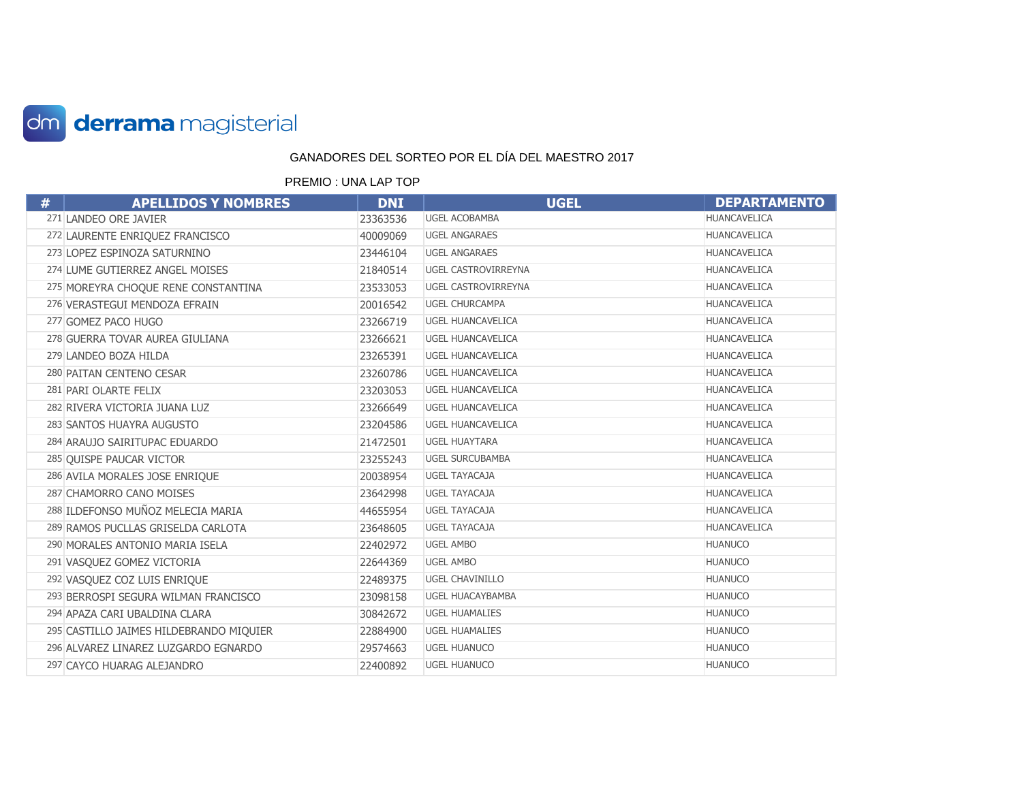

| # | <b>APELLIDOS Y NOMBRES</b>              | <b>DNI</b> | <b>UGEL</b>                | <b>DEPARTAMENTO</b> |
|---|-----------------------------------------|------------|----------------------------|---------------------|
|   | 271 LANDEO ORE JAVIER                   | 23363536   | <b>UGEL ACOBAMBA</b>       | <b>HUANCAVELICA</b> |
|   | 272 LAURENTE ENRIQUEZ FRANCISCO         | 40009069   | <b>UGEL ANGARAES</b>       | <b>HUANCAVELICA</b> |
|   | 273 LOPEZ ESPINOZA SATURNINO            | 23446104   | <b>UGEL ANGARAES</b>       | <b>HUANCAVELICA</b> |
|   | 274 LUME GUTIERREZ ANGEL MOISES         | 21840514   | <b>UGEL CASTROVIRREYNA</b> | <b>HUANCAVELICA</b> |
|   | 275 MOREYRA CHOQUE RENE CONSTANTINA     | 23533053   | UGEL CASTROVIRREYNA        | <b>HUANCAVELICA</b> |
|   | 276 VERASTEGUI MENDOZA EFRAIN           | 20016542   | <b>UGEL CHURCAMPA</b>      | HUANCAVELICA        |
|   | 277 GOMEZ PACO HUGO                     | 23266719   | <b>UGEL HUANCAVELICA</b>   | <b>HUANCAVELICA</b> |
|   | 278 GUERRA TOVAR AUREA GIULIANA         | 23266621   | <b>UGEL HUANCAVELICA</b>   | <b>HUANCAVELICA</b> |
|   | 279 LANDEO BOZA HILDA                   | 23265391   | <b>UGEL HUANCAVELICA</b>   | <b>HUANCAVELICA</b> |
|   | 280 PAITAN CENTENO CESAR                | 23260786   | <b>UGEL HUANCAVELICA</b>   | HUANCAVELICA        |
|   | 281 PARI OLARTE FELIX                   | 23203053   | <b>UGEL HUANCAVELICA</b>   | <b>HUANCAVELICA</b> |
|   | 282 RIVERA VICTORIA JUANA LUZ           | 23266649   | <b>UGEL HUANCAVELICA</b>   | <b>HUANCAVELICA</b> |
|   | 283 SANTOS HUAYRA AUGUSTO               | 23204586   | <b>UGEL HUANCAVELICA</b>   | HUANCAVELICA        |
|   | 284 ARAUJO SAIRITUPAC EDUARDO           | 21472501   | <b>UGEL HUAYTARA</b>       | <b>HUANCAVELICA</b> |
|   | 285 QUISPE PAUCAR VICTOR                | 23255243   | <b>UGEL SURCUBAMBA</b>     | <b>HUANCAVELICA</b> |
|   | 286 AVILA MORALES JOSE ENRIQUE          | 20038954   | <b>UGEL TAYACAJA</b>       | HUANCAVELICA        |
|   | 287 CHAMORRO CANO MOISES                | 23642998   | <b>UGEL TAYACAJA</b>       | HUANCAVELICA        |
|   | 288 ILDEFONSO MUÑOZ MELECIA MARIA       | 44655954   | <b>UGEL TAYACAJA</b>       | HUANCAVELICA        |
|   | 289 RAMOS PUCLLAS GRISELDA CARLOTA      | 23648605   | <b>UGEL TAYACAJA</b>       | <b>HUANCAVELICA</b> |
|   | 290 MORALES ANTONIO MARIA ISELA         | 22402972   | <b>UGEL AMBO</b>           | <b>HUANUCO</b>      |
|   | 291 VASQUEZ GOMEZ VICTORIA              | 22644369   | <b>UGEL AMBO</b>           | <b>HUANUCO</b>      |
|   | 292 VASQUEZ COZ LUIS ENRIQUE            | 22489375   | <b>UGEL CHAVINILLO</b>     | <b>HUANUCO</b>      |
|   | 293 BERROSPI SEGURA WILMAN FRANCISCO    | 23098158   | <b>UGEL HUACAYBAMBA</b>    | <b>HUANUCO</b>      |
|   | 294 APAZA CARI UBALDINA CLARA           | 30842672   | <b>UGEL HUAMALIES</b>      | <b>HUANUCO</b>      |
|   | 295 CASTILLO JAIMES HILDEBRANDO MIQUIER | 22884900   | <b>UGEL HUAMALIES</b>      | <b>HUANUCO</b>      |
|   | 296 ALVAREZ LINAREZ LUZGARDO EGNARDO    | 29574663   | <b>UGEL HUANUCO</b>        | <b>HUANUCO</b>      |
|   | 297 CAYCO HUARAG ALEJANDRO              | 22400892   | <b>UGEL HUANUCO</b>        | <b>HUANUCO</b>      |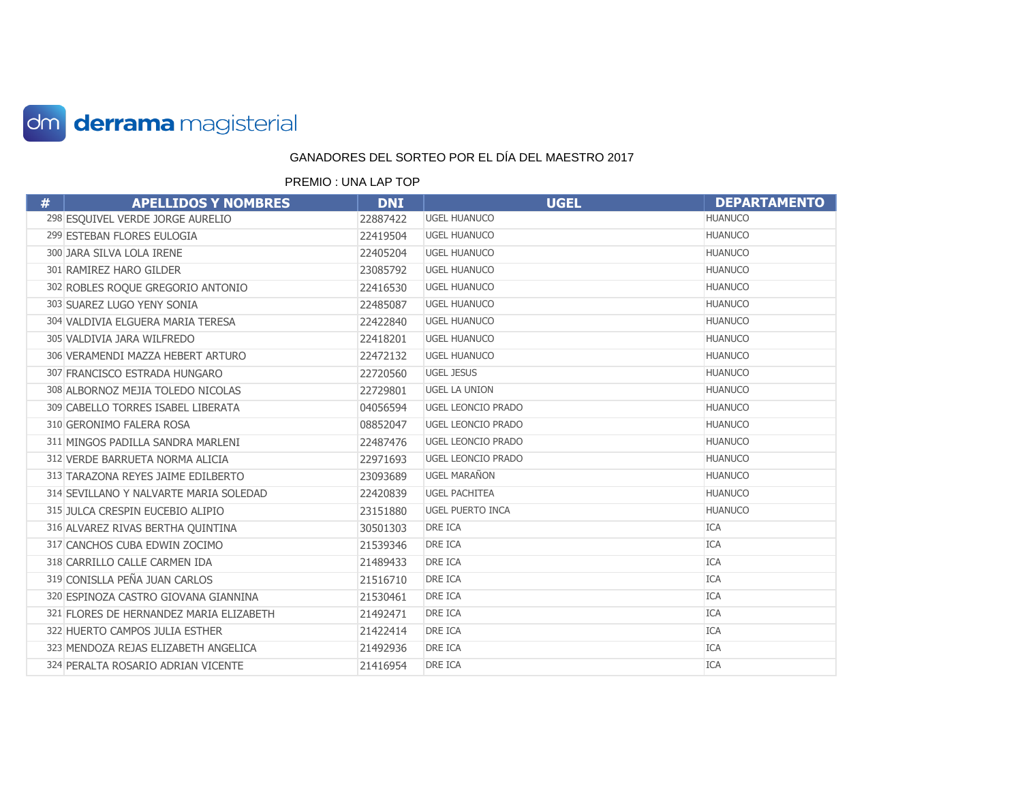

| # | <b>APELLIDOS Y NOMBRES</b>              | <b>DNI</b> | <b>UGEL</b>               | <b>DEPARTAMENTO</b> |
|---|-----------------------------------------|------------|---------------------------|---------------------|
|   | 298 ESQUIVEL VERDE JORGE AURELIO        | 22887422   | <b>UGEL HUANUCO</b>       | <b>HUANUCO</b>      |
|   | 299 ESTEBAN FLORES EULOGIA              | 22419504   | <b>UGEL HUANUCO</b>       | <b>HUANUCO</b>      |
|   | 300 JARA SILVA LOLA IRENE               | 22405204   | <b>UGEL HUANUCO</b>       | <b>HUANUCO</b>      |
|   | 301 RAMIREZ HARO GILDER                 | 23085792   | <b>UGEL HUANUCO</b>       | <b>HUANUCO</b>      |
|   | 302 ROBLES ROQUE GREGORIO ANTONIO       | 22416530   | <b>UGEL HUANUCO</b>       | <b>HUANUCO</b>      |
|   | 303 SUAREZ LUGO YENY SONIA              | 22485087   | <b>UGEL HUANUCO</b>       | <b>HUANUCO</b>      |
|   | 304 VALDIVIA ELGUERA MARIA TERESA       | 22422840   | <b>UGEL HUANUCO</b>       | <b>HUANUCO</b>      |
|   | 305 VALDIVIA JARA WILFREDO              | 22418201   | <b>UGEL HUANUCO</b>       | <b>HUANUCO</b>      |
|   | 306 VERAMENDI MAZZA HEBERT ARTURO       | 22472132   | <b>UGEL HUANUCO</b>       | <b>HUANUCO</b>      |
|   | 307 FRANCISCO ESTRADA HUNGARO           | 22720560   | <b>UGEL JESUS</b>         | <b>HUANUCO</b>      |
|   | 308 ALBORNOZ MEJIA TOLEDO NICOLAS       | 22729801   | <b>UGEL LA UNION</b>      | <b>HUANUCO</b>      |
|   | 309 CABELLO TORRES ISABEL LIBERATA      | 04056594   | UGEL LEONCIO PRADO        | <b>HUANUCO</b>      |
|   | 310 GERONIMO FALERA ROSA                | 08852047   | <b>UGEL LEONCIO PRADO</b> | <b>HUANUCO</b>      |
|   | 311 MINGOS PADILLA SANDRA MARLENI       | 22487476   | <b>UGEL LEONCIO PRADO</b> | <b>HUANUCO</b>      |
|   | 312 VERDE BARRUETA NORMA ALICIA         | 22971693   | UGEL LEONCIO PRADO        | <b>HUANUCO</b>      |
|   | 313 TARAZONA REYES JAIME EDILBERTO      | 23093689   | <b>UGEL MARAÑON</b>       | <b>HUANUCO</b>      |
|   | 314 SEVILLANO Y NALVARTE MARIA SOLEDAD  | 22420839   | <b>UGEL PACHITEA</b>      | <b>HUANUCO</b>      |
|   | 315 JULCA CRESPIN EUCEBIO ALIPIO        | 23151880   | <b>UGEL PUERTO INCA</b>   | <b>HUANUCO</b>      |
|   | 316 ALVAREZ RIVAS BERTHA QUINTINA       | 30501303   | DRE ICA                   | <b>ICA</b>          |
|   | 317 CANCHOS CUBA EDWIN ZOCIMO           | 21539346   | DRE ICA                   | <b>ICA</b>          |
|   | 318 CARRILLO CALLE CARMEN IDA           | 21489433   | DRE ICA                   | <b>ICA</b>          |
|   | 319 CONISLLA PEÑA JUAN CARLOS           | 21516710   | DRE ICA                   | <b>ICA</b>          |
|   | 320 ESPINOZA CASTRO GIOVANA GIANNINA    | 21530461   | DRE ICA                   | <b>ICA</b>          |
|   | 321 FLORES DE HERNANDEZ MARIA ELIZABETH | 21492471   | DRE ICA                   | <b>ICA</b>          |
|   | 322 HUERTO CAMPOS JULIA ESTHER          | 21422414   | DRE ICA                   | <b>ICA</b>          |
|   | 323 MENDOZA REJAS ELIZABETH ANGELICA    | 21492936   | DRE ICA                   | <b>ICA</b>          |
|   | 324 PERALTA ROSARIO ADRIAN VICENTE      | 21416954   | <b>DRE ICA</b>            | <b>ICA</b>          |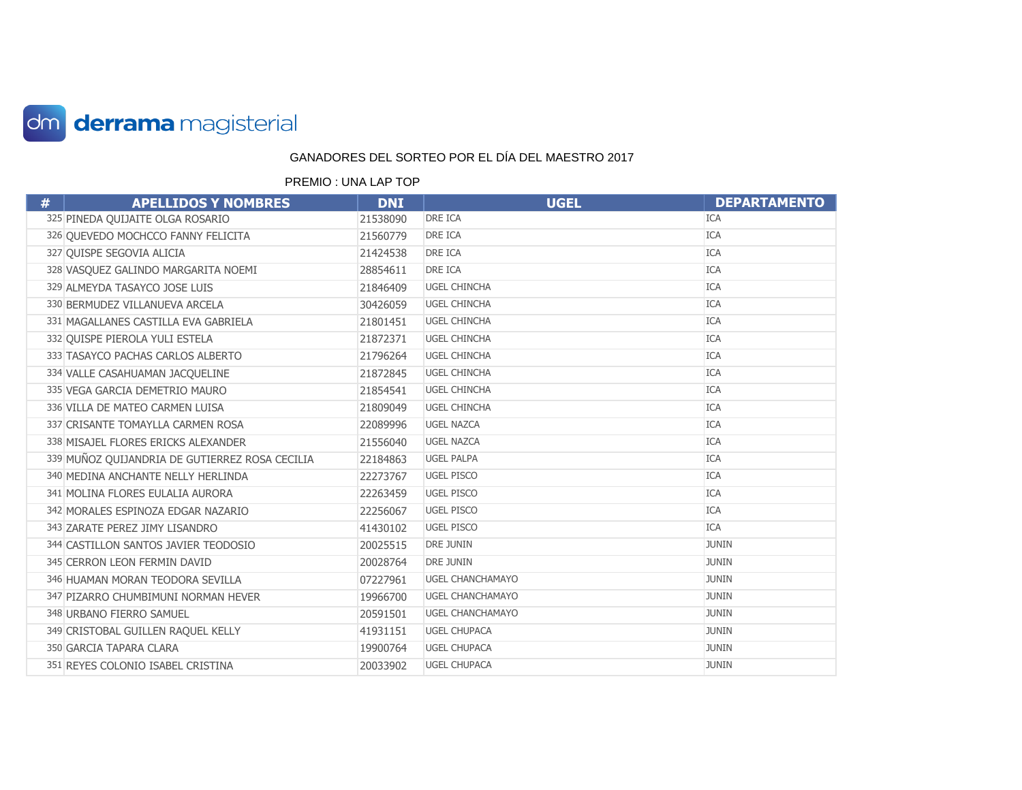

| # | <b>APELLIDOS Y NOMBRES</b>                     | <b>DNI</b> | <b>UGEL</b>             | <b>DEPARTAMENTO</b> |
|---|------------------------------------------------|------------|-------------------------|---------------------|
|   | 325 PINEDA QUIJAITE OLGA ROSARIO               | 21538090   | <b>DRE ICA</b>          | <b>ICA</b>          |
|   | 326 QUEVEDO MOCHCCO FANNY FELICITA             | 21560779   | <b>DRE ICA</b>          | <b>ICA</b>          |
|   | 327 QUISPE SEGOVIA ALICIA                      | 21424538   | DRE ICA                 | <b>ICA</b>          |
|   | 328 VASQUEZ GALINDO MARGARITA NOEMI            | 28854611   | <b>DRE ICA</b>          | <b>ICA</b>          |
|   | 329 ALMEYDA TASAYCO JOSE LUIS                  | 21846409   | <b>UGEL CHINCHA</b>     | <b>ICA</b>          |
|   | 330 BERMUDEZ VILLANUEVA ARCELA                 | 30426059   | <b>UGEL CHINCHA</b>     | <b>ICA</b>          |
|   | 331 MAGALLANES CASTILLA EVA GABRIELA           | 21801451   | <b>UGEL CHINCHA</b>     | <b>ICA</b>          |
|   | 332 OUISPE PIEROLA YULI ESTELA                 | 21872371   | <b>UGEL CHINCHA</b>     | <b>ICA</b>          |
|   | 333 TASAYCO PACHAS CARLOS ALBERTO              | 21796264   | <b>UGEL CHINCHA</b>     | <b>ICA</b>          |
|   | 334 VALLE CASAHUAMAN JACQUELINE                | 21872845   | <b>UGEL CHINCHA</b>     | <b>ICA</b>          |
|   | 335 VEGA GARCIA DEMETRIO MAURO                 | 21854541   | <b>UGEL CHINCHA</b>     | <b>ICA</b>          |
|   | 336 VILLA DE MATEO CARMEN LUISA                | 21809049   | <b>UGEL CHINCHA</b>     | <b>ICA</b>          |
|   | 337 CRISANTE TOMAYLLA CARMEN ROSA              | 22089996   | <b>UGEL NAZCA</b>       | <b>ICA</b>          |
|   | 338 MISAJEL FLORES ERICKS ALEXANDER            | 21556040   | <b>UGEL NAZCA</b>       | <b>ICA</b>          |
|   | 339 MUÑOZ QUIJANDRIA DE GUTIERREZ ROSA CECILIA | 22184863   | <b>UGEL PALPA</b>       | <b>ICA</b>          |
|   | 340 MEDINA ANCHANTE NELLY HERLINDA             | 22273767   | <b>UGEL PISCO</b>       | <b>ICA</b>          |
|   | 341 MOLINA FLORES EULALIA AURORA               | 22263459   | <b>UGEL PISCO</b>       | <b>ICA</b>          |
|   | 342 MORALES ESPINOZA EDGAR NAZARIO             | 22256067   | <b>UGEL PISCO</b>       | <b>ICA</b>          |
|   | 343 ZARATE PEREZ JIMY LISANDRO                 | 41430102   | <b>UGEL PISCO</b>       | <b>ICA</b>          |
|   | 344 CASTILLON SANTOS JAVIER TEODOSIO           | 20025515   | <b>DRE JUNIN</b>        | <b>JUNIN</b>        |
|   | 345 CERRON LEON FERMIN DAVID                   | 20028764   | <b>DRE JUNIN</b>        | <b>JUNIN</b>        |
|   | 346 HUAMAN MORAN TEODORA SEVILLA               | 07227961   | <b>UGEL CHANCHAMAYO</b> | <b>JUNIN</b>        |
|   | 347 PIZARRO CHUMBIMUNI NORMAN HEVER            | 19966700   | <b>UGEL CHANCHAMAYO</b> | <b>JUNIN</b>        |
|   | 348 URBANO FIERRO SAMUEL                       | 20591501   | <b>UGEL CHANCHAMAYO</b> | <b>JUNIN</b>        |
|   | 349 CRISTOBAL GUILLEN RAQUEL KELLY             | 41931151   | <b>UGEL CHUPACA</b>     | <b>JUNIN</b>        |
|   | 350 GARCIA TAPARA CLARA                        | 19900764   | <b>UGEL CHUPACA</b>     | <b>JUNIN</b>        |
|   | 351 REYES COLONIO ISABEL CRISTINA              | 20033902   | <b>UGEL CHUPACA</b>     | <b>JUNIN</b>        |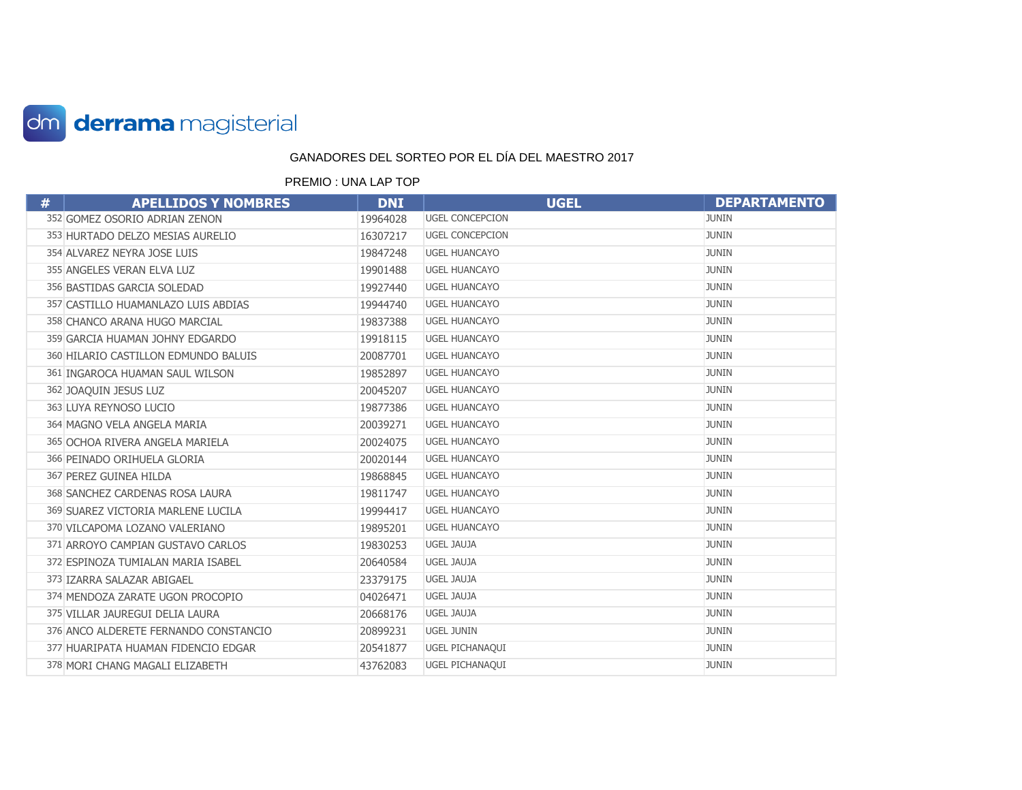

| # | <b>APELLIDOS Y NOMBRES</b>            | <b>DNI</b> | <b>UGEL</b>            | <b>DEPARTAMENTO</b> |
|---|---------------------------------------|------------|------------------------|---------------------|
|   | 352 GOMEZ OSORIO ADRIAN ZENON         | 19964028   | <b>UGEL CONCEPCION</b> | <b>JUNIN</b>        |
|   | 353 HURTADO DELZO MESIAS AURELIO      | 16307217   | <b>UGEL CONCEPCION</b> | <b>JUNIN</b>        |
|   | 354 ALVAREZ NEYRA JOSE LUIS           | 19847248   | <b>UGEL HUANCAYO</b>   | <b>JUNIN</b>        |
|   | 355 ANGELES VERAN ELVA LUZ            | 19901488   | <b>UGEL HUANCAYO</b>   | <b>JUNIN</b>        |
|   | 356 BASTIDAS GARCIA SOLEDAD           | 19927440   | <b>UGEL HUANCAYO</b>   | <b>JUNIN</b>        |
|   | 357 CASTILLO HUAMANLAZO LUIS ABDIAS   | 19944740   | <b>UGEL HUANCAYO</b>   | <b>JUNIN</b>        |
|   | 358 CHANCO ARANA HUGO MARCIAL         | 19837388   | <b>UGEL HUANCAYO</b>   | <b>JUNIN</b>        |
|   | 359 GARCIA HUAMAN JOHNY EDGARDO       | 19918115   | <b>UGEL HUANCAYO</b>   | <b>JUNIN</b>        |
|   | 360 HILARIO CASTILLON EDMUNDO BALUIS  | 20087701   | <b>UGEL HUANCAYO</b>   | <b>JUNIN</b>        |
|   | 361 INGAROCA HUAMAN SAUL WILSON       | 19852897   | <b>UGEL HUANCAYO</b>   | <b>JUNIN</b>        |
|   | 362 JOAQUIN JESUS LUZ                 | 20045207   | <b>UGEL HUANCAYO</b>   | <b>JUNIN</b>        |
|   | 363 LUYA REYNOSO LUCIO                | 19877386   | <b>UGEL HUANCAYO</b>   | <b>JUNIN</b>        |
|   | 364 MAGNO VELA ANGELA MARIA           | 20039271   | <b>UGEL HUANCAYO</b>   | <b>JUNIN</b>        |
|   | 365 OCHOA RIVERA ANGELA MARIELA       | 20024075   | <b>UGEL HUANCAYO</b>   | <b>JUNIN</b>        |
|   | 366 PEINADO ORIHUELA GLORIA           | 20020144   | <b>UGEL HUANCAYO</b>   | <b>JUNIN</b>        |
|   | 367 PEREZ GUINEA HILDA                | 19868845   | <b>UGEL HUANCAYO</b>   | <b>JUNIN</b>        |
|   | 368 SANCHEZ CARDENAS ROSA LAURA       | 19811747   | <b>UGEL HUANCAYO</b>   | <b>JUNIN</b>        |
|   | 369 SUAREZ VICTORIA MARLENE LUCILA    | 19994417   | <b>UGEL HUANCAYO</b>   | <b>JUNIN</b>        |
|   | 370 VILCAPOMA LOZANO VALERIANO        | 19895201   | <b>UGEL HUANCAYO</b>   | <b>JUNIN</b>        |
|   | 371 ARROYO CAMPIAN GUSTAVO CARLOS     | 19830253   | UGEL JAUJA             | <b>JUNIN</b>        |
|   | 372 ESPINOZA TUMIALAN MARIA ISABEL    | 20640584   | <b>UGEL JAUJA</b>      | <b>JUNIN</b>        |
|   | 373 IZARRA SALAZAR ABIGAEL            | 23379175   | UGEL JAUJA             | <b>JUNIN</b>        |
|   | 374 MENDOZA ZARATE UGON PROCOPIO      | 04026471   | UGEL JAUJA             | <b>JUNIN</b>        |
|   | 375 VILLAR JAUREGUI DELIA LAURA       | 20668176   | <b>UGEL JAUJA</b>      | <b>JUNIN</b>        |
|   | 376 ANCO ALDERETE FERNANDO CONSTANCIO | 20899231   | <b>UGEL JUNIN</b>      | <b>JUNIN</b>        |
|   | 377 HUARIPATA HUAMAN FIDENCIO EDGAR   | 20541877   | UGEL PICHANAQUI        | <b>JUNIN</b>        |
|   | 378 MORI CHANG MAGALI ELIZABETH       | 43762083   | UGEL PICHANAQUI        | <b>JUNIN</b>        |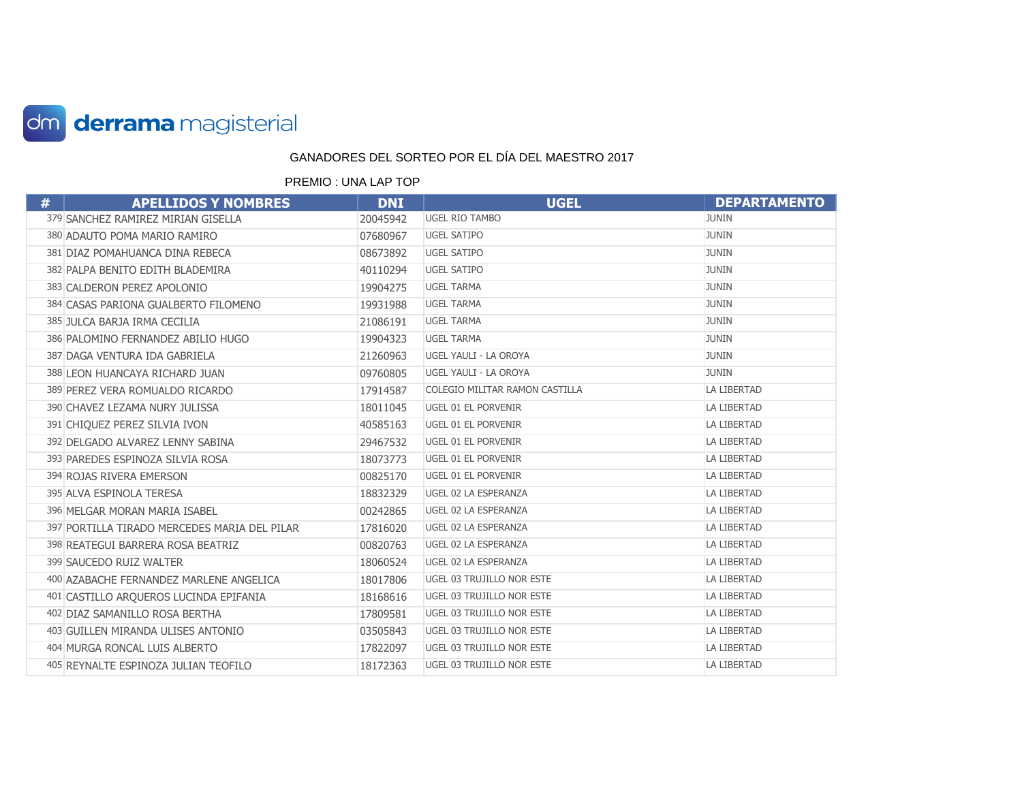

| # | <b>APELLIDOS Y NOMBRES</b>                   | <b>DNI</b> | <b>UGEL</b>                      | <b>DEPARTAMENTO</b> |
|---|----------------------------------------------|------------|----------------------------------|---------------------|
|   | 379 SANCHEZ RAMIREZ MIRIAN GISELLA           | 20045942   | <b>UGEL RIO TAMBO</b>            | <b>JUNIN</b>        |
|   | 380 ADAUTO POMA MARIO RAMIRO                 | 07680967   | <b>UGEL SATIPO</b>               | <b>JUNIN</b>        |
|   | 381 DIAZ POMAHUANCA DINA REBECA              | 08673892   | <b>UGEL SATIPO</b>               | <b>JUNIN</b>        |
|   | 382 PALPA BENITO EDITH BLADEMIRA             | 40110294   | <b>UGEL SATIPO</b>               | <b>JUNIN</b>        |
|   | 383 CALDERON PEREZ APOLONIO                  | 19904275   | <b>UGEL TARMA</b>                | <b>JUNIN</b>        |
|   | 384 CASAS PARIONA GUALBERTO FILOMENO         | 19931988   | <b>UGEL TARMA</b>                | <b>JUNIN</b>        |
|   | 385 JULCA BARJA IRMA CECILIA                 | 21086191   | <b>UGEL TARMA</b>                | <b>JUNIN</b>        |
|   | 386 PALOMINO FERNANDEZ ABILIO HUGO           | 19904323   | <b>UGEL TARMA</b>                | <b>JUNIN</b>        |
|   | 387 DAGA VENTURA IDA GABRIELA                | 21260963   | UGEL YAULI - LA OROYA            | <b>JUNIN</b>        |
|   | 388 LEON HUANCAYA RICHARD JUAN               | 09760805   | UGEL YAULI - LA OROYA            | <b>JUNIN</b>        |
|   | 389 PEREZ VERA ROMUALDO RICARDO              | 17914587   | COLEGIO MILITAR RAMON CASTILLA   | <b>LA LIBERTAD</b>  |
|   | 390 CHAVEZ LEZAMA NURY JULISSA               | 18011045   | UGEL 01 EL PORVENIR              | LA LIBERTAD         |
|   | 391 CHIQUEZ PEREZ SILVIA IVON                | 40585163   | UGEL 01 EL PORVENIR              | <b>LA LIBERTAD</b>  |
|   | 392 DELGADO ALVAREZ LENNY SABINA             | 29467532   | UGEL 01 EL PORVENIR              | <b>LA LIBERTAD</b>  |
|   | 393 PAREDES ESPINOZA SILVIA ROSA             | 18073773   | UGEL 01 EL PORVENIR              | LA LIBERTAD         |
|   | 394 ROJAS RIVERA EMERSON                     | 00825170   | UGEL 01 EL PORVENIR              | LA LIBERTAD         |
|   | 395 ALVA ESPINOLA TERESA                     | 18832329   | UGEL 02 LA ESPERANZA             | LA LIBERTAD         |
|   | 396 MELGAR MORAN MARIA ISABEL                | 00242865   | UGEL 02 LA ESPERANZA             | LA LIBERTAD         |
|   | 397 PORTILLA TIRADO MERCEDES MARIA DEL PILAR | 17816020   | UGEL 02 LA ESPERANZA             | LA LIBERTAD         |
|   | 398 REATEGUI BARRERA ROSA BEATRIZ            | 00820763   | UGEL 02 LA ESPERANZA             | <b>LA LIBERTAD</b>  |
|   | 399 SAUCEDO RUIZ WALTER                      | 18060524   | UGEL 02 LA ESPERANZA             | <b>LA LIBERTAD</b>  |
|   | 400 AZABACHE FERNANDEZ MARLENE ANGELICA      | 18017806   | UGEL 03 TRUJILLO NOR ESTE        | LA LIBERTAD         |
|   | 401 CASTILLO AROUEROS LUCINDA EPIFANIA       | 18168616   | <b>UGEL 03 TRUJILLO NOR ESTE</b> | LA LIBERTAD         |
|   | 402 DIAZ SAMANILLO ROSA BERTHA               | 17809581   | UGEL 03 TRUJILLO NOR ESTE        | LA LIBERTAD         |
|   | 403 GUILLEN MIRANDA ULISES ANTONIO           | 03505843   | UGEL 03 TRUJILLO NOR ESTE        | LA LIBERTAD         |
|   | 404 MURGA RONCAL LUIS ALBERTO                | 17822097   | <b>UGEL 03 TRUJILLO NOR ESTE</b> | LA LIBERTAD         |
|   | 405 REYNALTE ESPINOZA JULIAN TEOFILO         | 18172363   | UGEL 03 TRUJILLO NOR ESTE        | LA LIBERTAD         |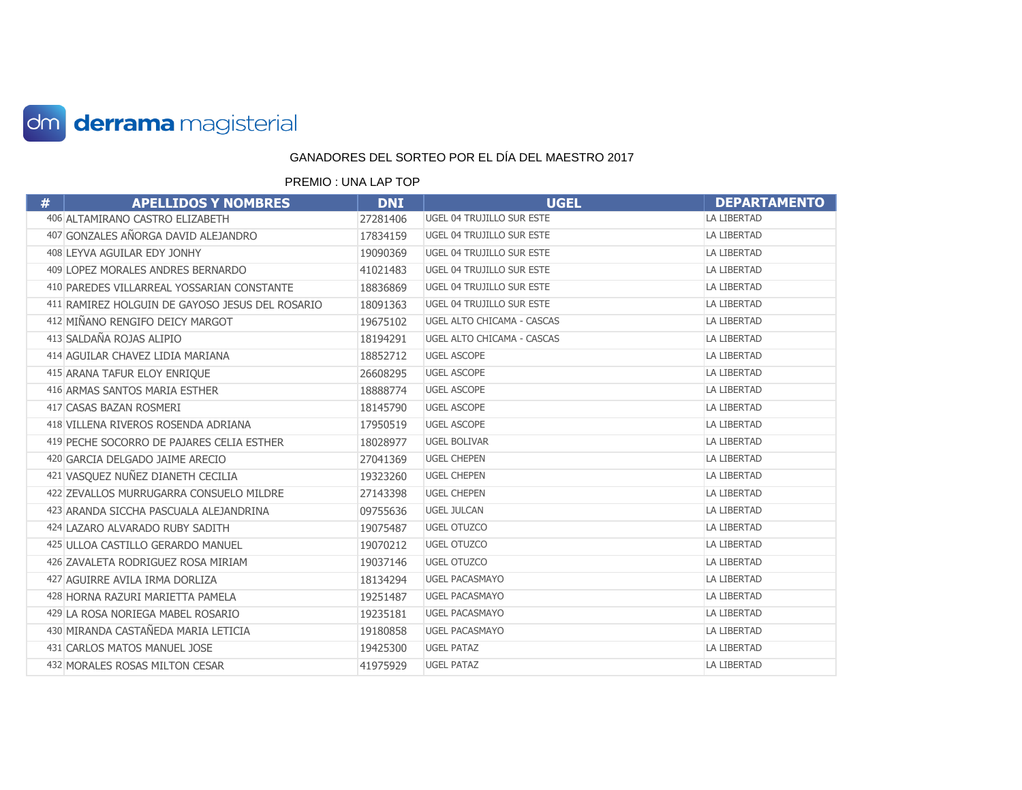

| # | <b>APELLIDOS Y NOMBRES</b>                      | <b>DNI</b> | <b>UGEL</b>                      | <b>DEPARTAMENTO</b> |
|---|-------------------------------------------------|------------|----------------------------------|---------------------|
|   | 406 ALTAMIRANO CASTRO ELIZABETH                 | 27281406   | UGEL 04 TRUJILLO SUR ESTE        | <b>LA LIBERTAD</b>  |
|   | 407 GONZALES AÑORGA DAVID ALEJANDRO             | 17834159   | <b>UGEL 04 TRUJILLO SUR ESTE</b> | <b>LA LIBERTAD</b>  |
|   | 408 LEYVA AGUILAR EDY JONHY                     | 19090369   | UGEL 04 TRUJILLO SUR ESTE        | LA LIBERTAD         |
|   | 409 LOPEZ MORALES ANDRES BERNARDO               | 41021483   | UGEL 04 TRUJILLO SUR ESTE        | <b>LA LIBERTAD</b>  |
|   | 410 PAREDES VILLARREAL YOSSARIAN CONSTANTE      | 18836869   | UGEL 04 TRUJILLO SUR ESTE        | <b>LA LIBERTAD</b>  |
|   | 411 RAMIREZ HOLGUIN DE GAYOSO JESUS DEL ROSARIO | 18091363   | UGEL 04 TRUJILLO SUR ESTE        | LA LIBERTAD         |
|   | 412 MIÑANO RENGIFO DEICY MARGOT                 | 19675102   | UGEL ALTO CHICAMA - CASCAS       | <b>LA LIBERTAD</b>  |
|   | 413 SALDAÑA ROJAS ALIPIO                        | 18194291   | UGEL ALTO CHICAMA - CASCAS       | LA LIBERTAD         |
|   | 414 AGUILAR CHAVEZ LIDIA MARIANA                | 18852712   | <b>UGEL ASCOPE</b>               | LA LIBERTAD         |
|   | 415 ARANA TAFUR ELOY ENRIQUE                    | 26608295   | <b>UGEL ASCOPE</b>               | <b>LA LIBERTAD</b>  |
|   | 416 ARMAS SANTOS MARIA ESTHER                   | 18888774   | <b>UGEL ASCOPE</b>               | LA LIBERTAD         |
|   | 417 CASAS BAZAN ROSMERI                         | 18145790   | <b>UGEL ASCOPE</b>               | <b>LA LIBERTAD</b>  |
|   | 418 VILLENA RIVEROS ROSENDA ADRIANA             | 17950519   | <b>UGEL ASCOPE</b>               | <b>LA LIBERTAD</b>  |
|   | 419 PECHE SOCORRO DE PAJARES CELIA ESTHER       | 18028977   | <b>UGEL BOLIVAR</b>              | LA LIBERTAD         |
|   | 420 GARCIA DELGADO JAIME ARECIO                 | 27041369   | <b>UGEL CHEPEN</b>               | <b>LA LIBERTAD</b>  |
|   | 421 VASQUEZ NUÑEZ DIANETH CECILIA               | 19323260   | <b>UGEL CHEPEN</b>               | LA LIBERTAD         |
|   | 422 ZEVALLOS MURRUGARRA CONSUELO MILDRE         | 27143398   | <b>UGEL CHEPEN</b>               | <b>LA LIBERTAD</b>  |
|   | 423 ARANDA SICCHA PASCUALA ALEJANDRINA          | 09755636   | <b>UGEL JULCAN</b>               | <b>LA LIBERTAD</b>  |
|   | 424 LAZARO ALVARADO RUBY SADITH                 | 19075487   | <b>UGEL OTUZCO</b>               | LA LIBERTAD         |
|   | 425 ULLOA CASTILLO GERARDO MANUEL               | 19070212   | <b>UGEL OTUZCO</b>               | <b>LA LIBERTAD</b>  |
|   | 426 ZAVALETA RODRIGUEZ ROSA MIRIAM              | 19037146   | <b>UGEL OTUZCO</b>               | LA LIBERTAD         |
|   | 427 AGUIRRE AVILA IRMA DORLIZA                  | 18134294   | <b>UGEL PACASMAYO</b>            | <b>LA LIBERTAD</b>  |
|   | 428 HORNA RAZURI MARIETTA PAMELA                | 19251487   | <b>UGEL PACASMAYO</b>            | <b>LA LIBERTAD</b>  |
|   | 429 LA ROSA NORIEGA MABEL ROSARIO               | 19235181   | <b>UGEL PACASMAYO</b>            | LA LIBERTAD         |
|   | 430 MIRANDA CASTAÑEDA MARIA LETICIA             | 19180858   | <b>UGEL PACASMAYO</b>            | <b>LA LIBERTAD</b>  |
|   | 431 CARLOS MATOS MANUEL JOSE                    | 19425300   | <b>UGEL PATAZ</b>                | <b>LA LIBERTAD</b>  |
|   | 432 MORALES ROSAS MILTON CESAR                  | 41975929   | <b>UGEL PATAZ</b>                | <b>LA LIBERTAD</b>  |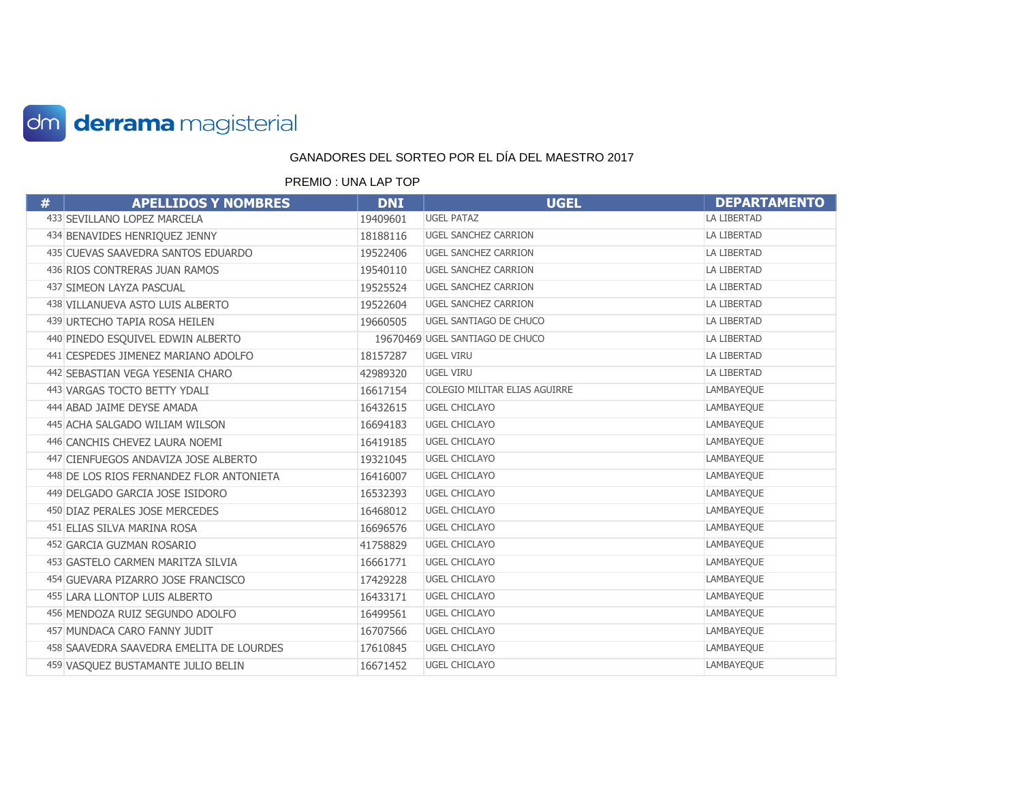

| # | <b>APELLIDOS Y NOMBRES</b>               | <b>DNI</b> | <b>UGEL</b>                     | <b>DEPARTAMENTO</b> |
|---|------------------------------------------|------------|---------------------------------|---------------------|
|   | 433 SEVILLANO LOPEZ MARCELA              | 19409601   | <b>UGEL PATAZ</b>               | LA LIBERTAD         |
|   | 434 BENAVIDES HENRIQUEZ JENNY            | 18188116   | <b>UGEL SANCHEZ CARRION</b>     | <b>LA LIBERTAD</b>  |
|   | 435 CUEVAS SAAVEDRA SANTOS EDUARDO       | 19522406   | <b>UGEL SANCHEZ CARRION</b>     | LA LIBERTAD         |
|   | 436 RIOS CONTRERAS JUAN RAMOS            | 19540110   | <b>UGEL SANCHEZ CARRION</b>     | <b>LA LIBERTAD</b>  |
|   | 437 SIMEON LAYZA PASCUAL                 | 19525524   | <b>UGEL SANCHEZ CARRION</b>     | LA LIBERTAD         |
|   | 438 VILLANUEVA ASTO LUIS ALBERTO         | 19522604   | <b>UGEL SANCHEZ CARRION</b>     | LA LIBERTAD         |
|   | 439 URTECHO TAPIA ROSA HEILEN            | 19660505   | UGEL SANTIAGO DE CHUCO          | LA LIBERTAD         |
|   | 440 PINEDO ESQUIVEL EDWIN ALBERTO        |            | 19670469 UGEL SANTIAGO DE CHUCO | LA LIBERTAD         |
|   | 441 CESPEDES JIMENEZ MARIANO ADOLFO      | 18157287   | <b>UGEL VIRU</b>                | LA LIBERTAD         |
|   | 442 SEBASTIAN VEGA YESENIA CHARO         | 42989320   | UGEL VIRU                       | LA LIBERTAD         |
|   | 443 VARGAS TOCTO BETTY YDALI             | 16617154   | COLEGIO MILITAR ELIAS AGUIRRE   | LAMBAYEQUE          |
|   | 444 ABAD JAIME DEYSE AMADA               | 16432615   | <b>UGEL CHICLAYO</b>            | LAMBAYEQUE          |
|   | 445 ACHA SALGADO WILIAM WILSON           | 16694183   | <b>UGEL CHICLAYO</b>            | LAMBAYEQUE          |
|   | 446 CANCHIS CHEVEZ LAURA NOEMI           | 16419185   | <b>UGEL CHICLAYO</b>            | LAMBAYEQUE          |
|   | 447 CIENFUEGOS ANDAVIZA JOSE ALBERTO     | 19321045   | <b>UGEL CHICLAYO</b>            | LAMBAYEQUE          |
|   | 448 DE LOS RIOS FERNANDEZ FLOR ANTONIETA | 16416007   | UGEL CHICLAYO                   | LAMBAYEQUE          |
|   | 449 DELGADO GARCIA JOSE ISIDORO          | 16532393   | <b>UGEL CHICLAYO</b>            | LAMBAYEQUE          |
|   | 450 DIAZ PERALES JOSE MERCEDES           | 16468012   | <b>UGEL CHICLAYO</b>            | LAMBAYEQUE          |
|   | 451 ELIAS SILVA MARINA ROSA              | 16696576   | <b>UGEL CHICLAYO</b>            | LAMBAYEQUE          |
|   | 452 GARCIA GUZMAN ROSARIO                | 41758829   | UGEL CHICLAYO                   | LAMBAYEQUE          |
|   | 453 GASTELO CARMEN MARITZA SILVIA        | 16661771   | <b>UGEL CHICLAYO</b>            | LAMBAYEQUE          |
|   | 454 GUEVARA PIZARRO JOSE FRANCISCO       | 17429228   | <b>UGEL CHICLAYO</b>            | LAMBAYEQUE          |
|   | 455 LARA LLONTOP LUIS ALBERTO            | 16433171   | UGEL CHICLAYO                   | LAMBAYEQUE          |
|   | 456 MENDOZA RUIZ SEGUNDO ADOLFO          | 16499561   | <b>UGEL CHICLAYO</b>            | LAMBAYEQUE          |
|   | 457 MUNDACA CARO FANNY JUDIT             | 16707566   | <b>UGEL CHICLAYO</b>            | LAMBAYEQUE          |
|   | 458 SAAVEDRA SAAVEDRA EMELITA DE LOURDES | 17610845   | <b>UGEL CHICLAYO</b>            | LAMBAYEQUE          |
|   | 459 VASQUEZ BUSTAMANTE JULIO BELIN       | 16671452   | <b>UGEL CHICLAYO</b>            | LAMBAYEQUE          |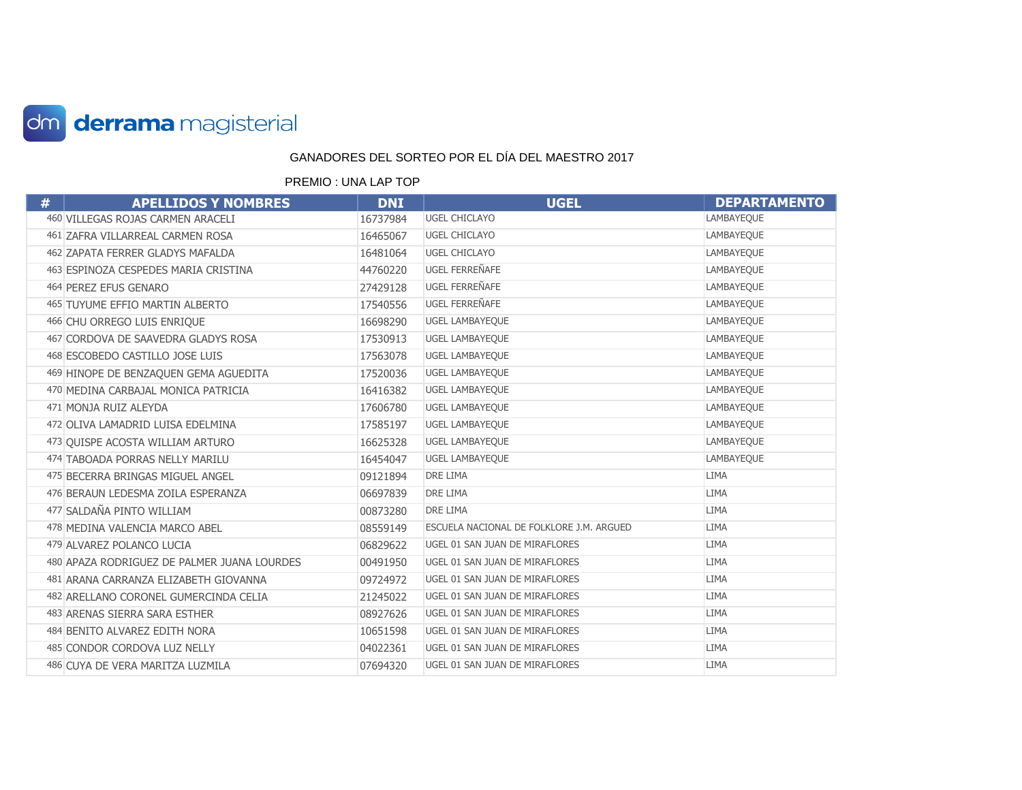

| # | <b>APELLIDOS Y NOMBRES</b>                  | <b>DNI</b> | <b>UGEL</b>                              | <b>DEPARTAMENTO</b> |
|---|---------------------------------------------|------------|------------------------------------------|---------------------|
|   | 460 VILLEGAS ROJAS CARMEN ARACELI           | 16737984   | <b>UGEL CHICLAYO</b>                     | LAMBAYEQUE          |
|   | 461 ZAFRA VILLARREAL CARMEN ROSA            | 16465067   | <b>UGEL CHICLAYO</b>                     | LAMBAYEQUE          |
|   | 462 ZAPATA FERRER GLADYS MAFALDA            | 16481064   | <b>UGEL CHICLAYO</b>                     | LAMBAYEQUE          |
|   | 463 ESPINOZA CESPEDES MARIA CRISTINA        | 44760220   | UGEL FERREÑAFE                           | LAMBAYEQUE          |
|   | 464 PEREZ EFUS GENARO                       | 27429128   | UGEL FERREÑAFE                           | LAMBAYEQUE          |
|   | 465 TUYUME EFFIO MARTIN ALBERTO             | 17540556   | UGEL FERREÑAFE                           | LAMBAYEQUE          |
|   | 466 CHU ORREGO LUIS ENRIQUE                 | 16698290   | <b>UGEL LAMBAYEQUE</b>                   | LAMBAYEQUE          |
|   | 467 CORDOVA DE SAAVEDRA GLADYS ROSA         | 17530913   | <b>UGEL LAMBAYEQUE</b>                   | LAMBAYEQUE          |
|   | 468 ESCOBEDO CASTILLO JOSE LUIS             | 17563078   | <b>UGEL LAMBAYEQUE</b>                   | LAMBAYEQUE          |
|   | 469 HINOPE DE BENZAQUEN GEMA AGUEDITA       | 17520036   | <b>UGEL LAMBAYEQUE</b>                   | LAMBAYEQUE          |
|   | 470 MEDINA CARBAJAL MONICA PATRICIA         | 16416382   | <b>UGEL LAMBAYEQUE</b>                   | LAMBAYEQUE          |
|   | 471 MONJA RUIZ ALEYDA                       | 17606780   | <b>UGEL LAMBAYEQUE</b>                   | LAMBAYEQUE          |
|   | 472 OLIVA LAMADRID LUISA EDELMINA           | 17585197   | <b>UGEL LAMBAYEQUE</b>                   | LAMBAYEQUE          |
|   | 473 OUISPE ACOSTA WILLIAM ARTURO            | 16625328   | <b>UGEL LAMBAYEQUE</b>                   | LAMBAYEQUE          |
|   | 474 TABOADA PORRAS NELLY MARILU             | 16454047   | <b>UGEL LAMBAYEQUE</b>                   | LAMBAYEQUE          |
|   | 475 BECERRA BRINGAS MIGUEL ANGEL            | 09121894   | DRE LIMA                                 | <b>LIMA</b>         |
|   | 476 BERAUN LEDESMA ZOILA ESPERANZA          | 06697839   | <b>DRE LIMA</b>                          | <b>LIMA</b>         |
|   | 477 SALDAÑA PINTO WILLIAM                   | 00873280   | DRE LIMA                                 | <b>LIMA</b>         |
|   | 478 MEDINA VALENCIA MARCO ABEL              | 08559149   | ESCUELA NACIONAL DE FOLKLORE J.M. ARGUED | <b>LIMA</b>         |
|   | 479 ALVAREZ POLANCO LUCIA                   | 06829622   | UGEL 01 SAN JUAN DE MIRAFLORES           | <b>LIMA</b>         |
|   | 480 APAZA RODRIGUEZ DE PALMER JUANA LOURDES | 00491950   | UGEL 01 SAN JUAN DE MIRAFLORES           | LIMA                |
|   | 481 ARANA CARRANZA ELIZABETH GIOVANNA       | 09724972   | UGEL 01 SAN JUAN DE MIRAFLORES           | LIMA                |
|   | 482 ARELLANO CORONEL GUMERCINDA CELIA       | 21245022   | UGEL 01 SAN JUAN DE MIRAFLORES           | <b>LIMA</b>         |
|   | 483 ARENAS SIERRA SARA ESTHER               | 08927626   | UGEL 01 SAN JUAN DE MIRAFLORES           | <b>LIMA</b>         |
|   | 484 BENITO ALVAREZ EDITH NORA               | 10651598   | UGEL 01 SAN JUAN DE MIRAFLORES           | <b>LIMA</b>         |
|   | 485 CONDOR CORDOVA LUZ NELLY                | 04022361   | UGEL 01 SAN JUAN DE MIRAFLORES           | <b>LIMA</b>         |
|   | 486 CUYA DE VERA MARITZA LUZMILA            | 07694320   | UGEL 01 SAN JUAN DE MIRAFLORES           | <b>LIMA</b>         |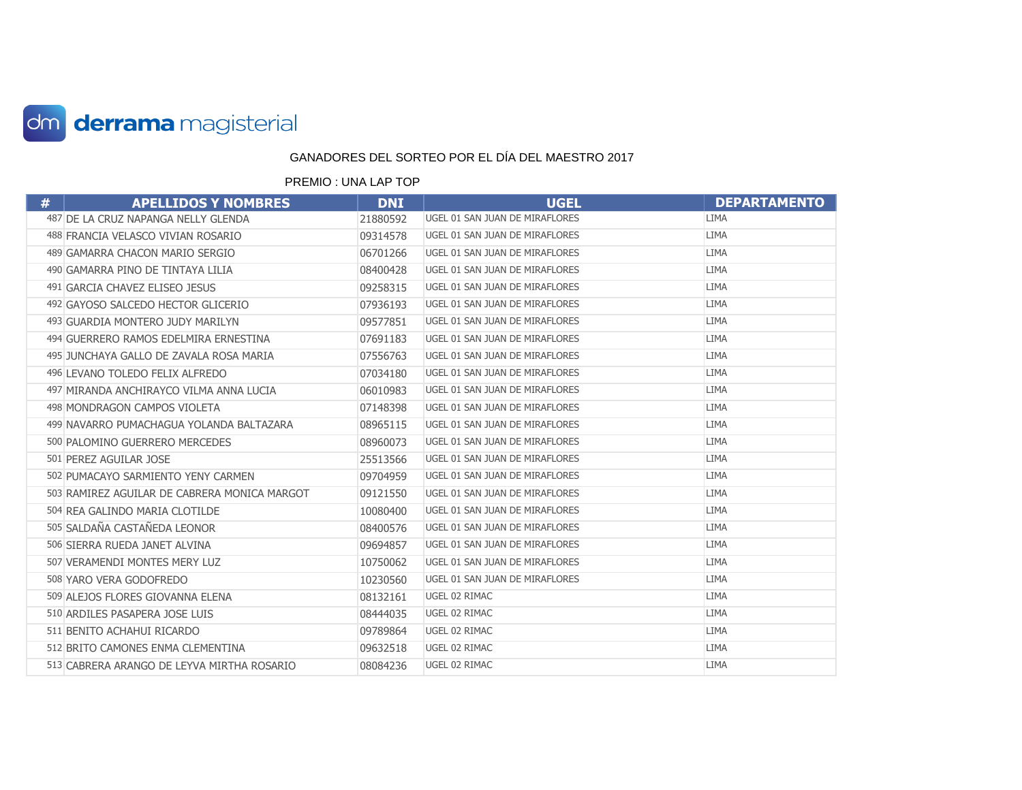

| # | <b>APELLIDOS Y NOMBRES</b>                   | <b>DNI</b> | <b>UGEL</b>                    | <b>DEPARTAMENTO</b> |
|---|----------------------------------------------|------------|--------------------------------|---------------------|
|   | 487 DE LA CRUZ NAPANGA NELLY GLENDA          | 21880592   | UGEL 01 SAN JUAN DE MIRAFLORES | <b>LIMA</b>         |
|   | 488 FRANCIA VELASCO VIVIAN ROSARIO           | 09314578   | UGEL 01 SAN JUAN DE MIRAFLORES | LIMA                |
|   | 489 GAMARRA CHACON MARIO SERGIO              | 06701266   | UGEL 01 SAN JUAN DE MIRAFLORES | <b>LIMA</b>         |
|   | 490 GAMARRA PINO DE TINTAYA LILIA            | 08400428   | UGEL 01 SAN JUAN DE MIRAFLORES | <b>LIMA</b>         |
|   | 491 GARCIA CHAVEZ ELISEO JESUS               | 09258315   | UGEL 01 SAN JUAN DE MIRAFLORES | <b>LIMA</b>         |
|   | 492 GAYOSO SALCEDO HECTOR GLICERIO           | 07936193   | UGEL 01 SAN JUAN DE MIRAFLORES | <b>LIMA</b>         |
|   | 493 GUARDIA MONTERO JUDY MARILYN             | 09577851   | UGEL 01 SAN JUAN DE MIRAFLORES | <b>LIMA</b>         |
|   | 494 GUERRERO RAMOS EDELMIRA ERNESTINA        | 07691183   | UGEL 01 SAN JUAN DE MIRAFLORES | <b>LIMA</b>         |
|   | 495 JUNCHAYA GALLO DE ZAVALA ROSA MARIA      | 07556763   | UGEL 01 SAN JUAN DE MIRAFLORES | <b>LIMA</b>         |
|   | 496 LEVANO TOLEDO FELIX ALFREDO              | 07034180   | UGEL 01 SAN JUAN DE MIRAFLORES | LIMA                |
|   | 497 MIRANDA ANCHIRAYCO VILMA ANNA LUCIA      | 06010983   | UGEL 01 SAN JUAN DE MIRAFLORES | <b>LIMA</b>         |
|   | 498 MONDRAGON CAMPOS VIOLETA                 | 07148398   | UGEL 01 SAN JUAN DE MIRAFLORES | <b>LIMA</b>         |
|   | 499 NAVARRO PUMACHAGUA YOLANDA BALTAZARA     | 08965115   | UGEL 01 SAN JUAN DE MIRAFLORES | <b>LIMA</b>         |
|   | 500 PALOMINO GUERRERO MERCEDES               | 08960073   | UGEL 01 SAN JUAN DE MIRAFLORES | <b>LIMA</b>         |
|   | 501 PEREZ AGUILAR JOSE                       | 25513566   | UGEL 01 SAN JUAN DE MIRAFLORES | <b>LIMA</b>         |
|   | 502 PUMACAYO SARMIENTO YENY CARMEN           | 09704959   | UGEL 01 SAN JUAN DE MIRAFLORES | <b>LIMA</b>         |
|   | 503 RAMIREZ AGUILAR DE CABRERA MONICA MARGOT | 09121550   | UGEL 01 SAN JUAN DE MIRAFLORES | LIMA                |
|   | 504 REA GALINDO MARIA CLOTILDE               | 10080400   | UGEL 01 SAN JUAN DE MIRAFLORES | <b>LIMA</b>         |
|   | 505 SALDAÑA CASTAÑEDA LEONOR                 | 08400576   | UGEL 01 SAN JUAN DE MIRAFLORES | <b>LIMA</b>         |
|   | 506 SIERRA RUEDA JANET ALVINA                | 09694857   | UGEL 01 SAN JUAN DE MIRAFLORES | <b>LIMA</b>         |
|   | 507 VERAMENDI MONTES MERY LUZ                | 10750062   | UGEL 01 SAN JUAN DE MIRAFLORES | <b>LIMA</b>         |
|   | 508 YARO VERA GODOFREDO                      | 10230560   | UGEL 01 SAN JUAN DE MIRAFLORES | <b>LIMA</b>         |
|   | 509 ALEJOS FLORES GIOVANNA ELENA             | 08132161   | UGEL 02 RIMAC                  | <b>LIMA</b>         |
|   | 510 ARDILES PASAPERA JOSE LUIS               | 08444035   | UGEL 02 RIMAC                  | <b>LIMA</b>         |
|   | 511 BENITO ACHAHUI RICARDO                   | 09789864   | UGEL 02 RIMAC                  | <b>LIMA</b>         |
|   | 512 BRITO CAMONES ENMA CLEMENTINA            | 09632518   | UGEL 02 RIMAC                  | <b>LIMA</b>         |
|   | 513 CABRERA ARANGO DE LEYVA MIRTHA ROSARIO   | 08084236   | UGEL 02 RIMAC                  | <b>LIMA</b>         |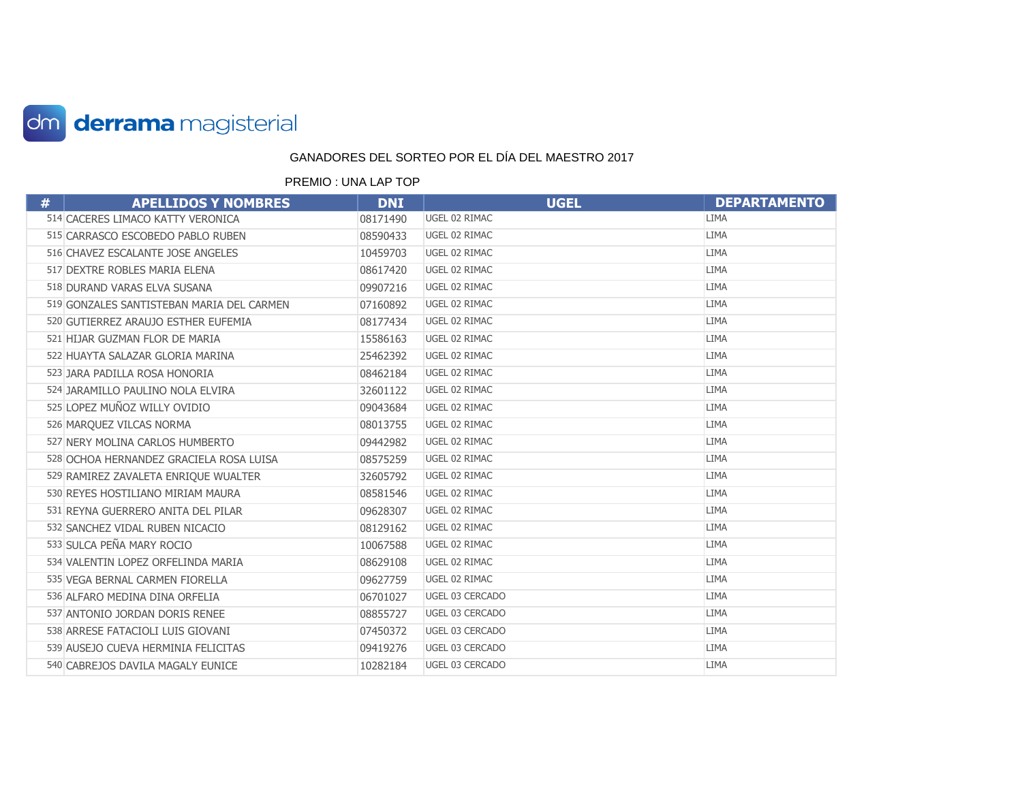

| # | <b>APELLIDOS Y NOMBRES</b>                | <b>DNI</b> | <b>UGEL</b>     | <b>DEPARTAMENTO</b> |
|---|-------------------------------------------|------------|-----------------|---------------------|
|   | 514 CACERES LIMACO KATTY VERONICA         | 08171490   | UGEL 02 RIMAC   | <b>LIMA</b>         |
|   | 515 CARRASCO ESCOBEDO PABLO RUBEN         | 08590433   | UGEL 02 RIMAC   | <b>LIMA</b>         |
|   | 516 CHAVEZ ESCALANTE JOSE ANGELES         | 10459703   | UGEL 02 RIMAC   | <b>LIMA</b>         |
|   | 517 DEXTRE ROBLES MARIA ELENA             | 08617420   | UGEL 02 RIMAC   | <b>LIMA</b>         |
|   | 518 DURAND VARAS ELVA SUSANA              | 09907216   | UGEL 02 RIMAC   | <b>LIMA</b>         |
|   | 519 GONZALES SANTISTEBAN MARIA DEL CARMEN | 07160892   | UGEL 02 RIMAC   | <b>LIMA</b>         |
|   | 520 GUTIERREZ ARAUJO ESTHER EUFEMIA       | 08177434   | UGEL 02 RIMAC   | <b>LIMA</b>         |
|   | 521 HIJAR GUZMAN FLOR DE MARIA            | 15586163   | UGEL 02 RIMAC   | <b>LIMA</b>         |
|   | 522 HUAYTA SALAZAR GLORIA MARINA          | 25462392   | UGEL 02 RIMAC   | <b>LIMA</b>         |
|   | 523 JARA PADILLA ROSA HONORIA             | 08462184   | UGEL 02 RIMAC   | <b>LIMA</b>         |
|   | 524 JARAMILLO PAULINO NOLA ELVIRA         | 32601122   | UGEL 02 RIMAC   | <b>LIMA</b>         |
|   | 525 LOPEZ MUÑOZ WILLY OVIDIO              | 09043684   | UGEL 02 RIMAC   | LIMA                |
|   | 526 MARQUEZ VILCAS NORMA                  | 08013755   | UGEL 02 RIMAC   | <b>LIMA</b>         |
|   | 527 NERY MOLINA CARLOS HUMBERTO           | 09442982   | UGEL 02 RIMAC   | <b>LIMA</b>         |
|   | 528 OCHOA HERNANDEZ GRACIELA ROSA LUISA   | 08575259   | UGEL 02 RIMAC   | LIMA                |
|   | 529 RAMIREZ ZAVALETA ENRIQUE WUALTER      | 32605792   | UGEL 02 RIMAC   | <b>LIMA</b>         |
|   | 530 REYES HOSTILIANO MIRIAM MAURA         | 08581546   | UGEL 02 RIMAC   | <b>LIMA</b>         |
|   | 531 REYNA GUERRERO ANITA DEL PILAR        | 09628307   | UGEL 02 RIMAC   | <b>LIMA</b>         |
|   | 532 SANCHEZ VIDAL RUBEN NICACIO           | 08129162   | UGEL 02 RIMAC   | <b>LIMA</b>         |
|   | 533 SULCA PEÑA MARY ROCIO                 | 10067588   | UGEL 02 RIMAC   | <b>LIMA</b>         |
|   | 534 VALENTIN LOPEZ ORFELINDA MARIA        | 08629108   | UGEL 02 RIMAC   | <b>LIMA</b>         |
|   | 535 VEGA BERNAL CARMEN FIORELLA           | 09627759   | UGEL 02 RIMAC   | <b>LIMA</b>         |
|   | 536 ALFARO MEDINA DINA ORFELIA            | 06701027   | UGEL 03 CERCADO | <b>LIMA</b>         |
|   | 537 ANTONIO JORDAN DORIS RENEE            | 08855727   | UGEL 03 CERCADO | <b>LIMA</b>         |
|   | 538 ARRESE FATACIOLI LUIS GIOVANI         | 07450372   | UGEL 03 CERCADO | <b>LIMA</b>         |
|   | 539 AUSEJO CUEVA HERMINIA FELICITAS       | 09419276   | UGEL 03 CERCADO | <b>LIMA</b>         |
|   | 540 CABREJOS DAVILA MAGALY EUNICE         | 10282184   | UGEL 03 CERCADO | <b>LIMA</b>         |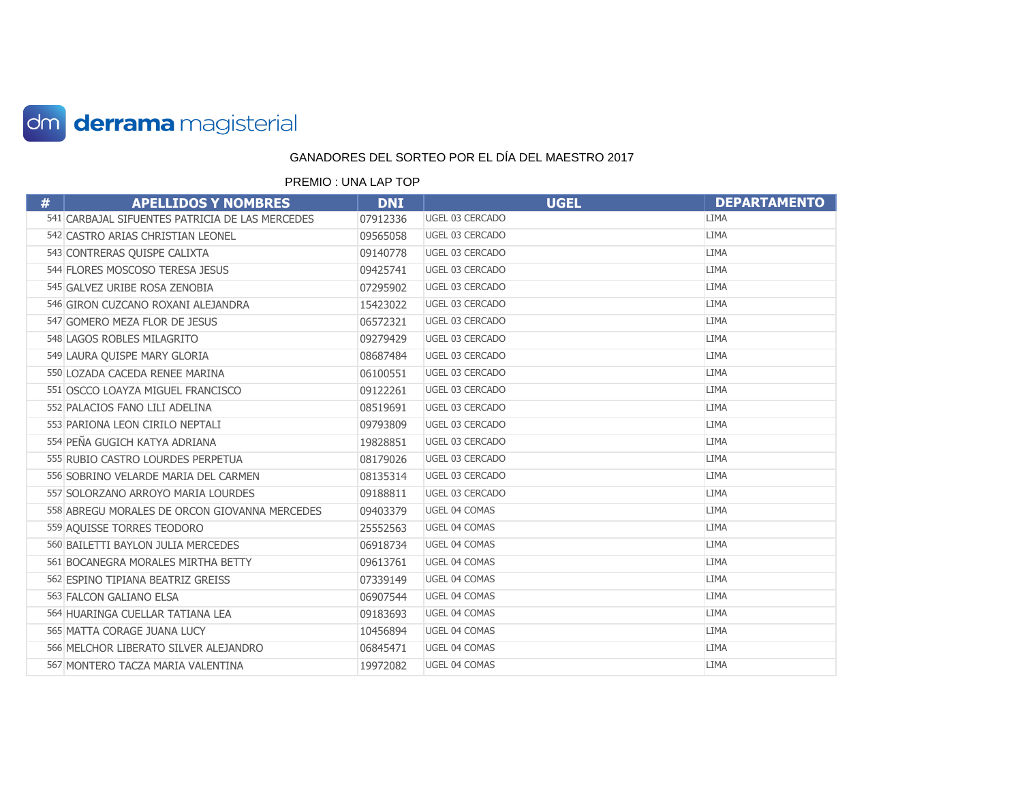

| # | <b>APELLIDOS Y NOMBRES</b>                      | <b>DNI</b> | <b>UGEL</b>     | <b>DEPARTAMENTO</b> |
|---|-------------------------------------------------|------------|-----------------|---------------------|
|   | 541 CARBAJAL SIFUENTES PATRICIA DE LAS MERCEDES | 07912336   | UGEL 03 CERCADO | <b>LIMA</b>         |
|   | 542 CASTRO ARIAS CHRISTIAN LEONEL               | 09565058   | UGEL 03 CERCADO | <b>LIMA</b>         |
|   | 543 CONTRERAS QUISPE CALIXTA                    | 09140778   | UGEL 03 CERCADO | <b>LIMA</b>         |
|   | 544 FLORES MOSCOSO TERESA JESUS                 | 09425741   | UGEL 03 CERCADO | <b>LIMA</b>         |
|   | 545 GALVEZ URIBE ROSA ZENOBIA                   | 07295902   | UGEL 03 CERCADO | <b>LIMA</b>         |
|   | 546 GIRON CUZCANO ROXANI ALEJANDRA              | 15423022   | UGEL 03 CERCADO | <b>LIMA</b>         |
|   | 547 GOMERO MEZA FLOR DE JESUS                   | 06572321   | UGEL 03 CERCADO | <b>LIMA</b>         |
|   | 548 LAGOS ROBLES MILAGRITO                      | 09279429   | UGEL 03 CERCADO | <b>LIMA</b>         |
|   | 549 LAURA QUISPE MARY GLORIA                    | 08687484   | UGEL 03 CERCADO | <b>LIMA</b>         |
|   | 550 LOZADA CACEDA RENEE MARINA                  | 06100551   | UGEL 03 CERCADO | <b>LIMA</b>         |
|   | 551 OSCCO LOAYZA MIGUEL FRANCISCO               | 09122261   | UGEL 03 CERCADO | <b>LIMA</b>         |
|   | 552 PALACIOS FANO LILI ADELINA                  | 08519691   | UGEL 03 CERCADO | <b>LIMA</b>         |
|   | 553 PARIONA LEON CIRILO NEPTALI                 | 09793809   | UGEL 03 CERCADO | <b>LIMA</b>         |
|   | 554 PEÑA GUGICH KATYA ADRIANA                   | 19828851   | UGEL 03 CERCADO | <b>LIMA</b>         |
|   | 555 RUBIO CASTRO LOURDES PERPETUA               | 08179026   | UGEL 03 CERCADO | <b>LIMA</b>         |
|   | 556 SOBRINO VELARDE MARIA DEL CARMEN            | 08135314   | UGEL 03 CERCADO | <b>LIMA</b>         |
|   | 557 SOLORZANO ARROYO MARIA LOURDES              | 09188811   | UGEL 03 CERCADO | <b>LIMA</b>         |
|   | 558 ABREGU MORALES DE ORCON GIOVANNA MERCEDES   | 09403379   | UGEL 04 COMAS   | <b>LIMA</b>         |
|   | 559 AQUISSE TORRES TEODORO                      | 25552563   | UGEL 04 COMAS   | <b>LIMA</b>         |
|   | 560 BAILETTI BAYLON JULIA MERCEDES              | 06918734   | UGEL 04 COMAS   | <b>LIMA</b>         |
|   | 561 BOCANEGRA MORALES MIRTHA BETTY              | 09613761   | UGEL 04 COMAS   | <b>LIMA</b>         |
|   | 562 ESPINO TIPIANA BEATRIZ GREISS               | 07339149   | UGEL 04 COMAS   | <b>LIMA</b>         |
|   | 563 FALCON GALIANO ELSA                         | 06907544   | UGEL 04 COMAS   | LIMA                |
|   | 564 HUARINGA CUELLAR TATIANA LEA                | 09183693   | UGEL 04 COMAS   | <b>LIMA</b>         |
|   | 565 MATTA CORAGE JUANA LUCY                     | 10456894   | UGEL 04 COMAS   | <b>LIMA</b>         |
|   | 566 MELCHOR LIBERATO SILVER ALEJANDRO           | 06845471   | UGEL 04 COMAS   | <b>LIMA</b>         |
|   | 567 MONTERO TACZA MARIA VALENTINA               | 19972082   | UGEL 04 COMAS   | <b>LIMA</b>         |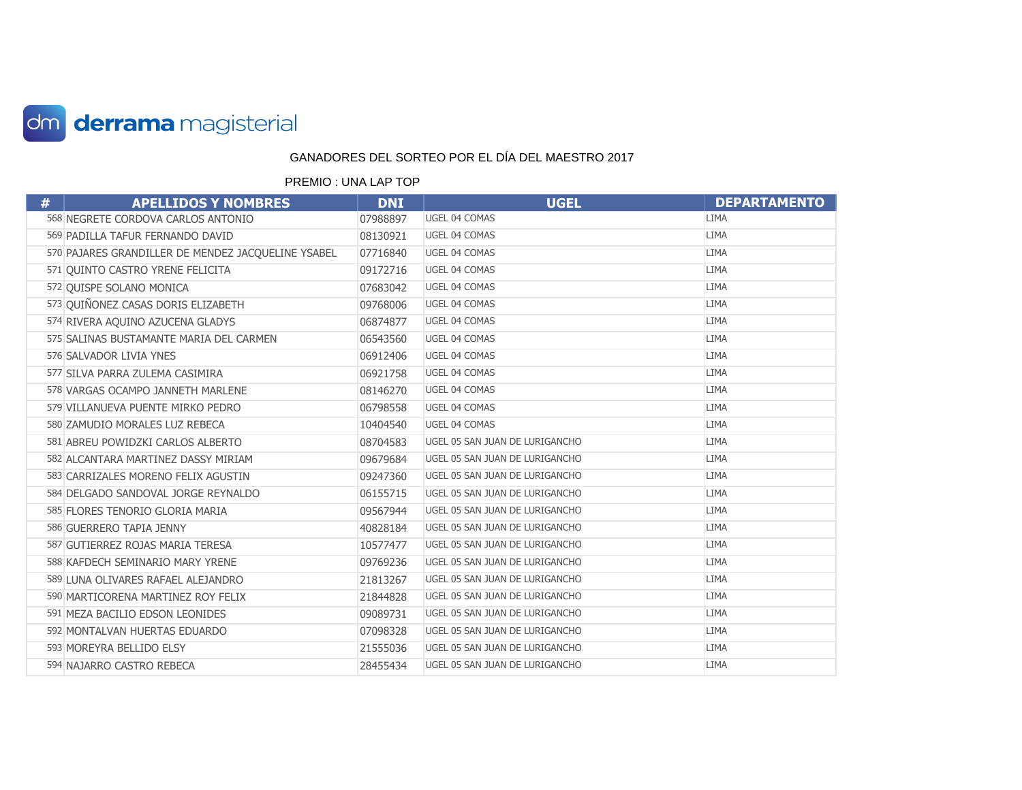

| # | <b>APELLIDOS Y NOMBRES</b>                         | <b>DNI</b> | <b>UGEL</b>                    | <b>DEPARTAMENTO</b> |
|---|----------------------------------------------------|------------|--------------------------------|---------------------|
|   | 568 NEGRETE CORDOVA CARLOS ANTONIO                 | 07988897   | UGEL 04 COMAS                  | <b>LIMA</b>         |
|   | 569 PADILLA TAFUR FERNANDO DAVID                   | 08130921   | UGEL 04 COMAS                  | <b>LIMA</b>         |
|   | 570 PAJARES GRANDILLER DE MENDEZ JACQUELINE YSABEL | 07716840   | UGEL 04 COMAS                  | <b>LIMA</b>         |
|   | 571 QUINTO CASTRO YRENE FELICITA                   | 09172716   | UGEL 04 COMAS                  | LIMA                |
|   | 572 QUISPE SOLANO MONICA                           | 07683042   | UGEL 04 COMAS                  | <b>LIMA</b>         |
|   | 573 QUIÑONEZ CASAS DORIS ELIZABETH                 | 09768006   | UGEL 04 COMAS                  | <b>LIMA</b>         |
|   | 574 RIVERA AQUINO AZUCENA GLADYS                   | 06874877   | UGEL 04 COMAS                  | <b>LIMA</b>         |
|   | 575 SALINAS BUSTAMANTE MARIA DEL CARMEN            | 06543560   | UGEL 04 COMAS                  | LIMA                |
|   | 576 SALVADOR LIVIA YNES                            | 06912406   | UGEL 04 COMAS                  | <b>LIMA</b>         |
|   | 577 SILVA PARRA ZULEMA CASIMIRA                    | 06921758   | UGEL 04 COMAS                  | <b>LIMA</b>         |
|   | 578 VARGAS OCAMPO JANNETH MARLENE                  | 08146270   | UGEL 04 COMAS                  | <b>LIMA</b>         |
|   | 579 VILLANUEVA PUENTE MIRKO PEDRO                  | 06798558   | UGEL 04 COMAS                  | <b>LIMA</b>         |
|   | 580 ZAMUDIO MORALES LUZ REBECA                     | 10404540   | UGEL 04 COMAS                  | <b>LIMA</b>         |
|   | 581 ABREU POWIDZKI CARLOS ALBERTO                  | 08704583   | UGEL 05 SAN JUAN DE LURIGANCHO | <b>LIMA</b>         |
|   | 582 ALCANTARA MARTINEZ DASSY MIRIAM                | 09679684   | UGEL 05 SAN JUAN DE LURIGANCHO | <b>LIMA</b>         |
|   | 583 CARRIZALES MORENO FELIX AGUSTIN                | 09247360   | UGEL 05 SAN JUAN DE LURIGANCHO | <b>LIMA</b>         |
|   | 584 DELGADO SANDOVAL JORGE REYNALDO                | 06155715   | UGEL 05 SAN JUAN DE LURIGANCHO | <b>LIMA</b>         |
|   | 585 FLORES TENORIO GLORIA MARIA                    | 09567944   | UGEL 05 SAN JUAN DE LURIGANCHO | <b>LIMA</b>         |
|   | 586 GUERRERO TAPIA JENNY                           | 40828184   | UGEL 05 SAN JUAN DE LURIGANCHO | <b>LIMA</b>         |
|   | 587 GUTIERREZ ROJAS MARIA TERESA                   | 10577477   | UGEL 05 SAN JUAN DE LURIGANCHO | <b>LIMA</b>         |
|   | 588 KAFDECH SEMINARIO MARY YRENE                   | 09769236   | UGEL 05 SAN JUAN DE LURIGANCHO | <b>LIMA</b>         |
|   | 589 LUNA OLIVARES RAFAEL ALEJANDRO                 | 21813267   | UGEL 05 SAN JUAN DE LURIGANCHO | <b>LIMA</b>         |
|   | 590 MARTICORENA MARTINEZ ROY FELIX                 | 21844828   | UGEL 05 SAN JUAN DE LURIGANCHO | <b>LIMA</b>         |
|   | 591 MEZA BACILIO EDSON LEONIDES                    | 09089731   | UGEL 05 SAN JUAN DE LURIGANCHO | <b>LIMA</b>         |
|   | 592 MONTALVAN HUERTAS EDUARDO                      | 07098328   | UGEL 05 SAN JUAN DE LURIGANCHO | <b>LIMA</b>         |
|   | 593 MOREYRA BELLIDO ELSY                           | 21555036   | UGEL 05 SAN JUAN DE LURIGANCHO | <b>LIMA</b>         |
|   | 594 NAJARRO CASTRO REBECA                          | 28455434   | UGEL 05 SAN JUAN DE LURIGANCHO | <b>LIMA</b>         |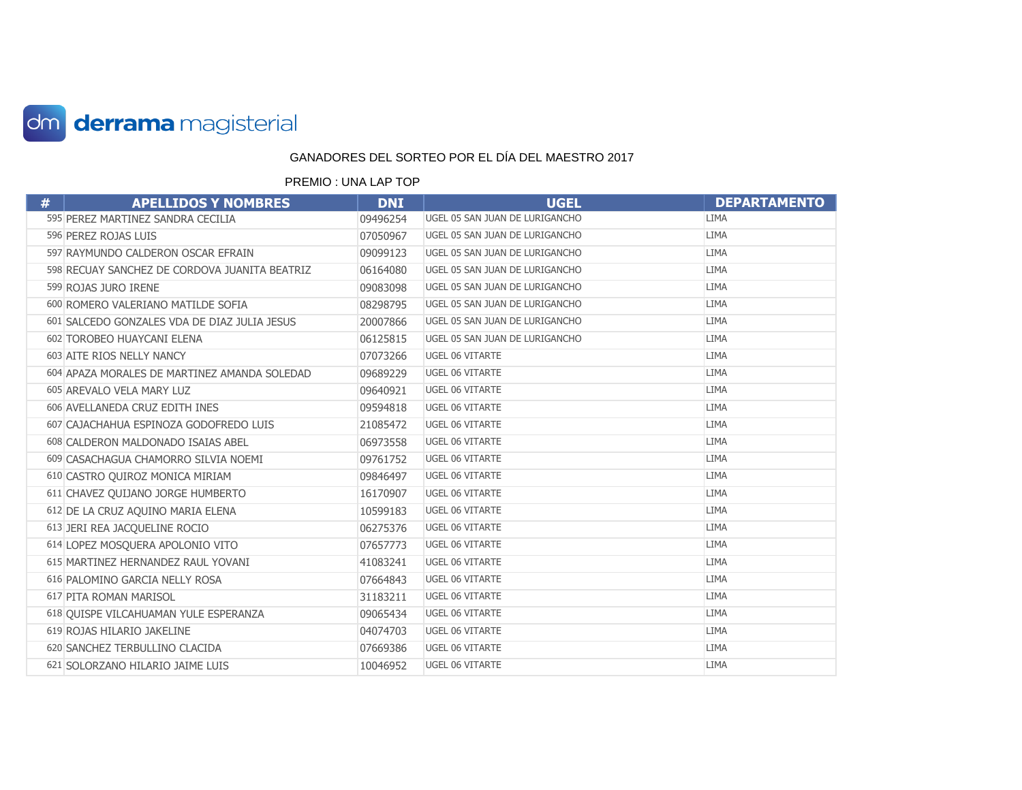

| # | <b>APELLIDOS Y NOMBRES</b>                    | <b>DNI</b> | <b>UGEL</b>                    | <b>DEPARTAMENTO</b> |
|---|-----------------------------------------------|------------|--------------------------------|---------------------|
|   | 595 PEREZ MARTINEZ SANDRA CECILIA             | 09496254   | UGEL 05 SAN JUAN DE LURIGANCHO | LIMA                |
|   | 596 PEREZ ROJAS LUIS                          | 07050967   | UGEL 05 SAN JUAN DE LURIGANCHO | <b>LIMA</b>         |
|   | 597 RAYMUNDO CALDERON OSCAR EFRAIN            | 09099123   | UGEL 05 SAN JUAN DE LURIGANCHO | <b>LIMA</b>         |
|   | 598 RECUAY SANCHEZ DE CORDOVA JUANITA BEATRIZ | 06164080   | UGEL 05 SAN JUAN DE LURIGANCHO | <b>LIMA</b>         |
|   | 599 ROJAS JURO IRENE                          | 09083098   | UGEL 05 SAN JUAN DE LURIGANCHO | <b>LIMA</b>         |
|   | 600 ROMERO VALERIANO MATILDE SOFIA            | 08298795   | UGEL 05 SAN JUAN DE LURIGANCHO | <b>LIMA</b>         |
|   | 601 SALCEDO GONZALES VDA DE DIAZ JULIA JESUS  | 20007866   | UGEL 05 SAN JUAN DE LURIGANCHO | <b>LIMA</b>         |
|   | 602 TOROBEO HUAYCANI ELENA                    | 06125815   | UGEL 05 SAN JUAN DE LURIGANCHO | <b>LIMA</b>         |
|   | 603 AITE RIOS NELLY NANCY                     | 07073266   | UGEL 06 VITARTE                | <b>LIMA</b>         |
|   | 604 APAZA MORALES DE MARTINEZ AMANDA SOLEDAD  | 09689229   | UGEL 06 VITARTE                | <b>LIMA</b>         |
|   | 605 AREVALO VELA MARY LUZ                     | 09640921   | UGEL 06 VITARTE                | <b>LIMA</b>         |
|   | 606 AVELLANEDA CRUZ EDITH INES                | 09594818   | UGEL 06 VITARTE                | <b>LIMA</b>         |
|   | 607 CAJACHAHUA ESPINOZA GODOFREDO LUIS        | 21085472   | UGEL 06 VITARTE                | <b>LIMA</b>         |
|   | 608 CALDERON MALDONADO ISAIAS ABEL            | 06973558   | UGEL 06 VITARTE                | <b>LIMA</b>         |
|   | 609 CASACHAGUA CHAMORRO SILVIA NOEMI          | 09761752   | UGEL 06 VITARTE                | <b>LIMA</b>         |
|   | 610 CASTRO QUIROZ MONICA MIRIAM               | 09846497   | UGEL 06 VITARTE                | <b>LIMA</b>         |
|   | 611 CHAVEZ QUIJANO JORGE HUMBERTO             | 16170907   | UGEL 06 VITARTE                | <b>LIMA</b>         |
|   | 612 DE LA CRUZ AQUINO MARIA ELENA             | 10599183   | UGEL 06 VITARTE                | <b>LIMA</b>         |
|   | 613 JERI REA JACQUELINE ROCIO                 | 06275376   | <b>UGEL 06 VITARTE</b>         | <b>LIMA</b>         |
|   | 614 LOPEZ MOSQUERA APOLONIO VITO              | 07657773   | UGEL 06 VITARTE                | <b>LIMA</b>         |
|   | 615 MARTINEZ HERNANDEZ RAUL YOVANI            | 41083241   | UGEL 06 VITARTE                | <b>LIMA</b>         |
|   | 616 PALOMINO GARCIA NELLY ROSA                | 07664843   | UGEL 06 VITARTE                | <b>LIMA</b>         |
|   | 617 PITA ROMAN MARISOL                        | 31183211   | UGEL 06 VITARTE                | <b>LIMA</b>         |
|   | 618 QUISPE VILCAHUAMAN YULE ESPERANZA         | 09065434   | UGEL 06 VITARTE                | <b>LIMA</b>         |
|   | 619 ROJAS HILARIO JAKELINE                    | 04074703   | <b>UGEL 06 VITARTE</b>         | <b>LIMA</b>         |
|   | 620 SANCHEZ TERBULLINO CLACIDA                | 07669386   | UGEL 06 VITARTE                | <b>LIMA</b>         |
|   | 621 SOLORZANO HILARIO JAIME LUIS              | 10046952   | <b>UGEL 06 VITARTE</b>         | <b>LIMA</b>         |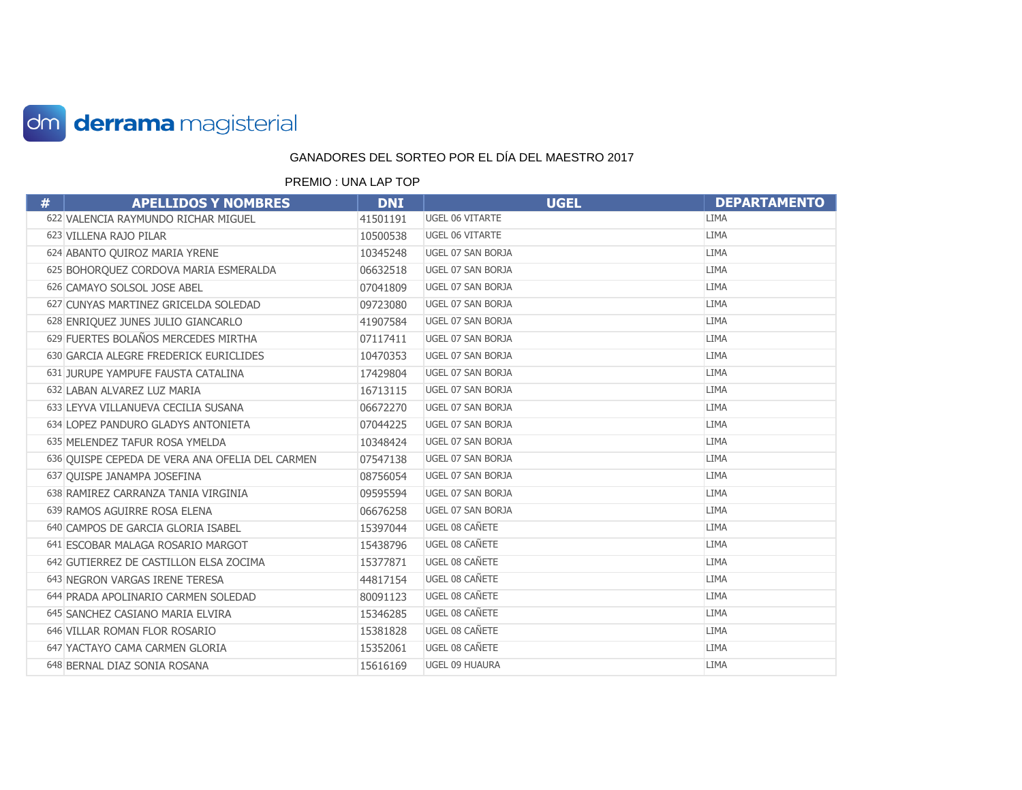

| # | <b>APELLIDOS Y NOMBRES</b>                      | <b>DNI</b> | <b>UGEL</b>       | <b>DEPARTAMENTO</b> |
|---|-------------------------------------------------|------------|-------------------|---------------------|
|   | 622 VALENCIA RAYMUNDO RICHAR MIGUEL             | 41501191   | UGEL 06 VITARTE   | <b>LIMA</b>         |
|   | 623 VILLENA RAJO PILAR                          | 10500538   | UGEL 06 VITARTE   | <b>LIMA</b>         |
|   | 624 ABANTO QUIROZ MARIA YRENE                   | 10345248   | UGEL 07 SAN BORJA | <b>LIMA</b>         |
|   | 625 BOHORQUEZ CORDOVA MARIA ESMERALDA           | 06632518   | UGEL 07 SAN BORJA | <b>LIMA</b>         |
|   | 626 CAMAYO SOLSOL JOSE ABEL                     | 07041809   | UGEL 07 SAN BORJA | <b>LIMA</b>         |
|   | 627 CUNYAS MARTINEZ GRICELDA SOLEDAD            | 09723080   | UGEL 07 SAN BORJA | <b>LIMA</b>         |
|   | 628 ENRIQUEZ JUNES JULIO GIANCARLO              | 41907584   | UGEL 07 SAN BORJA | <b>LIMA</b>         |
|   | 629 FUERTES BOLAÑOS MERCEDES MIRTHA             | 07117411   | UGEL 07 SAN BORJA | <b>LIMA</b>         |
|   | 630 GARCIA ALEGRE FREDERICK EURICLIDES          | 10470353   | UGEL 07 SAN BORJA | <b>LIMA</b>         |
|   | 631 JURUPE YAMPUFE FAUSTA CATALINA              | 17429804   | UGEL 07 SAN BORJA | <b>LIMA</b>         |
|   | 632 LABAN ALVAREZ LUZ MARIA                     | 16713115   | UGEL 07 SAN BORJA | <b>LIMA</b>         |
|   | 633 LEYVA VILLANUEVA CECILIA SUSANA             | 06672270   | UGEL 07 SAN BORJA | <b>LIMA</b>         |
|   | 634 LOPEZ PANDURO GLADYS ANTONIETA              | 07044225   | UGEL 07 SAN BORJA | <b>LIMA</b>         |
|   | 635 MELENDEZ TAFUR ROSA YMELDA                  | 10348424   | UGEL 07 SAN BORJA | <b>LIMA</b>         |
|   | 636 QUISPE CEPEDA DE VERA ANA OFELIA DEL CARMEN | 07547138   | UGEL 07 SAN BORJA | <b>LIMA</b>         |
|   | 637 QUISPE JANAMPA JOSEFINA                     | 08756054   | UGEL 07 SAN BORJA | <b>LIMA</b>         |
|   | 638 RAMIREZ CARRANZA TANIA VIRGINIA             | 09595594   | UGEL 07 SAN BORJA | <b>LIMA</b>         |
|   | 639 RAMOS AGUIRRE ROSA ELENA                    | 06676258   | UGEL 07 SAN BORJA | <b>LIMA</b>         |
|   | 640 CAMPOS DE GARCIA GLORIA ISABEL              | 15397044   | UGEL 08 CAÑETE    | <b>LIMA</b>         |
|   | 641 ESCOBAR MALAGA ROSARIO MARGOT               | 15438796   | UGEL 08 CAÑETE    | <b>LIMA</b>         |
|   | 642 GUTIERREZ DE CASTILLON ELSA ZOCIMA          | 15377871   | UGEL 08 CAÑETE    | <b>LIMA</b>         |
|   | 643 NEGRON VARGAS IRENE TERESA                  | 44817154   | UGEL 08 CAÑETE    | <b>LIMA</b>         |
|   | 644 PRADA APOLINARIO CARMEN SOLEDAD             | 80091123   | UGEL 08 CAÑETE    | <b>LIMA</b>         |
|   | 645 SANCHEZ CASIANO MARIA ELVIRA                | 15346285   | UGEL 08 CAÑETE    | <b>LIMA</b>         |
|   | 646 VILLAR ROMAN FLOR ROSARIO                   | 15381828   | UGEL 08 CAÑETE    | <b>LIMA</b>         |
|   | 647 YACTAYO CAMA CARMEN GLORIA                  | 15352061   | UGEL 08 CAÑETE    | <b>LIMA</b>         |
|   | 648 BERNAL DIAZ SONIA ROSANA                    | 15616169   | UGEL 09 HUAURA    | <b>LIMA</b>         |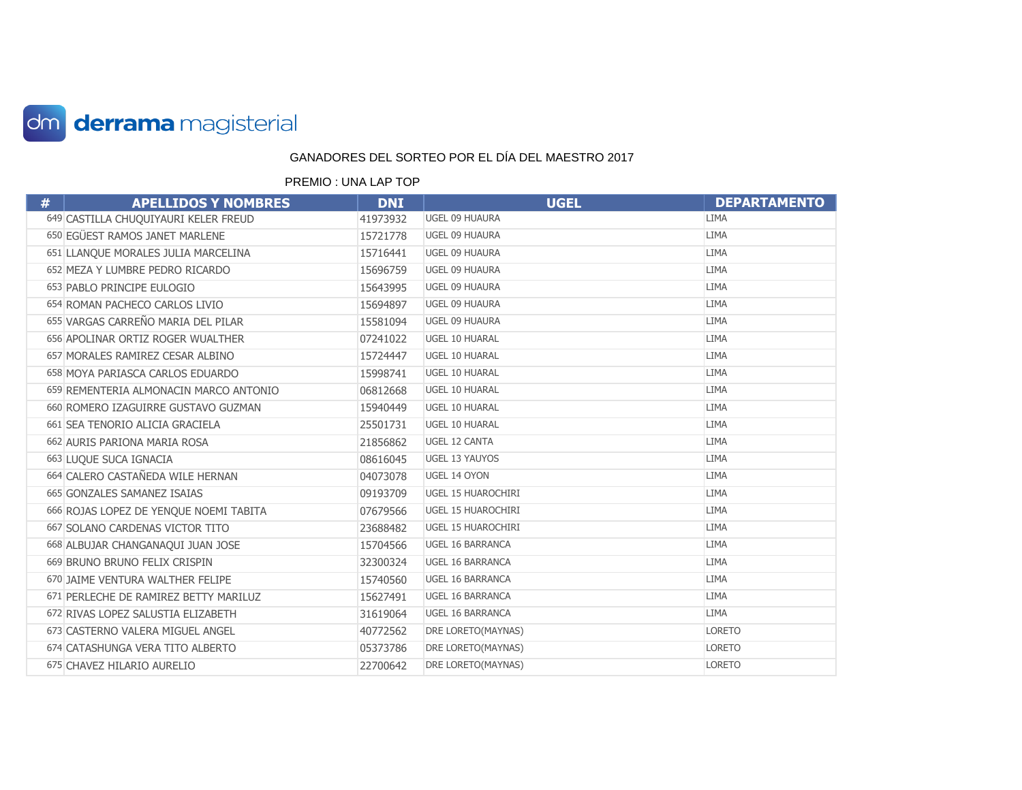

| # | <b>APELLIDOS Y NOMBRES</b>             | <b>DNI</b> | <b>UGEL</b>               | <b>DEPARTAMENTO</b> |
|---|----------------------------------------|------------|---------------------------|---------------------|
|   | 649 CASTILLA CHUQUIYAURI KELER FREUD   | 41973932   | UGEL 09 HUAURA            | <b>LIMA</b>         |
|   | 650 EGÜEST RAMOS JANET MARLENE         | 15721778   | UGEL 09 HUAURA            | <b>LIMA</b>         |
|   | 651 LLANQUE MORALES JULIA MARCELINA    | 15716441   | UGEL 09 HUAURA            | <b>LIMA</b>         |
|   | 652 MEZA Y LUMBRE PEDRO RICARDO        | 15696759   | UGEL 09 HUAURA            | <b>LIMA</b>         |
|   | 653 PABLO PRINCIPE EULOGIO             | 15643995   | UGEL 09 HUAURA            | <b>LIMA</b>         |
|   | 654 ROMAN PACHECO CARLOS LIVIO         | 15694897   | UGEL 09 HUAURA            | <b>LIMA</b>         |
|   | 655 VARGAS CARREÑO MARIA DEL PILAR     | 15581094   | UGEL 09 HUAURA            | <b>LIMA</b>         |
|   | 656 APOLINAR ORTIZ ROGER WUALTHER      | 07241022   | UGEL 10 HUARAL            | <b>LIMA</b>         |
|   | 657 MORALES RAMIREZ CESAR ALBINO       | 15724447   | UGEL 10 HUARAL            | LIMA                |
|   | 658 MOYA PARIASCA CARLOS EDUARDO       | 15998741   | UGEL 10 HUARAL            | <b>LIMA</b>         |
|   | 659 REMENTERIA ALMONACIN MARCO ANTONIO | 06812668   | <b>UGEL 10 HUARAL</b>     | <b>LIMA</b>         |
|   | 660 ROMERO IZAGUIRRE GUSTAVO GUZMAN    | 15940449   | UGEL 10 HUARAL            | LIMA                |
|   | 661 SEA TENORIO ALICIA GRACIELA        | 25501731   | UGEL 10 HUARAL            | <b>LIMA</b>         |
|   | 662 AURIS PARIONA MARIA ROSA           | 21856862   | UGEL 12 CANTA             | <b>LIMA</b>         |
|   | 663 LUQUE SUCA IGNACIA                 | 08616045   | UGEL 13 YAUYOS            | LIMA                |
|   | 664 CALERO CASTAÑEDA WILE HERNAN       | 04073078   | UGEL 14 OYON              | <b>LIMA</b>         |
|   | 665 GONZALES SAMANEZ ISAIAS            | 09193709   | UGEL 15 HUAROCHIRI        | <b>LIMA</b>         |
|   | 666 ROJAS LOPEZ DE YENQUE NOEMI TABITA | 07679566   | <b>UGEL 15 HUAROCHIRI</b> | <b>LIMA</b>         |
|   | 667 SOLANO CARDENAS VICTOR TITO        | 23688482   | UGEL 15 HUAROCHIRI        | <b>LIMA</b>         |
|   | 668 ALBUJAR CHANGANAQUI JUAN JOSE      | 15704566   | <b>UGEL 16 BARRANCA</b>   | <b>LIMA</b>         |
|   | 669 BRUNO BRUNO FELIX CRISPIN          | 32300324   | <b>UGEL 16 BARRANCA</b>   | <b>LIMA</b>         |
|   | 670 JAIME VENTURA WALTHER FELIPE       | 15740560   | <b>UGEL 16 BARRANCA</b>   | <b>LIMA</b>         |
|   | 671 PERLECHE DE RAMIREZ BETTY MARILUZ  | 15627491   | UGEL 16 BARRANCA          | <b>LIMA</b>         |
|   | 672 RIVAS LOPEZ SALUSTIA ELIZABETH     | 31619064   | UGEL 16 BARRANCA          | <b>LIMA</b>         |
|   | 673 CASTERNO VALERA MIGUEL ANGEL       | 40772562   | DRE LORETO(MAYNAS)        | <b>LORETO</b>       |
|   | 674 CATASHUNGA VERA TITO ALBERTO       | 05373786   | DRE LORETO(MAYNAS)        | <b>LORETO</b>       |
|   | 675 CHAVEZ HILARIO AURELIO             | 22700642   | DRE LORETO(MAYNAS)        | <b>LORETO</b>       |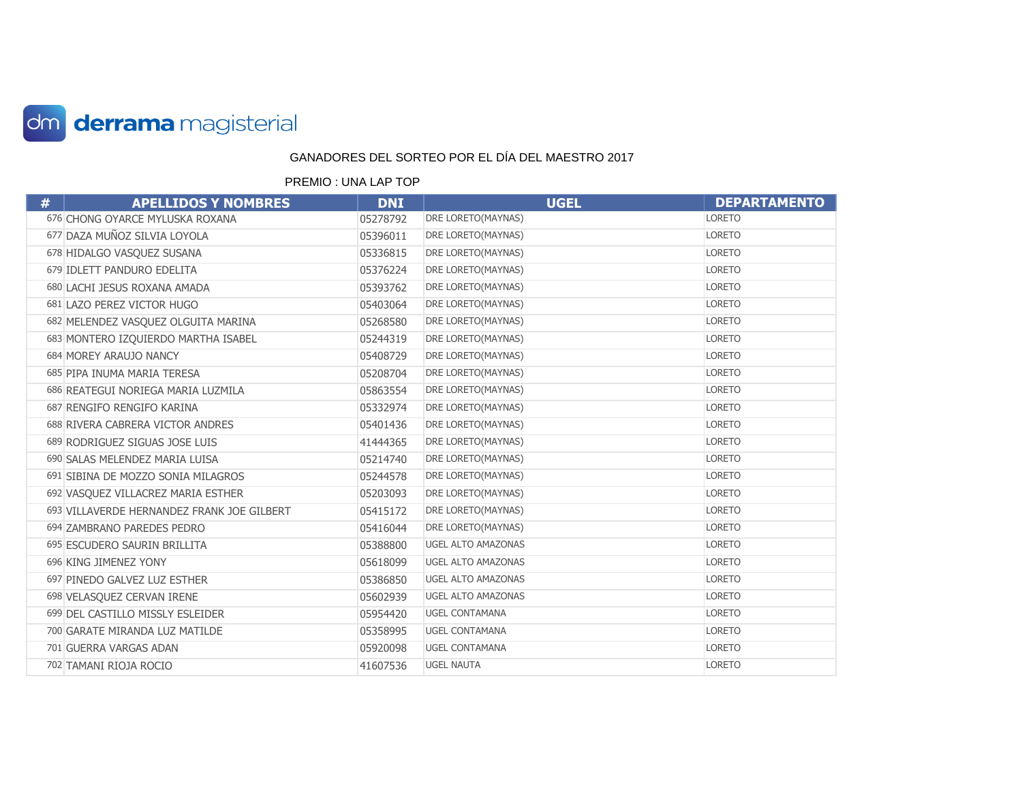

| # | <b>APELLIDOS Y NOMBRES</b>                 | <b>DNI</b> | <b>UGEL</b>               | <b>DEPARTAMENTO</b> |
|---|--------------------------------------------|------------|---------------------------|---------------------|
|   | 676 CHONG OYARCE MYLUSKA ROXANA            | 05278792   | DRE LORETO(MAYNAS)        | LORETO              |
|   | 677 DAZA MUÑOZ SILVIA LOYOLA               | 05396011   | DRE LORETO(MAYNAS)        | <b>LORETO</b>       |
|   | 678 HIDALGO VASQUEZ SUSANA                 | 05336815   | DRE LORETO(MAYNAS)        | <b>LORETO</b>       |
|   | 679 IDLETT PANDURO EDELITA                 | 05376224   | DRE LORETO(MAYNAS)        | <b>LORETO</b>       |
|   | 680 LACHI JESUS ROXANA AMADA               | 05393762   | DRE LORETO(MAYNAS)        | <b>LORETO</b>       |
|   | 681 LAZO PEREZ VICTOR HUGO                 | 05403064   | DRE LORETO(MAYNAS)        | <b>LORETO</b>       |
|   | 682 MELENDEZ VASQUEZ OLGUITA MARINA        | 05268580   | DRE LORETO(MAYNAS)        | <b>LORETO</b>       |
|   | 683 MONTERO IZQUIERDO MARTHA ISABEL        | 05244319   | DRE LORETO(MAYNAS)        | <b>LORETO</b>       |
|   | 684 MOREY ARAUJO NANCY                     | 05408729   | DRE LORETO(MAYNAS)        | <b>LORETO</b>       |
|   | 685 PIPA INUMA MARIA TERESA                | 05208704   | DRE LORETO(MAYNAS)        | <b>LORETO</b>       |
|   | 686 REATEGUI NORIEGA MARIA LUZMILA         | 05863554   | DRE LORETO(MAYNAS)        | <b>LORETO</b>       |
|   | 687 RENGIFO RENGIFO KARINA                 | 05332974   | DRE LORETO(MAYNAS)        | <b>LORETO</b>       |
|   | 688 RIVERA CABRERA VICTOR ANDRES           | 05401436   | DRE LORETO(MAYNAS)        | <b>LORETO</b>       |
|   | 689 RODRIGUEZ SIGUAS JOSE LUIS             | 41444365   | DRE LORETO(MAYNAS)        | <b>LORETO</b>       |
|   | 690 SALAS MELENDEZ MARIA LUISA             | 05214740   | DRE LORETO(MAYNAS)        | <b>LORETO</b>       |
|   | 691 SIBINA DE MOZZO SONIA MILAGROS         | 05244578   | DRE LORETO(MAYNAS)        | <b>LORETO</b>       |
|   | 692 VASQUEZ VILLACREZ MARIA ESTHER         | 05203093   | DRE LORETO(MAYNAS)        | <b>LORETO</b>       |
|   | 693 VILLAVERDE HERNANDEZ FRANK JOE GILBERT | 05415172   | DRE LORETO(MAYNAS)        | <b>LORETO</b>       |
|   | 694 ZAMBRANO PAREDES PEDRO                 | 05416044   | DRE LORETO(MAYNAS)        | <b>LORETO</b>       |
|   | 695 ESCUDERO SAURIN BRILLITA               | 05388800   | <b>UGEL ALTO AMAZONAS</b> | <b>LORETO</b>       |
|   | 696 KING JIMENEZ YONY                      | 05618099   | <b>UGEL ALTO AMAZONAS</b> | <b>LORETO</b>       |
|   | 697 PINEDO GALVEZ LUZ ESTHER               | 05386850   | <b>UGEL ALTO AMAZONAS</b> | <b>LORETO</b>       |
|   | 698 VELASQUEZ CERVAN IRENE                 | 05602939   | <b>UGEL ALTO AMAZONAS</b> | <b>LORETO</b>       |
|   | 699 DEL CASTILLO MISSLY ESLEIDER           | 05954420   | <b>UGEL CONTAMANA</b>     | <b>LORETO</b>       |
|   | 700 GARATE MIRANDA LUZ MATILDE             | 05358995   | <b>UGEL CONTAMANA</b>     | <b>LORETO</b>       |
|   | 701 GUERRA VARGAS ADAN                     | 05920098   | <b>UGEL CONTAMANA</b>     | <b>LORETO</b>       |
|   | 702 TAMANI RIOJA ROCIO                     | 41607536   | <b>UGEL NAUTA</b>         | <b>LORETO</b>       |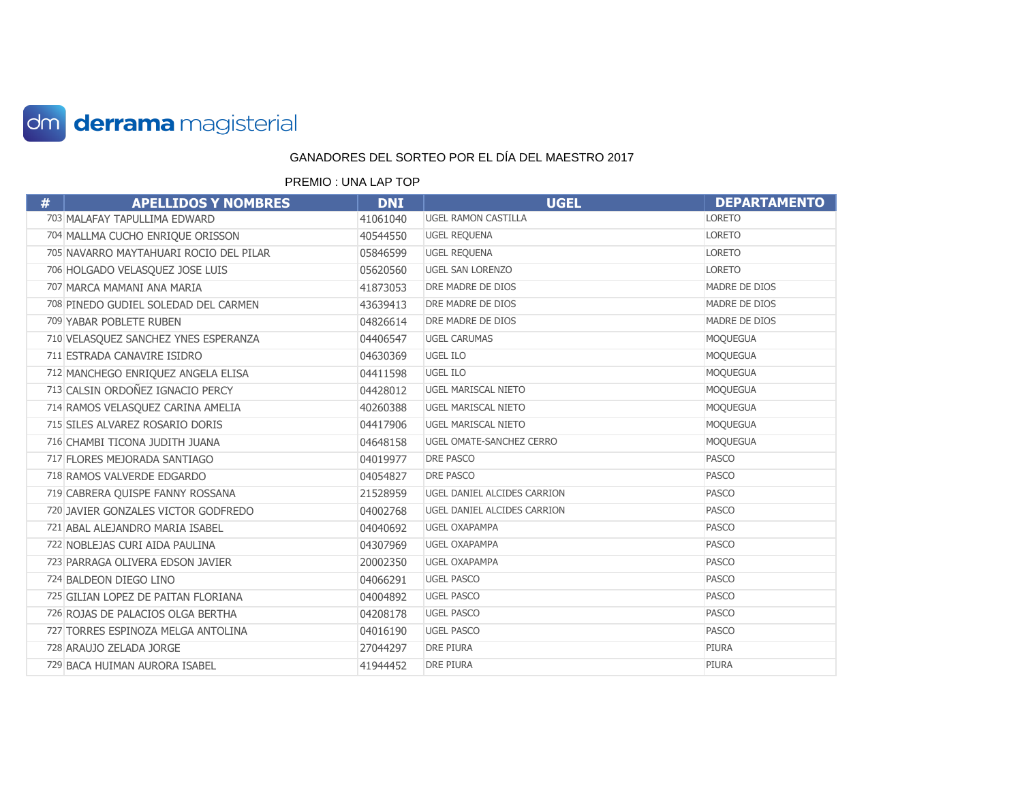

| # | <b>APELLIDOS Y NOMBRES</b>             | <b>DNI</b> | <b>UGEL</b>                 | <b>DEPARTAMENTO</b> |
|---|----------------------------------------|------------|-----------------------------|---------------------|
|   | 703 MALAFAY TAPULLIMA EDWARD           | 41061040   | <b>UGEL RAMON CASTILLA</b>  | <b>LORETO</b>       |
|   | 704 MALLMA CUCHO ENRIQUE ORISSON       | 40544550   | <b>UGEL REQUENA</b>         | <b>LORETO</b>       |
|   | 705 NAVARRO MAYTAHUARI ROCIO DEL PILAR | 05846599   | UGEL REQUENA                | <b>LORETO</b>       |
|   | 706 HOLGADO VELASQUEZ JOSE LUIS        | 05620560   | <b>UGEL SAN LORENZO</b>     | <b>LORETO</b>       |
|   | 707 MARCA MAMANI ANA MARIA             | 41873053   | DRE MADRE DE DIOS           | MADRE DE DIOS       |
|   | 708 PINEDO GUDIEL SOLEDAD DEL CARMEN   | 43639413   | DRE MADRE DE DIOS           | MADRE DE DIOS       |
|   | 709 YABAR POBLETE RUBEN                | 04826614   | DRE MADRE DE DIOS           | MADRE DE DIOS       |
|   | 710 VELASQUEZ SANCHEZ YNES ESPERANZA   | 04406547   | <b>UGEL CARUMAS</b>         | <b>MOQUEGUA</b>     |
|   | 711 ESTRADA CANAVIRE ISIDRO            | 04630369   | <b>UGEL ILO</b>             | <b>MOQUEGUA</b>     |
|   | 712 MANCHEGO ENRIQUEZ ANGELA ELISA     | 04411598   | UGEL ILO                    | <b>MOQUEGUA</b>     |
|   | 713 CALSIN ORDOÑEZ IGNACIO PERCY       | 04428012   | <b>UGEL MARISCAL NIETO</b>  | <b>MOQUEGUA</b>     |
|   | 714 RAMOS VELASQUEZ CARINA AMELIA      | 40260388   | <b>UGEL MARISCAL NIETO</b>  | <b>MOQUEGUA</b>     |
|   | 715 SILES ALVAREZ ROSARIO DORIS        | 04417906   | <b>UGEL MARISCAL NIETO</b>  | <b>MOQUEGUA</b>     |
|   | 716 CHAMBI TICONA JUDITH JUANA         | 04648158   | UGEL OMATE-SANCHEZ CERRO    | <b>MOQUEGUA</b>     |
|   | 717 FLORES MEJORADA SANTIAGO           | 04019977   | DRE PASCO                   | <b>PASCO</b>        |
|   | 718 RAMOS VALVERDE EDGARDO             | 04054827   | <b>DRE PASCO</b>            | <b>PASCO</b>        |
|   | 719 CABRERA QUISPE FANNY ROSSANA       | 21528959   | UGEL DANIEL ALCIDES CARRION | <b>PASCO</b>        |
|   | 720 JAVIER GONZALES VICTOR GODFREDO    | 04002768   | UGEL DANIEL ALCIDES CARRION | <b>PASCO</b>        |
|   | 721 ABAL ALEJANDRO MARIA ISABEL        | 04040692   | <b>UGEL OXAPAMPA</b>        | <b>PASCO</b>        |
|   | 722 NOBLEJAS CURI AIDA PAULINA         | 04307969   | <b>UGEL OXAPAMPA</b>        | <b>PASCO</b>        |
|   | 723 PARRAGA OLIVERA EDSON JAVIER       | 20002350   | <b>UGEL OXAPAMPA</b>        | <b>PASCO</b>        |
|   | 724 BALDEON DIEGO LINO                 | 04066291   | <b>UGEL PASCO</b>           | <b>PASCO</b>        |
|   | 725 GILIAN LOPEZ DE PAITAN FLORIANA    | 04004892   | <b>UGEL PASCO</b>           | <b>PASCO</b>        |
|   | 726 ROJAS DE PALACIOS OLGA BERTHA      | 04208178   | <b>UGEL PASCO</b>           | <b>PASCO</b>        |
|   | 727 TORRES ESPINOZA MELGA ANTOLINA     | 04016190   | <b>UGEL PASCO</b>           | <b>PASCO</b>        |
|   | 728 ARAUJO ZELADA JORGE                | 27044297   | <b>DRE PIURA</b>            | PIURA               |
|   | 729 BACA HUIMAN AURORA ISABEL          | 41944452   | <b>DRE PIURA</b>            | PIURA               |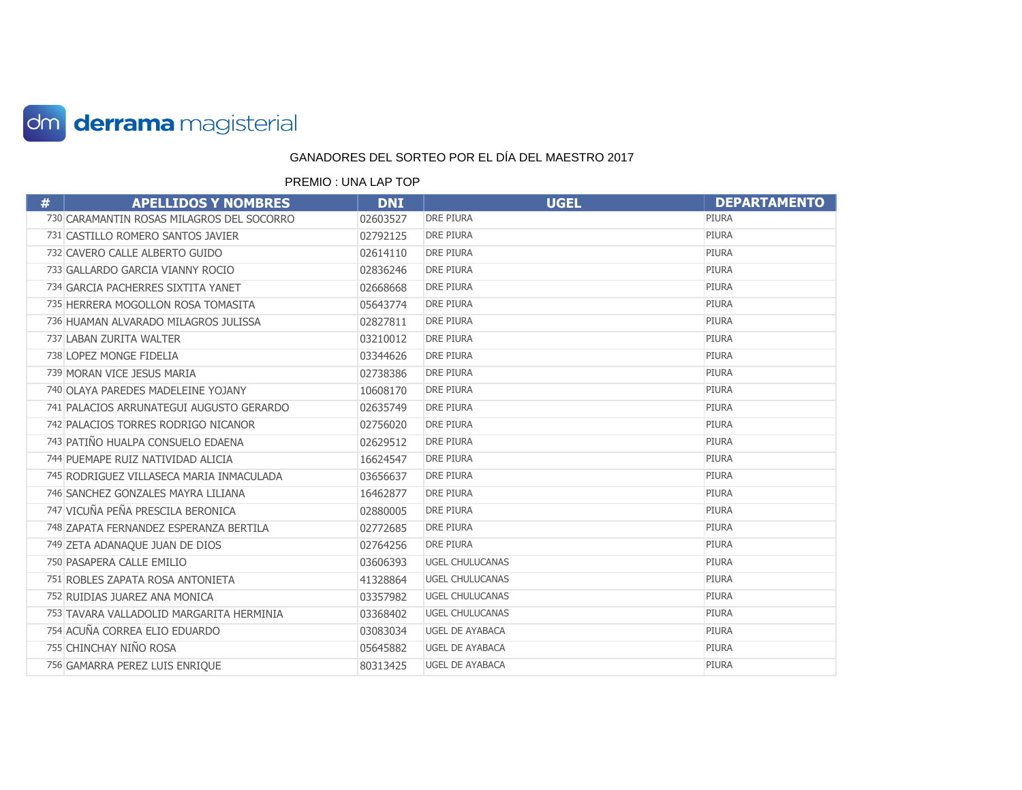

| # | <b>APELLIDOS Y NOMBRES</b>                | <b>DNI</b> | <b>UGEL</b>            | <b>DEPARTAMENTO</b> |
|---|-------------------------------------------|------------|------------------------|---------------------|
|   | 730 CARAMANTIN ROSAS MILAGROS DEL SOCORRO | 02603527   | <b>DRE PIURA</b>       | PIURA               |
|   | 731 CASTILLO ROMERO SANTOS JAVIER         | 02792125   | <b>DRE PIURA</b>       | PIURA               |
|   | 732 CAVERO CALLE ALBERTO GUIDO            | 02614110   | <b>DRE PIURA</b>       | <b>PIURA</b>        |
|   | 733 GALLARDO GARCIA VIANNY ROCIO          | 02836246   | <b>DRE PIURA</b>       | PIURA               |
|   | 734 GARCIA PACHERRES SIXTITA YANET        | 02668668   | <b>DRE PIURA</b>       | <b>PIURA</b>        |
|   | 735 HERRERA MOGOLLON ROSA TOMASITA        | 05643774   | <b>DRE PIURA</b>       | <b>PIURA</b>        |
|   | 736 HUAMAN ALVARADO MILAGROS JULISSA      | 02827811   | <b>DRE PIURA</b>       | <b>PIURA</b>        |
|   | 737 LABAN ZURITA WALTER                   | 03210012   | <b>DRE PIURA</b>       | PIURA               |
|   | 738 LOPEZ MONGE FIDELIA                   | 03344626   | <b>DRE PIURA</b>       | PIURA               |
|   | 739 MORAN VICE JESUS MARIA                | 02738386   | <b>DRE PIURA</b>       | <b>PIURA</b>        |
|   | 740 OLAYA PAREDES MADELEINE YOJANY        | 10608170   | <b>DRE PIURA</b>       | <b>PIURA</b>        |
|   | 741 PALACIOS ARRUNATEGUI AUGUSTO GERARDO  | 02635749   | <b>DRE PIURA</b>       | <b>PIURA</b>        |
|   | 742 PALACIOS TORRES RODRIGO NICANOR       | 02756020   | <b>DRE PIURA</b>       | <b>PIURA</b>        |
|   | 743 PATIÑO HUALPA CONSUELO EDAENA         | 02629512   | <b>DRE PIURA</b>       | <b>PIURA</b>        |
|   | 744 PUEMAPE RUIZ NATIVIDAD ALICIA         | 16624547   | <b>DRE PIURA</b>       | <b>PIURA</b>        |
|   | 745 RODRIGUEZ VILLASECA MARIA INMACULADA  | 03656637   | <b>DRE PIURA</b>       | <b>PIURA</b>        |
|   | 746 SANCHEZ GONZALES MAYRA LILIANA        | 16462877   | <b>DRE PIURA</b>       | PIURA               |
|   | 747 VICUÑA PEÑA PRESCILA BERONICA         | 02880005   | <b>DRE PIURA</b>       | <b>PIURA</b>        |
|   | 748 ZAPATA FERNANDEZ ESPERANZA BERTILA    | 02772685   | <b>DRE PIURA</b>       | <b>PIURA</b>        |
|   | 749 ZETA ADANAQUE JUAN DE DIOS            | 02764256   | <b>DRE PIURA</b>       | PIURA               |
|   | 750 PASAPERA CALLE EMILIO                 | 03606393   | <b>UGEL CHULUCANAS</b> | PIURA               |
|   | 751 ROBLES ZAPATA ROSA ANTONIETA          | 41328864   | <b>UGEL CHULUCANAS</b> | <b>PIURA</b>        |
|   | 752 RUIDIAS JUAREZ ANA MONICA             | 03357982   | <b>UGEL CHULUCANAS</b> | <b>PIURA</b>        |
|   | 753 TAVARA VALLADOLID MARGARITA HERMINIA  | 03368402   | <b>UGEL CHULUCANAS</b> | <b>PIURA</b>        |
|   | 754 ACUÑA CORREA ELIO EDUARDO             | 03083034   | <b>UGEL DE AYABACA</b> | <b>PIURA</b>        |
|   | 755 CHINCHAY NIÑO ROSA                    | 05645882   | <b>UGEL DE AYABACA</b> | PIURA               |
|   | 756 GAMARRA PEREZ LUIS ENRIQUE            | 80313425   | <b>UGEL DE AYABACA</b> | <b>PIURA</b>        |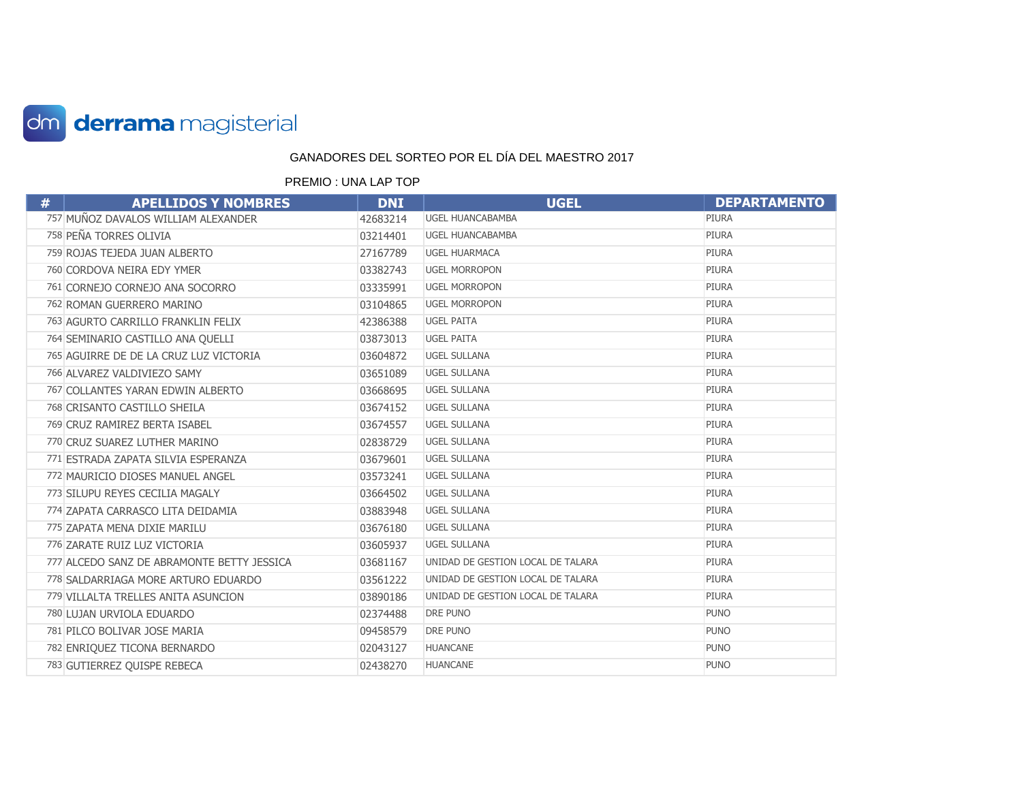

| # | <b>APELLIDOS Y NOMBRES</b>                 | <b>DNI</b> | <b>UGEL</b>                       | <b>DEPARTAMENTO</b> |
|---|--------------------------------------------|------------|-----------------------------------|---------------------|
|   | 757 MUÑOZ DAVALOS WILLIAM ALEXANDER        | 42683214   | <b>UGEL HUANCABAMBA</b>           | PIURA               |
|   | 758 PEÑA TORRES OLIVIA                     | 03214401   | <b>UGEL HUANCABAMBA</b>           | <b>PIURA</b>        |
|   | 759 ROJAS TEJEDA JUAN ALBERTO              | 27167789   | <b>UGEL HUARMACA</b>              | <b>PIURA</b>        |
|   | 760 CORDOVA NEIRA EDY YMER                 | 03382743   | <b>UGEL MORROPON</b>              | <b>PIURA</b>        |
|   | 761 CORNEJO CORNEJO ANA SOCORRO            | 03335991   | <b>UGEL MORROPON</b>              | <b>PIURA</b>        |
|   | 762 ROMAN GUERRERO MARINO                  | 03104865   | <b>UGEL MORROPON</b>              | PIURA               |
|   | 763 AGURTO CARRILLO FRANKLIN FELIX         | 42386388   | <b>UGEL PAITA</b>                 | <b>PIURA</b>        |
|   | 764 SEMINARIO CASTILLO ANA QUELLI          | 03873013   | <b>UGEL PAITA</b>                 | <b>PIURA</b>        |
|   | 765 AGUIRRE DE DE LA CRUZ LUZ VICTORIA     | 03604872   | <b>UGEL SULLANA</b>               | <b>PIURA</b>        |
|   | 766 ALVAREZ VALDIVIEZO SAMY                | 03651089   | <b>UGEL SULLANA</b>               | <b>PIURA</b>        |
|   | 767 COLLANTES YARAN EDWIN ALBERTO          | 03668695   | <b>UGEL SULLANA</b>               | PIURA               |
|   | 768 CRISANTO CASTILLO SHEILA               | 03674152   | <b>UGEL SULLANA</b>               | <b>PIURA</b>        |
|   | 769 CRUZ RAMIREZ BERTA ISABEL              | 03674557   | <b>UGEL SULLANA</b>               | <b>PIURA</b>        |
|   | 770 CRUZ SUAREZ LUTHER MARINO              | 02838729   | <b>UGEL SULLANA</b>               | <b>PIURA</b>        |
|   | 771 ESTRADA ZAPATA SILVIA ESPERANZA        | 03679601   | <b>UGEL SULLANA</b>               | <b>PIURA</b>        |
|   | 772 MAURICIO DIOSES MANUEL ANGEL           | 03573241   | <b>UGEL SULLANA</b>               | <b>PIURA</b>        |
|   | 773 SILUPU REYES CECILIA MAGALY            | 03664502   | <b>UGEL SULLANA</b>               | <b>PIURA</b>        |
|   | 774 ZAPATA CARRASCO LITA DEIDAMIA          | 03883948   | <b>UGEL SULLANA</b>               | <b>PIURA</b>        |
|   | 775 ZAPATA MENA DIXIE MARILU               | 03676180   | <b>UGEL SULLANA</b>               | <b>PIURA</b>        |
|   | 776 ZARATE RUIZ LUZ VICTORIA               | 03605937   | <b>UGEL SULLANA</b>               | <b>PIURA</b>        |
|   | 777 ALCEDO SANZ DE ABRAMONTE BETTY JESSICA | 03681167   | UNIDAD DE GESTION LOCAL DE TALARA | <b>PIURA</b>        |
|   | 778 SALDARRIAGA MORE ARTURO EDUARDO        | 03561222   | UNIDAD DE GESTION LOCAL DE TALARA | <b>PIURA</b>        |
|   | 779 VILLALTA TRELLES ANITA ASUNCION        | 03890186   | UNIDAD DE GESTION LOCAL DE TALARA | <b>PIURA</b>        |
|   | 780 LUJAN URVIOLA EDUARDO                  | 02374488   | DRE PUNO                          | <b>PUNO</b>         |
|   | 781 PILCO BOLIVAR JOSE MARIA               | 09458579   | DRE PUNO                          | <b>PUNO</b>         |
|   | 782 ENRIQUEZ TICONA BERNARDO               | 02043127   | <b>HUANCANE</b>                   | <b>PUNO</b>         |
|   | 783 GUTIERREZ OUISPE REBECA                | 02438270   | <b>HUANCANE</b>                   | <b>PUNO</b>         |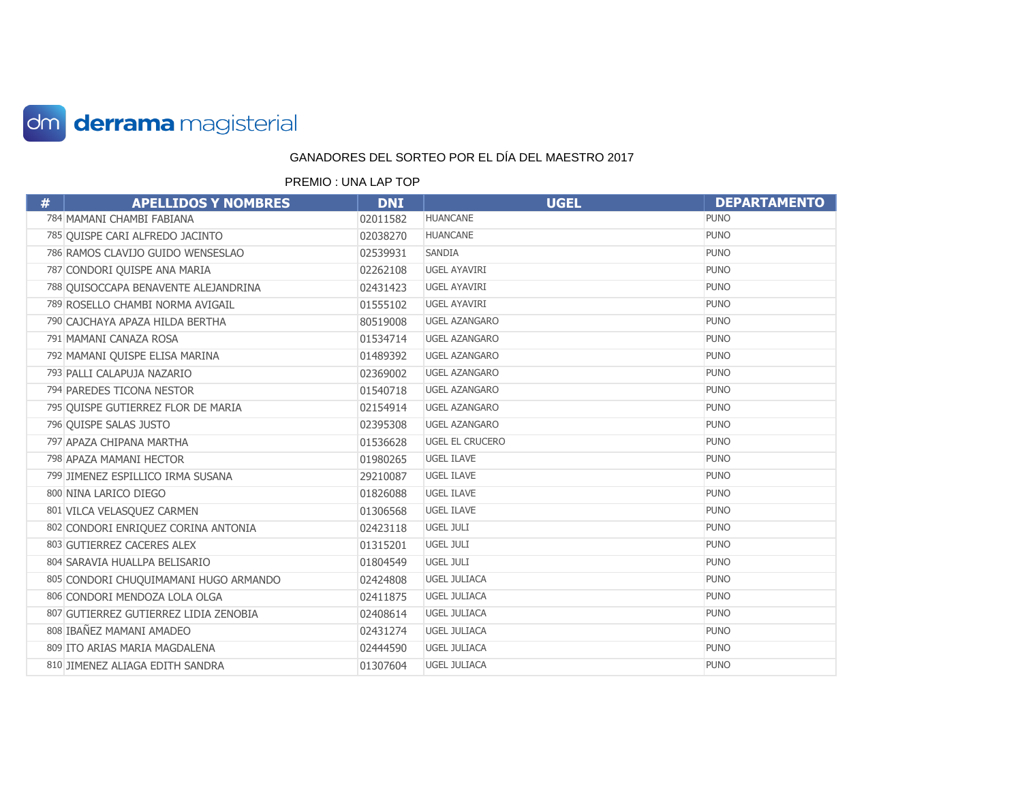

| # | <b>APELLIDOS Y NOMBRES</b>            | <b>DNI</b> | <b>UGEL</b>            | <b>DEPARTAMENTO</b> |
|---|---------------------------------------|------------|------------------------|---------------------|
|   | 784 MAMANI CHAMBI FABIANA             | 02011582   | <b>HUANCANE</b>        | <b>PUNO</b>         |
|   | 785 QUISPE CARI ALFREDO JACINTO       | 02038270   | <b>HUANCANE</b>        | <b>PUNO</b>         |
|   | 786 RAMOS CLAVIJO GUIDO WENSESLAO     | 02539931   | SANDIA                 | <b>PUNO</b>         |
|   | 787 CONDORI QUISPE ANA MARIA          | 02262108   | <b>UGEL AYAVIRI</b>    | <b>PUNO</b>         |
|   | 788 QUISOCCAPA BENAVENTE ALEJANDRINA  | 02431423   | UGEL AYAVIRI           | <b>PUNO</b>         |
|   | 789 ROSELLO CHAMBI NORMA AVIGAIL      | 01555102   | <b>UGEL AYAVIRI</b>    | <b>PUNO</b>         |
|   | 790 CAJCHAYA APAZA HILDA BERTHA       | 80519008   | <b>UGEL AZANGARO</b>   | <b>PUNO</b>         |
|   | 791 MAMANI CANAZA ROSA                | 01534714   | <b>UGEL AZANGARO</b>   | <b>PUNO</b>         |
|   | 792 MAMANI QUISPE ELISA MARINA        | 01489392   | <b>UGEL AZANGARO</b>   | <b>PUNO</b>         |
|   | 793 PALLI CALAPUJA NAZARIO            | 02369002   | <b>UGEL AZANGARO</b>   | <b>PUNO</b>         |
|   | 794 PAREDES TICONA NESTOR             | 01540718   | <b>UGEL AZANGARO</b>   | <b>PUNO</b>         |
|   | 795 QUISPE GUTIERREZ FLOR DE MARIA    | 02154914   | <b>UGEL AZANGARO</b>   | <b>PUNO</b>         |
|   | 796 QUISPE SALAS JUSTO                | 02395308   | <b>UGEL AZANGARO</b>   | <b>PUNO</b>         |
|   | 797 APAZA CHIPANA MARTHA              | 01536628   | <b>UGEL EL CRUCERO</b> | <b>PUNO</b>         |
|   | 798 APAZA MAMANI HECTOR               | 01980265   | <b>UGEL ILAVE</b>      | <b>PUNO</b>         |
|   | 799 JIMENEZ ESPILLICO IRMA SUSANA     | 29210087   | <b>UGEL ILAVE</b>      | <b>PUNO</b>         |
|   | 800 NINA LARICO DIEGO                 | 01826088   | <b>UGEL ILAVE</b>      | <b>PUNO</b>         |
|   | 801 VILCA VELASQUEZ CARMEN            | 01306568   | <b>UGEL ILAVE</b>      | <b>PUNO</b>         |
|   | 802 CONDORI ENRIQUEZ CORINA ANTONIA   | 02423118   | UGEL JULI              | <b>PUNO</b>         |
|   | 803 GUTIERREZ CACERES ALEX            | 01315201   | UGEL JULI              | <b>PUNO</b>         |
|   | 804 SARAVIA HUALLPA BELISARIO         | 01804549   | <b>UGEL JULI</b>       | <b>PUNO</b>         |
|   | 805 CONDORI CHUQUIMAMANI HUGO ARMANDO | 02424808   | <b>UGEL JULIACA</b>    | <b>PUNO</b>         |
|   | 806 CONDORI MENDOZA LOLA OLGA         | 02411875   | <b>UGEL JULIACA</b>    | <b>PUNO</b>         |
|   | 807 GUTIERREZ GUTIERREZ LIDIA ZENOBIA | 02408614   | <b>UGEL JULIACA</b>    | <b>PUNO</b>         |
|   | 808 IBAÑEZ MAMANI AMADEO              | 02431274   | <b>UGEL JULIACA</b>    | <b>PUNO</b>         |
|   | 809 ITO ARIAS MARIA MAGDALENA         | 02444590   | <b>UGEL JULIACA</b>    | <b>PUNO</b>         |
|   | 810 JIMENEZ ALIAGA EDITH SANDRA       | 01307604   | <b>UGEL JULIACA</b>    | <b>PUNO</b>         |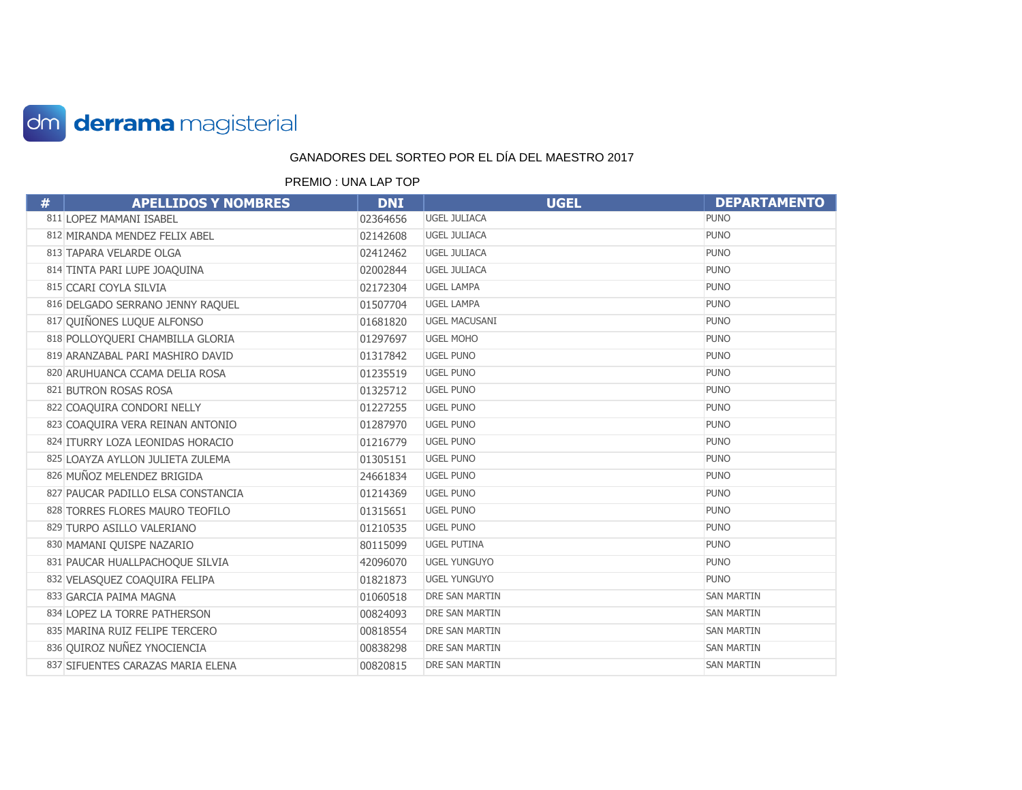

| # | <b>APELLIDOS Y NOMBRES</b>         | <b>DNI</b> | <b>UGEL</b>          | <b>DEPARTAMENTO</b> |
|---|------------------------------------|------------|----------------------|---------------------|
|   | 811 LOPEZ MAMANI ISABEL            | 02364656   | <b>UGEL JULIACA</b>  | <b>PUNO</b>         |
|   | 812 MIRANDA MENDEZ FELIX ABEL      | 02142608   | <b>UGEL JULIACA</b>  | <b>PUNO</b>         |
|   | 813 TAPARA VELARDE OLGA            | 02412462   | <b>UGEL JULIACA</b>  | <b>PUNO</b>         |
|   | 814 TINTA PARI LUPE JOAQUINA       | 02002844   | <b>UGEL JULIACA</b>  | <b>PUNO</b>         |
|   | 815 CCARI COYLA SILVIA             | 02172304   | <b>UGEL LAMPA</b>    | <b>PUNO</b>         |
|   | 816 DELGADO SERRANO JENNY RAQUEL   | 01507704   | <b>UGEL LAMPA</b>    | <b>PUNO</b>         |
|   | 817 QUIÑONES LUQUE ALFONSO         | 01681820   | <b>UGEL MACUSANI</b> | <b>PUNO</b>         |
|   | 818 POLLOYQUERI CHAMBILLA GLORIA   | 01297697   | <b>UGEL MOHO</b>     | <b>PUNO</b>         |
|   | 819 ARANZABAL PARI MASHIRO DAVID   | 01317842   | <b>UGEL PUNO</b>     | <b>PUNO</b>         |
|   | 820 ARUHUANCA CCAMA DELIA ROSA     | 01235519   | <b>UGEL PUNO</b>     | <b>PUNO</b>         |
|   | 821 BUTRON ROSAS ROSA              | 01325712   | <b>UGEL PUNO</b>     | <b>PUNO</b>         |
|   | 822 COAQUIRA CONDORI NELLY         | 01227255   | <b>UGEL PUNO</b>     | <b>PUNO</b>         |
|   | 823 COAQUIRA VERA REINAN ANTONIO   | 01287970   | <b>UGEL PUNO</b>     | <b>PUNO</b>         |
|   | 824 ITURRY LOZA LEONIDAS HORACIO   | 01216779   | <b>UGEL PUNO</b>     | <b>PUNO</b>         |
|   | 825 LOAYZA AYLLON JULIETA ZULEMA   | 01305151   | <b>UGEL PUNO</b>     | <b>PUNO</b>         |
|   | 826 MUÑOZ MELENDEZ BRIGIDA         | 24661834   | <b>UGEL PUNO</b>     | <b>PUNO</b>         |
|   | 827 PAUCAR PADILLO ELSA CONSTANCIA | 01214369   | <b>UGEL PUNO</b>     | <b>PUNO</b>         |
|   | 828 TORRES FLORES MAURO TEOFILO    | 01315651   | <b>UGEL PUNO</b>     | <b>PUNO</b>         |
|   | 829 TURPO ASILLO VALERIANO         | 01210535   | <b>UGEL PUNO</b>     | <b>PUNO</b>         |
|   | 830 MAMANI QUISPE NAZARIO          | 80115099   | <b>UGEL PUTINA</b>   | <b>PUNO</b>         |
|   | 831 PAUCAR HUALLPACHOQUE SILVIA    | 42096070   | <b>UGEL YUNGUYO</b>  | <b>PUNO</b>         |
|   | 832 VELASQUEZ COAQUIRA FELIPA      | 01821873   | <b>UGEL YUNGUYO</b>  | <b>PUNO</b>         |
|   | 833 GARCIA PAIMA MAGNA             | 01060518   | DRE SAN MARTIN       | <b>SAN MARTIN</b>   |
|   | 834 LOPEZ LA TORRE PATHERSON       | 00824093   | DRE SAN MARTIN       | <b>SAN MARTIN</b>   |
|   | 835 MARINA RUIZ FELIPE TERCERO     | 00818554   | DRE SAN MARTIN       | <b>SAN MARTIN</b>   |
|   | 836 QUIROZ NUÑEZ YNOCIENCIA        | 00838298   | DRE SAN MARTIN       | <b>SAN MARTIN</b>   |
|   | 837 SIFUENTES CARAZAS MARIA ELENA  | 00820815   | DRE SAN MARTIN       | <b>SAN MARTIN</b>   |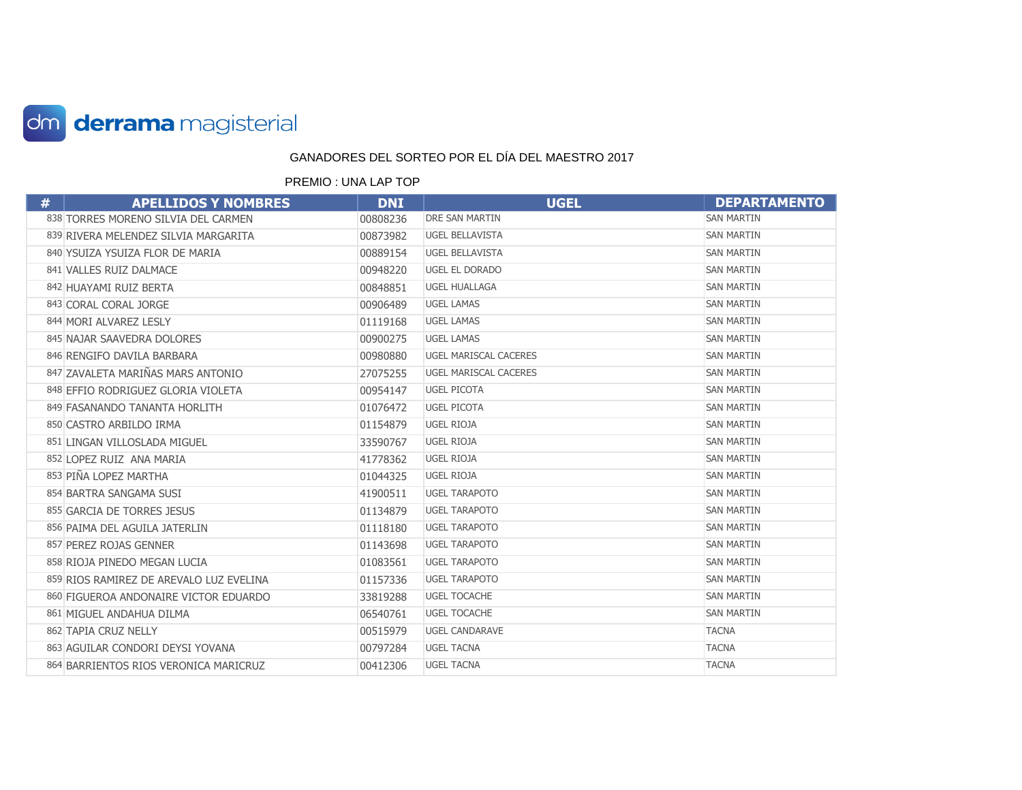

| # | <b>APELLIDOS Y NOMBRES</b>              | <b>DNI</b> | <b>UGEL</b>            | <b>DEPARTAMENTO</b> |
|---|-----------------------------------------|------------|------------------------|---------------------|
|   | 838 TORRES MORENO SILVIA DEL CARMEN     | 00808236   | <b>DRE SAN MARTIN</b>  | <b>SAN MARTIN</b>   |
|   | 839 RIVERA MELENDEZ SILVIA MARGARITA    | 00873982   | <b>UGEL BELLAVISTA</b> | <b>SAN MARTIN</b>   |
|   | 840 YSUIZA YSUIZA FLOR DE MARIA         | 00889154   | <b>UGEL BELLAVISTA</b> | <b>SAN MARTIN</b>   |
|   | 841 VALLES RUIZ DALMACE                 | 00948220   | UGEL EL DORADO         | <b>SAN MARTIN</b>   |
|   | 842 HUAYAMI RUIZ BERTA                  | 00848851   | <b>UGEL HUALLAGA</b>   | <b>SAN MARTIN</b>   |
|   | 843 CORAL CORAL JORGE                   | 00906489   | <b>UGEL LAMAS</b>      | <b>SAN MARTIN</b>   |
|   | 844 MORI ALVAREZ LESLY                  | 01119168   | <b>UGEL LAMAS</b>      | <b>SAN MARTIN</b>   |
|   | 845 NAJAR SAAVEDRA DOLORES              | 00900275   | <b>UGEL LAMAS</b>      | <b>SAN MARTIN</b>   |
|   | 846 RENGIFO DAVILA BARBARA              | 00980880   | UGEL MARISCAL CACERES  | <b>SAN MARTIN</b>   |
|   | 847 ZAVALETA MARIÑAS MARS ANTONIO       | 27075255   | UGEL MARISCAL CACERES  | <b>SAN MARTIN</b>   |
|   | 848 EFFIO RODRIGUEZ GLORIA VIOLETA      | 00954147   | <b>UGEL PICOTA</b>     | <b>SAN MARTIN</b>   |
|   | 849 FASANANDO TANANTA HORLITH           | 01076472   | <b>UGEL PICOTA</b>     | <b>SAN MARTIN</b>   |
|   | 850 CASTRO ARBILDO IRMA                 | 01154879   | <b>UGEL RIOJA</b>      | <b>SAN MARTIN</b>   |
|   | 851 LINGAN VILLOSLADA MIGUEL            | 33590767   | <b>UGEL RIOJA</b>      | <b>SAN MARTIN</b>   |
|   | 852 LOPEZ RUIZ ANA MARIA                | 41778362   | <b>UGEL RIOJA</b>      | <b>SAN MARTIN</b>   |
|   | 853 PIÑA LOPEZ MARTHA                   | 01044325   | UGEL RIOJA             | <b>SAN MARTIN</b>   |
|   | 854 BARTRA SANGAMA SUSI                 | 41900511   | <b>UGEL TARAPOTO</b>   | <b>SAN MARTIN</b>   |
|   | 855 GARCIA DE TORRES JESUS              | 01134879   | <b>UGEL TARAPOTO</b>   | <b>SAN MARTIN</b>   |
|   | 856 PAIMA DEL AGUILA JATERLIN           | 01118180   | <b>UGEL TARAPOTO</b>   | <b>SAN MARTIN</b>   |
|   | 857 PEREZ ROJAS GENNER                  | 01143698   | <b>UGEL TARAPOTO</b>   | <b>SAN MARTIN</b>   |
|   | 858 RIOJA PINEDO MEGAN LUCIA            | 01083561   | <b>UGEL TARAPOTO</b>   | <b>SAN MARTIN</b>   |
|   | 859 RIOS RAMIREZ DE AREVALO LUZ EVELINA | 01157336   | <b>UGEL TARAPOTO</b>   | <b>SAN MARTIN</b>   |
|   | 860 FIGUEROA ANDONAIRE VICTOR EDUARDO   | 33819288   | <b>UGEL TOCACHE</b>    | <b>SAN MARTIN</b>   |
|   | 861 MIGUEL ANDAHUA DILMA                | 06540761   | <b>UGEL TOCACHE</b>    | <b>SAN MARTIN</b>   |
|   | 862 TAPIA CRUZ NELLY                    | 00515979   | <b>UGEL CANDARAVE</b>  | <b>TACNA</b>        |
|   | 863 AGUILAR CONDORI DEYSI YOVANA        | 00797284   | <b>UGEL TACNA</b>      | <b>TACNA</b>        |
|   | 864 BARRIENTOS RIOS VERONICA MARICRUZ   | 00412306   | <b>UGEL TACNA</b>      | <b>TACNA</b>        |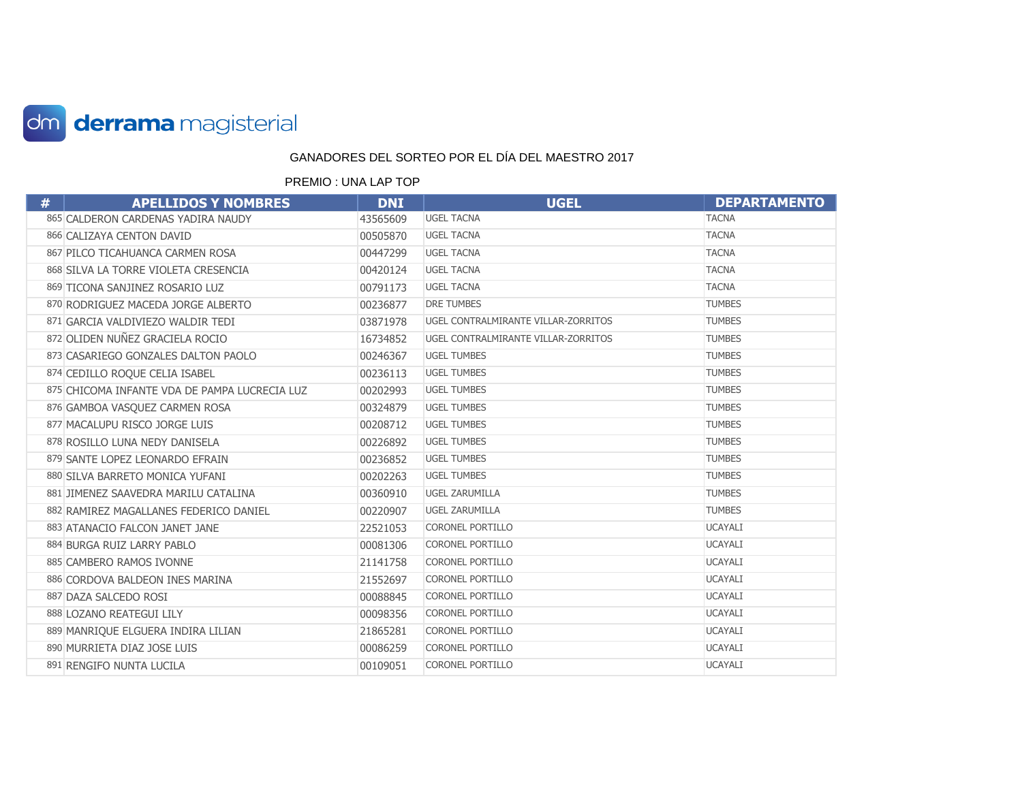

| # | <b>APELLIDOS Y NOMBRES</b>                    | <b>DNI</b> | <b>UGEL</b>                         | <b>DEPARTAMENTO</b> |
|---|-----------------------------------------------|------------|-------------------------------------|---------------------|
|   | 865 CALDERON CARDENAS YADIRA NAUDY            | 43565609   | <b>UGEL TACNA</b>                   | <b>TACNA</b>        |
|   | 866 CALIZAYA CENTON DAVID                     | 00505870   | <b>UGEL TACNA</b>                   | <b>TACNA</b>        |
|   | 867 PILCO TICAHUANCA CARMEN ROSA              | 00447299   | <b>UGEL TACNA</b>                   | <b>TACNA</b>        |
|   | 868 SILVA LA TORRE VIOLETA CRESENCIA          | 00420124   | <b>UGEL TACNA</b>                   | <b>TACNA</b>        |
|   | 869 TICONA SANJINEZ ROSARIO LUZ               | 00791173   | <b>UGEL TACNA</b>                   | <b>TACNA</b>        |
|   | 870 RODRIGUEZ MACEDA JORGE ALBERTO            | 00236877   | <b>DRE TUMBES</b>                   | <b>TUMBES</b>       |
|   | 871 GARCIA VALDIVIEZO WALDIR TEDI             | 03871978   | UGEL CONTRALMIRANTE VILLAR-ZORRITOS | <b>TUMBES</b>       |
|   | 872 OLIDEN NUÑEZ GRACIELA ROCIO               | 16734852   | UGEL CONTRALMIRANTE VILLAR-ZORRITOS | <b>TUMBES</b>       |
|   | 873 CASARIEGO GONZALES DALTON PAOLO           | 00246367   | <b>UGEL TUMBES</b>                  | <b>TUMBES</b>       |
|   | 874 CEDILLO ROQUE CELIA ISABEL                | 00236113   | <b>UGEL TUMBES</b>                  | <b>TUMBES</b>       |
|   | 875 CHICOMA INFANTE VDA DE PAMPA LUCRECIA LUZ | 00202993   | <b>UGEL TUMBES</b>                  | <b>TUMBES</b>       |
|   | 876 GAMBOA VASQUEZ CARMEN ROSA                | 00324879   | <b>UGEL TUMBES</b>                  | <b>TUMBES</b>       |
|   | 877 MACALUPU RISCO JORGE LUIS                 | 00208712   | <b>UGEL TUMBES</b>                  | <b>TUMBES</b>       |
|   | 878 ROSILLO LUNA NEDY DANISELA                | 00226892   | <b>UGEL TUMBES</b>                  | <b>TUMBES</b>       |
|   | 879 SANTE LOPEZ LEONARDO EFRAIN               | 00236852   | <b>UGEL TUMBES</b>                  | <b>TUMBES</b>       |
|   | 880 SILVA BARRETO MONICA YUFANI               | 00202263   | <b>UGEL TUMBES</b>                  | <b>TUMBES</b>       |
|   | 881 JIMENEZ SAAVEDRA MARILU CATALINA          | 00360910   | <b>UGEL ZARUMILLA</b>               | <b>TUMBES</b>       |
|   | 882 RAMIREZ MAGALLANES FEDERICO DANIEL        | 00220907   | <b>UGEL ZARUMILLA</b>               | <b>TUMBES</b>       |
|   | 883 ATANACIO FALCON JANET JANE                | 22521053   | <b>CORONEL PORTILLO</b>             | <b>UCAYALI</b>      |
|   | 884 BURGA RUIZ LARRY PABLO                    | 00081306   | <b>CORONEL PORTILLO</b>             | <b>UCAYALI</b>      |
|   | 885 CAMBERO RAMOS IVONNE                      | 21141758   | <b>CORONEL PORTILLO</b>             | <b>UCAYALI</b>      |
|   | 886 CORDOVA BALDEON INES MARINA               | 21552697   | <b>CORONEL PORTILLO</b>             | <b>UCAYALI</b>      |
|   | 887 DAZA SALCEDO ROSI                         | 00088845   | <b>CORONEL PORTILLO</b>             | <b>UCAYALI</b>      |
|   | 888 LOZANO REATEGUI LILY                      | 00098356   | <b>CORONEL PORTILLO</b>             | <b>UCAYALI</b>      |
|   | 889 MANRIQUE ELGUERA INDIRA LILIAN            | 21865281   | <b>CORONEL PORTILLO</b>             | <b>UCAYALI</b>      |
|   | 890 MURRIETA DIAZ JOSE LUIS                   | 00086259   | <b>CORONEL PORTILLO</b>             | <b>UCAYALI</b>      |
|   | 891 RENGIFO NUNTA LUCILA                      | 00109051   | <b>CORONEL PORTILLO</b>             | <b>UCAYALI</b>      |